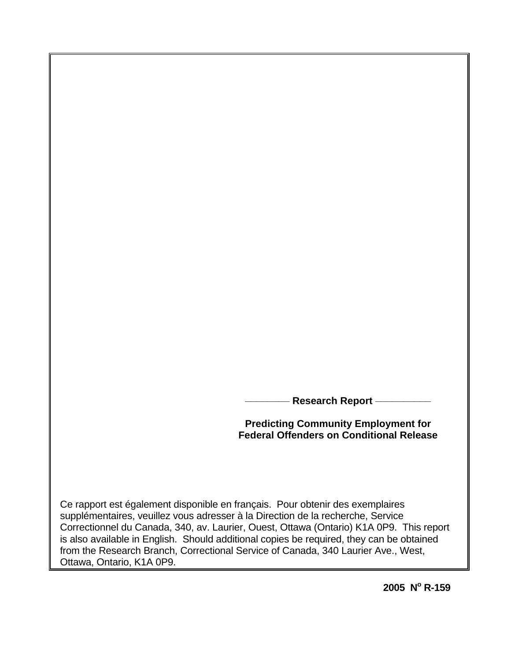**Research Report -**

**Predicting Community Employment for Federal Offenders on Conditional Release** 

Ce rapport est également disponible en français. Pour obtenir des exemplaires supplémentaires, veuillez vous adresser à la Direction de la recherche, Service Correctionnel du Canada, 340, av. Laurier, Ouest, Ottawa (Ontario) K1A 0P9. This report is also available in English. Should additional copies be required, they can be obtained from the Research Branch, Correctional Service of Canada, 340 Laurier Ave., West, Ottawa, Ontario, K1A 0P9.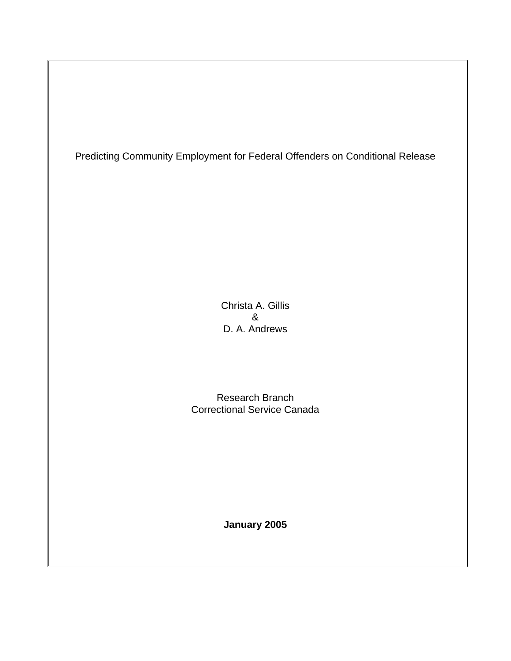Predicting Community Employment for Federal Offenders on Conditional Release

Christa A. Gillis & D. A. Andrews

Research Branch Correctional Service Canada

**January 2005**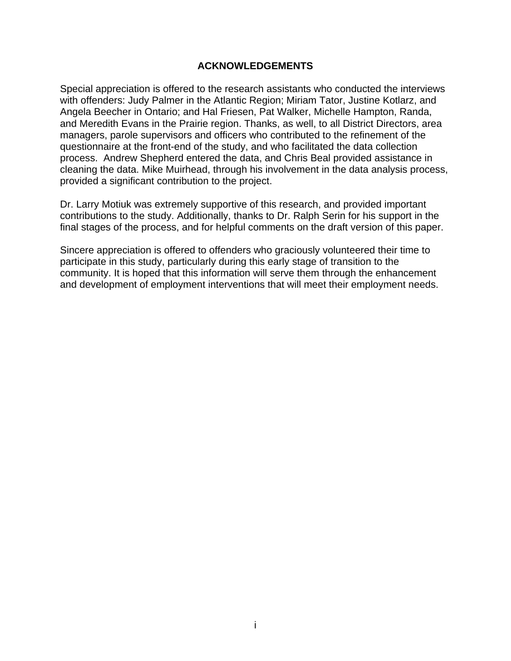## **ACKNOWLEDGEMENTS**

<span id="page-2-0"></span>Special appreciation is offered to the research assistants who conducted the interviews with offenders: Judy Palmer in the Atlantic Region; Miriam Tator, Justine Kotlarz, and Angela Beecher in Ontario; and Hal Friesen, Pat Walker, Michelle Hampton, Randa, and Meredith Evans in the Prairie region. Thanks, as well, to all District Directors, area managers, parole supervisors and officers who contributed to the refinement of the questionnaire at the front-end of the study, and who facilitated the data collection process. Andrew Shepherd entered the data, and Chris Beal provided assistance in cleaning the data. Mike Muirhead, through his involvement in the data analysis process, provided a significant contribution to the project.

Dr. Larry Motiuk was extremely supportive of this research, and provided important contributions to the study. Additionally, thanks to Dr. Ralph Serin for his support in the final stages of the process, and for helpful comments on the draft version of this paper.

Sincere appreciation is offered to offenders who graciously volunteered their time to participate in this study, particularly during this early stage of transition to the community. It is hoped that this information will serve them through the enhancement and development of employment interventions that will meet their employment needs.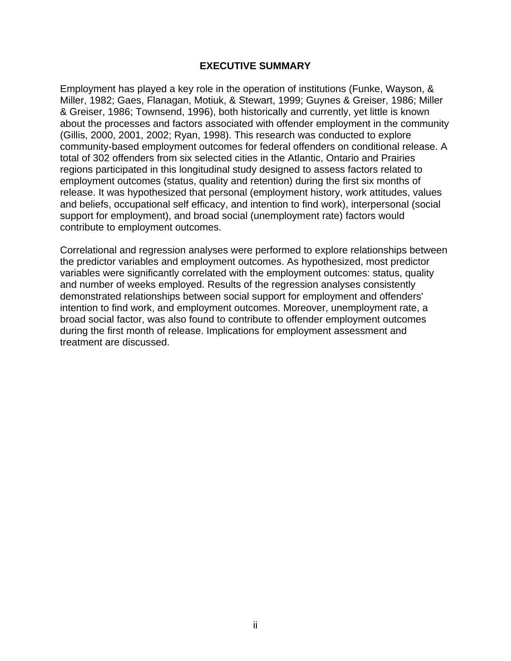#### **EXECUTIVE SUMMARY**

<span id="page-3-0"></span>Employment has played a key role in the operation of institutions (Funke, Wayson, & Miller, 1982; Gaes, Flanagan, Motiuk, & Stewart, 1999; Guynes & Greiser, 1986; Miller & Greiser, 1986; Townsend, 1996), both historically and currently, yet little is known about the processes and factors associated with offender employment in the community (Gillis, 2000, 2001, 2002; Ryan, 1998). This research was conducted to explore community-based employment outcomes for federal offenders on conditional release. A total of 302 offenders from six selected cities in the Atlantic, Ontario and Prairies regions participated in this longitudinal study designed to assess factors related to employment outcomes (status, quality and retention) during the first six months of release. It was hypothesized that personal (employment history, work attitudes, values and beliefs, occupational self efficacy, and intention to find work), interpersonal (social support for employment), and broad social (unemployment rate) factors would contribute to employment outcomes.

Correlational and regression analyses were performed to explore relationships between the predictor variables and employment outcomes. As hypothesized, most predictor variables were significantly correlated with the employment outcomes: status, quality and number of weeks employed. Results of the regression analyses consistently demonstrated relationships between social support for employment and offenders' intention to find work, and employment outcomes. Moreover, unemployment rate, a broad social factor, was also found to contribute to offender employment outcomes during the first month of release. Implications for employment assessment and treatment are discussed.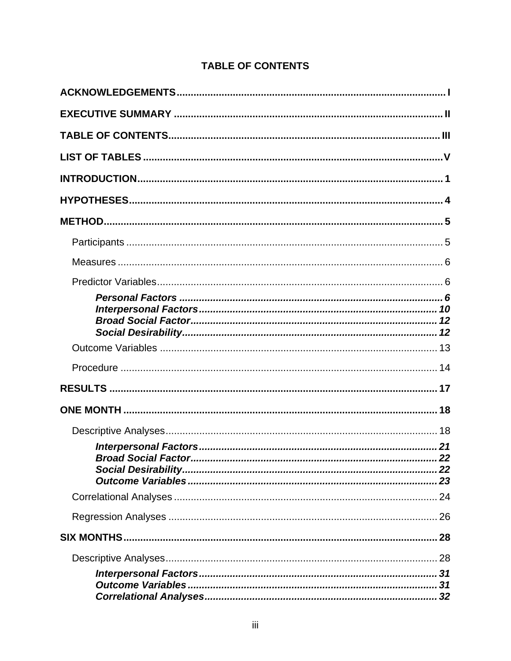# **TABLE OF CONTENTS**

<span id="page-4-0"></span>

| 32 |
|----|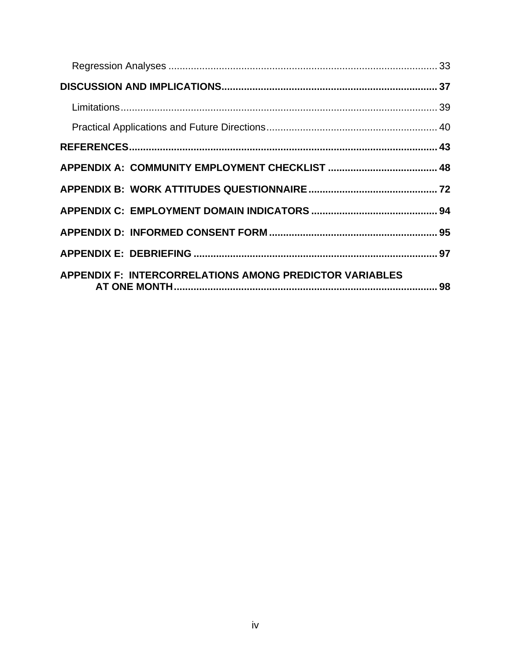| <b>APPENDIX F: INTERCORRELATIONS AMONG PREDICTOR VARIABLES</b> |  |
|----------------------------------------------------------------|--|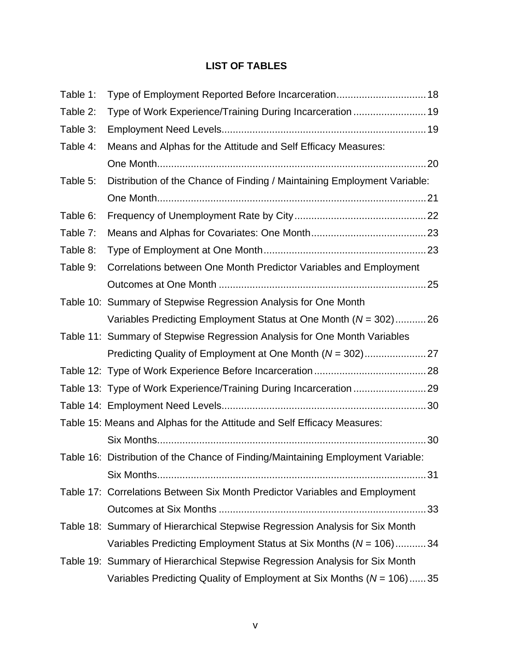# **LIST OF TABLES**

<span id="page-6-0"></span>

| Table 1: | Type of Employment Reported Before Incarceration 18                              |
|----------|----------------------------------------------------------------------------------|
| Table 2: | Type of Work Experience/Training During Incarceration  19                        |
| Table 3: |                                                                                  |
| Table 4: | Means and Alphas for the Attitude and Self Efficacy Measures:                    |
|          |                                                                                  |
| Table 5: | Distribution of the Chance of Finding / Maintaining Employment Variable:         |
|          |                                                                                  |
| Table 6: |                                                                                  |
| Table 7: |                                                                                  |
| Table 8: |                                                                                  |
| Table 9: | Correlations between One Month Predictor Variables and Employment                |
|          |                                                                                  |
|          | Table 10: Summary of Stepwise Regression Analysis for One Month                  |
|          | Variables Predicting Employment Status at One Month $(N = 302)$ 26               |
|          | Table 11: Summary of Stepwise Regression Analysis for One Month Variables        |
|          |                                                                                  |
|          |                                                                                  |
|          | Table 13: Type of Work Experience/Training During Incarceration 29               |
|          |                                                                                  |
|          | Table 15: Means and Alphas for the Attitude and Self Efficacy Measures:          |
|          |                                                                                  |
|          | Table 16: Distribution of the Chance of Finding/Maintaining Employment Variable: |
|          |                                                                                  |
|          | Table 17: Correlations Between Six Month Predictor Variables and Employment      |
|          |                                                                                  |
|          | Table 18: Summary of Hierarchical Stepwise Regression Analysis for Six Month     |
|          | Variables Predicting Employment Status at Six Months (N = 106)34                 |
|          | Table 19: Summary of Hierarchical Stepwise Regression Analysis for Six Month     |
|          | Variables Predicting Quality of Employment at Six Months ( $N = 106$ ) 35        |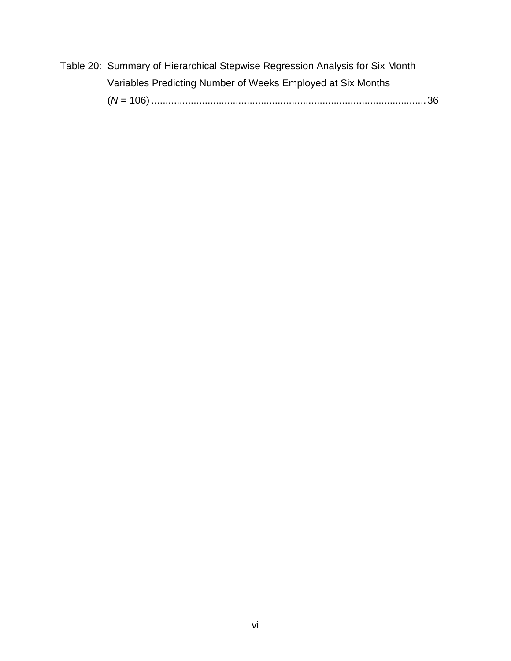| Table 20: Summary of Hierarchical Stepwise Regression Analysis for Six Month |  |
|------------------------------------------------------------------------------|--|
| Variables Predicting Number of Weeks Employed at Six Months                  |  |
|                                                                              |  |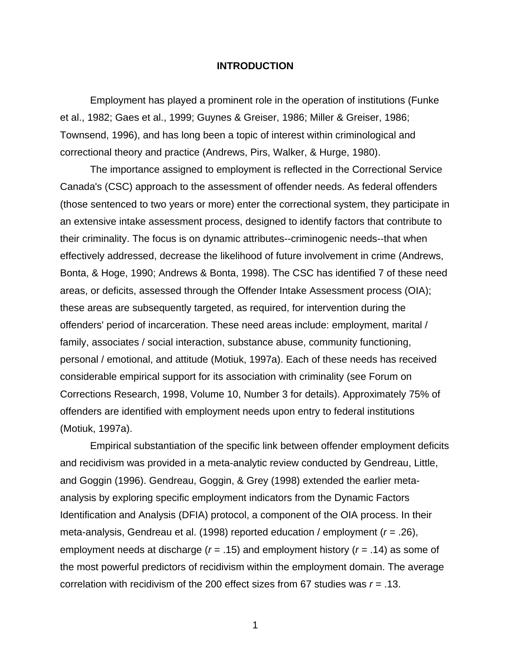#### **INTRODUCTION**

<span id="page-8-0"></span>Employment has played a prominent role in the operation of institutions (Funke et al., 1982; Gaes et al., 1999; Guynes & Greiser, 1986; Miller & Greiser, 1986; Townsend, 1996), and has long been a topic of interest within criminological and correctional theory and practice (Andrews, Pirs, Walker, & Hurge, 1980).

The importance assigned to employment is reflected in the Correctional Service Canada's (CSC) approach to the assessment of offender needs. As federal offenders (those sentenced to two years or more) enter the correctional system, they participate in an extensive intake assessment process, designed to identify factors that contribute to their criminality. The focus is on dynamic attributes--criminogenic needs--that when effectively addressed, decrease the likelihood of future involvement in crime (Andrews, Bonta, & Hoge, 1990; Andrews & Bonta, 1998). The CSC has identified 7 of these need areas, or deficits, assessed through the Offender Intake Assessment process (OIA); these areas are subsequently targeted, as required, for intervention during the offenders' period of incarceration. These need areas include: employment, marital / family, associates / social interaction, substance abuse, community functioning, personal / emotional, and attitude (Motiuk, 1997a). Each of these needs has received considerable empirical support for its association with criminality (see Forum on Corrections Research, 1998, Volume 10, Number 3 for details). Approximately 75% of offenders are identified with employment needs upon entry to federal institutions (Motiuk, 1997a).

Empirical substantiation of the specific link between offender employment deficits and recidivism was provided in a meta-analytic review conducted by Gendreau, Little, and Goggin (1996). Gendreau, Goggin, & Grey (1998) extended the earlier metaanalysis by exploring specific employment indicators from the Dynamic Factors Identification and Analysis (DFIA) protocol, a component of the OIA process. In their meta-analysis, Gendreau et al. (1998) reported education / employment (*r* = .26), employment needs at discharge (*r* = .15) and employment history (*r* = .14) as some of the most powerful predictors of recidivism within the employment domain. The average correlation with recidivism of the 200 effect sizes from 67 studies was *r* = .13.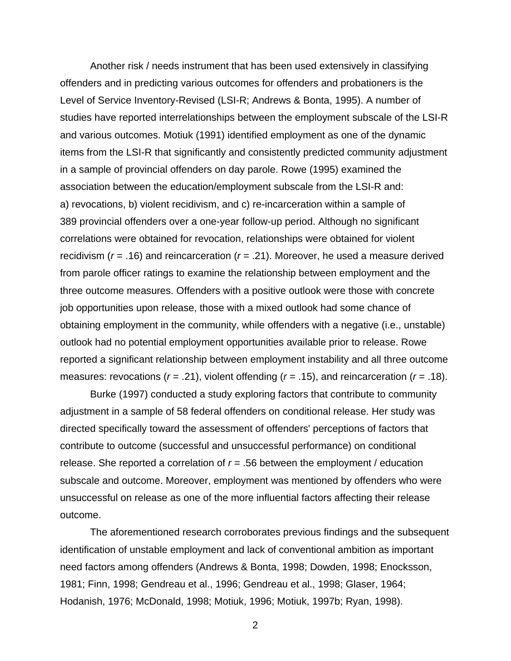Another risk / needs instrument that has been used extensively in classifying offenders and in predicting various outcomes for offenders and probationers is the Level of Service Inventory-Revised (LSI-R; Andrews & Bonta, 1995). A number of studies have reported interrelationships between the employment subscale of the LSI-R and various outcomes. Motiuk (1991) identified employment as one of the dynamic items from the LSI-R that significantly and consistently predicted community adjustment in a sample of provincial offenders on day parole. Rowe (1995) examined the association between the education/employment subscale from the LSI-R and: a) revocations, b) violent recidivism, and c) re-incarceration within a sample of 389 provincial offenders over a one-year follow-up period. Although no significant correlations were obtained for revocation, relationships were obtained for violent recidivism (*r* = .16) and reincarceration (*r* = .21). Moreover, he used a measure derived from parole officer ratings to examine the relationship between employment and the three outcome measures. Offenders with a positive outlook were those with concrete job opportunities upon release, those with a mixed outlook had some chance of obtaining employment in the community, while offenders with a negative (i.e., unstable) outlook had no potential employment opportunities available prior to release. Rowe reported a significant relationship between employment instability and all three outcome measures: revocations (*r* = .21), violent offending (*r* = .15), and reincarceration (*r* = .18).

Burke (1997) conducted a study exploring factors that contribute to community adjustment in a sample of 58 federal offenders on conditional release. Her study was directed specifically toward the assessment of offenders' perceptions of factors that contribute to outcome (successful and unsuccessful performance) on conditional release. She reported a correlation of  $r = .56$  between the employment / education subscale and outcome. Moreover, employment was mentioned by offenders who were unsuccessful on release as one of the more influential factors affecting their release outcome.

The aforementioned research corroborates previous findings and the subsequent identification of unstable employment and lack of conventional ambition as important need factors among offenders (Andrews & Bonta, 1998; Dowden, 1998; Enocksson, 1981; Finn, 1998; Gendreau et al., 1996; Gendreau et al., 1998; Glaser, 1964; Hodanish, 1976; McDonald, 1998; Motiuk, 1996; Motiuk, 1997b; Ryan, 1998).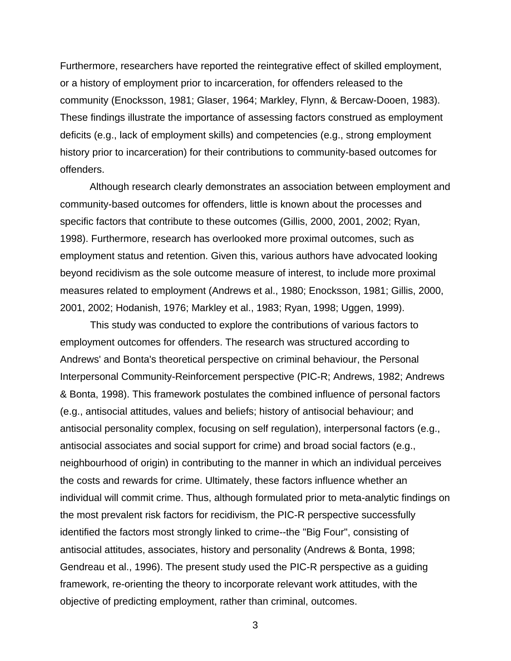Furthermore, researchers have reported the reintegrative effect of skilled employment, or a history of employment prior to incarceration, for offenders released to the community (Enocksson, 1981; Glaser, 1964; Markley, Flynn, & Bercaw-Dooen, 1983). These findings illustrate the importance of assessing factors construed as employment deficits (e.g., lack of employment skills) and competencies (e.g., strong employment history prior to incarceration) for their contributions to community-based outcomes for offenders.

 Although research clearly demonstrates an association between employment and community-based outcomes for offenders, little is known about the processes and specific factors that contribute to these outcomes (Gillis, 2000, 2001, 2002; Ryan, 1998). Furthermore, research has overlooked more proximal outcomes, such as employment status and retention. Given this, various authors have advocated looking beyond recidivism as the sole outcome measure of interest, to include more proximal measures related to employment (Andrews et al., 1980; Enocksson, 1981; Gillis, 2000, 2001, 2002; Hodanish, 1976; Markley et al., 1983; Ryan, 1998; Uggen, 1999).

This study was conducted to explore the contributions of various factors to employment outcomes for offenders. The research was structured according to Andrews' and Bonta's theoretical perspective on criminal behaviour, the Personal Interpersonal Community-Reinforcement perspective (PIC-R; Andrews, 1982; Andrews & Bonta, 1998). This framework postulates the combined influence of personal factors (e.g., antisocial attitudes, values and beliefs; history of antisocial behaviour; and antisocial personality complex, focusing on self regulation), interpersonal factors (e.g., antisocial associates and social support for crime) and broad social factors (e.g., neighbourhood of origin) in contributing to the manner in which an individual perceives the costs and rewards for crime. Ultimately, these factors influence whether an individual will commit crime. Thus, although formulated prior to meta-analytic findings on the most prevalent risk factors for recidivism, the PIC-R perspective successfully identified the factors most strongly linked to crime--the "Big Four", consisting of antisocial attitudes, associates, history and personality (Andrews & Bonta, 1998; Gendreau et al., 1996). The present study used the PIC-R perspective as a guiding framework, re-orienting the theory to incorporate relevant work attitudes, with the objective of predicting employment, rather than criminal, outcomes.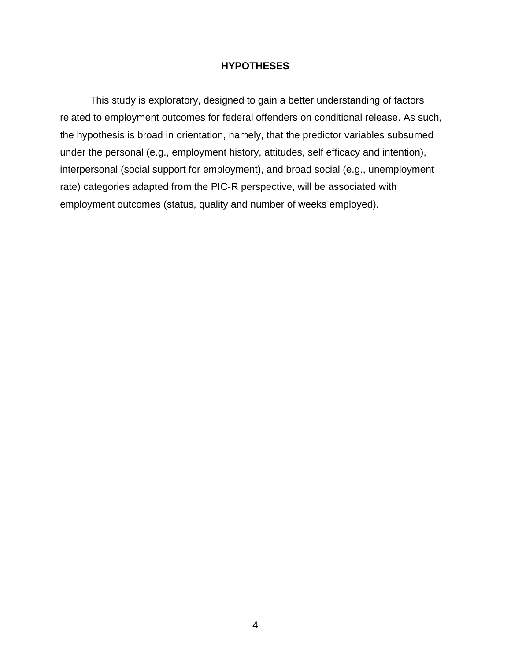## **HYPOTHESES**

<span id="page-11-0"></span>This study is exploratory, designed to gain a better understanding of factors related to employment outcomes for federal offenders on conditional release. As such, the hypothesis is broad in orientation, namely, that the predictor variables subsumed under the personal (e.g., employment history, attitudes, self efficacy and intention), interpersonal (social support for employment), and broad social (e.g., unemployment rate) categories adapted from the PIC-R perspective, will be associated with employment outcomes (status, quality and number of weeks employed).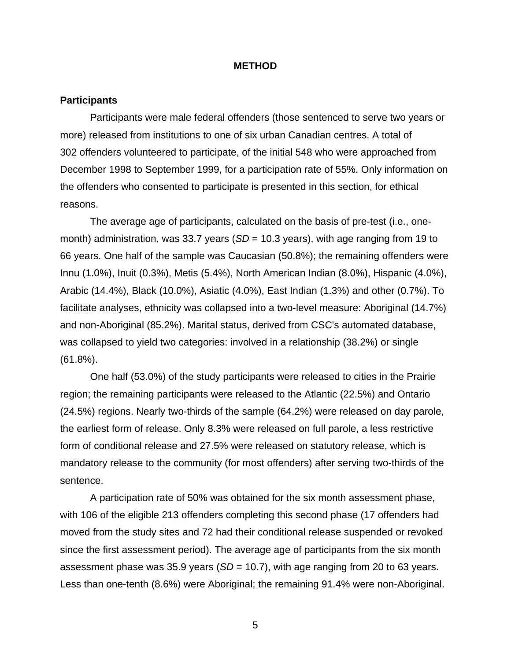#### **METHOD**

#### <span id="page-12-0"></span>**Participants**

Participants were male federal offenders (those sentenced to serve two years or more) released from institutions to one of six urban Canadian centres. A total of 302 offenders volunteered to participate, of the initial 548 who were approached from December 1998 to September 1999, for a participation rate of 55%. Only information on the offenders who consented to participate is presented in this section, for ethical reasons.

The average age of participants, calculated on the basis of pre-test (i.e., onemonth) administration, was 33.7 years (*SD* = 10.3 years), with age ranging from 19 to 66 years. One half of the sample was Caucasian (50.8%); the remaining offenders were Innu (1.0%), Inuit (0.3%), Metis (5.4%), North American Indian (8.0%), Hispanic (4.0%), Arabic (14.4%), Black (10.0%), Asiatic (4.0%), East Indian (1.3%) and other (0.7%). To facilitate analyses, ethnicity was collapsed into a two-level measure: Aboriginal (14.7%) and non-Aboriginal (85.2%). Marital status, derived from CSC's automated database, was collapsed to yield two categories: involved in a relationship (38.2%) or single (61.8%).

One half (53.0%) of the study participants were released to cities in the Prairie region; the remaining participants were released to the Atlantic (22.5%) and Ontario (24.5%) regions. Nearly two-thirds of the sample (64.2%) were released on day parole, the earliest form of release. Only 8.3% were released on full parole, a less restrictive form of conditional release and 27.5% were released on statutory release, which is mandatory release to the community (for most offenders) after serving two-thirds of the sentence.

A participation rate of 50% was obtained for the six month assessment phase, with 106 of the eligible 213 offenders completing this second phase (17 offenders had moved from the study sites and 72 had their conditional release suspended or revoked since the first assessment period). The average age of participants from the six month assessment phase was 35.9 years (*SD* = 10.7), with age ranging from 20 to 63 years. Less than one-tenth (8.6%) were Aboriginal; the remaining 91.4% were non-Aboriginal.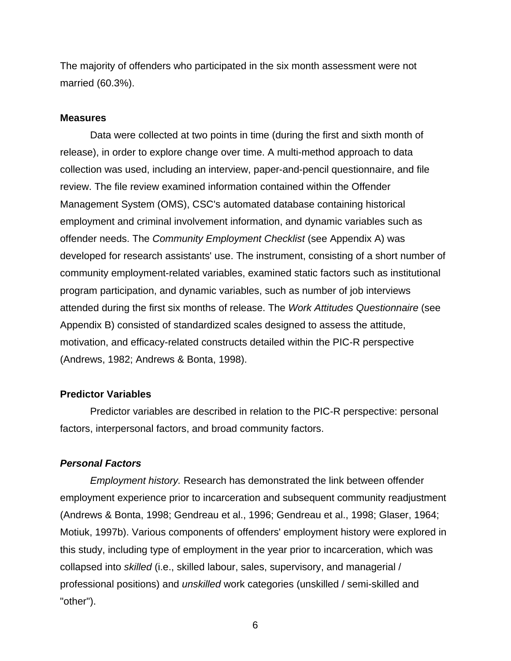<span id="page-13-0"></span>The majority of offenders who participated in the six month assessment were not married (60.3%).

#### **Measures**

Data were collected at two points in time (during the first and sixth month of release), in order to explore change over time. A multi-method approach to data collection was used, including an interview, paper-and-pencil questionnaire, and file review. The file review examined information contained within the Offender Management System (OMS), CSC's automated database containing historical employment and criminal involvement information, and dynamic variables such as offender needs. The *Community Employment Checklist* (see Appendix A) was developed for research assistants' use. The instrument, consisting of a short number of community employment-related variables, examined static factors such as institutional program participation, and dynamic variables, such as number of job interviews attended during the first six months of release. The *Work Attitudes Questionnaire* (see Appendix B) consisted of standardized scales designed to assess the attitude, motivation, and efficacy-related constructs detailed within the PIC-R perspective (Andrews, 1982; Andrews & Bonta, 1998).

#### **Predictor Variables**

Predictor variables are described in relation to the PIC-R perspective: personal factors, interpersonal factors, and broad community factors.

## *Personal Factors*

*Employment history.* Research has demonstrated the link between offender employment experience prior to incarceration and subsequent community readjustment (Andrews & Bonta, 1998; Gendreau et al., 1996; Gendreau et al., 1998; Glaser, 1964; Motiuk, 1997b). Various components of offenders' employment history were explored in this study, including type of employment in the year prior to incarceration, which was collapsed into *skilled* (i.e., skilled labour, sales, supervisory, and managerial / professional positions) and *unskilled* work categories (unskilled / semi-skilled and "other").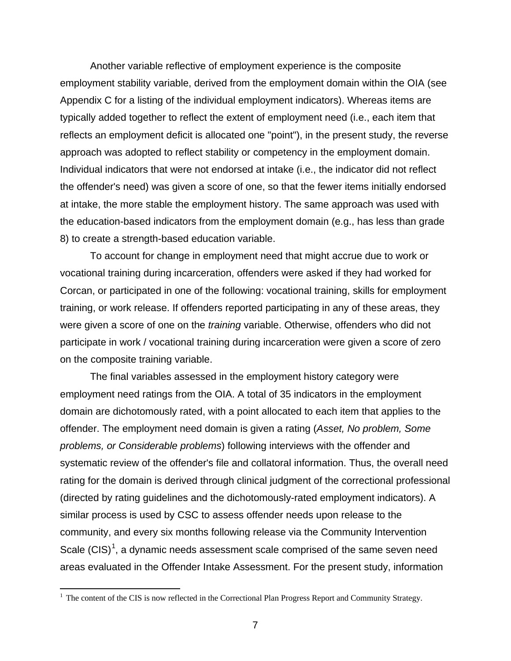Another variable reflective of employment experience is the composite employment stability variable, derived from the employment domain within the OIA (see Appendix C for a listing of the individual employment indicators). Whereas items are typically added together to reflect the extent of employment need (i.e., each item that reflects an employment deficit is allocated one "point"), in the present study, the reverse approach was adopted to reflect stability or competency in the employment domain. Individual indicators that were not endorsed at intake (i.e., the indicator did not reflect the offender's need) was given a score of one, so that the fewer items initially endorsed at intake, the more stable the employment history. The same approach was used with the education-based indicators from the employment domain (e.g., has less than grade 8) to create a strength-based education variable.

To account for change in employment need that might accrue due to work or vocational training during incarceration, offenders were asked if they had worked for Corcan, or participated in one of the following: vocational training, skills for employment training, or work release. If offenders reported participating in any of these areas, they were given a score of one on the *training* variable. Otherwise, offenders who did not participate in work / vocational training during incarceration were given a score of zero on the composite training variable.

The final variables assessed in the employment history category were employment need ratings from the OIA. A total of 35 indicators in the employment domain are dichotomously rated, with a point allocated to each item that applies to the offender. The employment need domain is given a rating (*Asset, No problem, Some problems, or Considerable problems*) following interviews with the offender and systematic review of the offender's file and collatoral information. Thus, the overall need rating for the domain is derived through clinical judgment of the correctional professional (directed by rating guidelines and the dichotomously-rated employment indicators). A similar process is used by CSC to assess offender needs upon release to the community, and every six months following release via the Community Intervention Scale  $(CIS)^1$  $(CIS)^1$ , a dynamic needs assessment scale comprised of the same seven need areas evaluated in the Offender Intake Assessment. For the present study, information

<span id="page-14-0"></span><sup>&</sup>lt;sup>1</sup> The content of the CIS is now reflected in the Correctional Plan Progress Report and Community Strategy.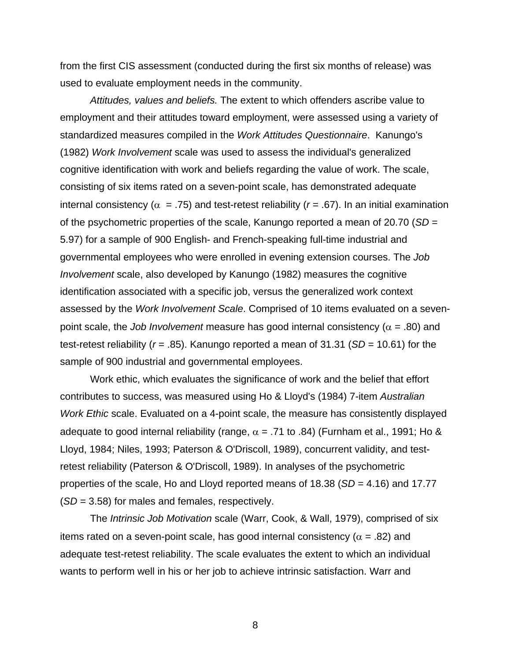from the first CIS assessment (conducted during the first six months of release) was used to evaluate employment needs in the community.

*Attitudes, values and beliefs.* The extent to which offenders ascribe value to employment and their attitudes toward employment, were assessed using a variety of standardized measures compiled in the *Work Attitudes Questionnaire*. Kanungo's (1982) *Work Involvement* scale was used to assess the individual's generalized cognitive identification with work and beliefs regarding the value of work. The scale, consisting of six items rated on a seven-point scale, has demonstrated adequate internal consistency ( $\alpha$  = .75) and test-retest reliability ( $r$  = .67). In an initial examination of the psychometric properties of the scale, Kanungo reported a mean of 20.70 (*SD* = 5.97) for a sample of 900 English- and French-speaking full-time industrial and governmental employees who were enrolled in evening extension courses. The *Job Involvement* scale, also developed by Kanungo (1982) measures the cognitive identification associated with a specific job, versus the generalized work context assessed by the *Work Involvement Scale*. Comprised of 10 items evaluated on a sevenpoint scale, the *Job Involvement* measure has good internal consistency ( $\alpha$  = .80) and test-retest reliability (*r* = .85). Kanungo reported a mean of 31.31 (*SD* = 10.61) for the sample of 900 industrial and governmental employees.

Work ethic, which evaluates the significance of work and the belief that effort contributes to success, was measured using Ho & Lloyd's (1984) 7-item *Australian Work Ethic* scale. Evaluated on a 4-point scale, the measure has consistently displayed adequate to good internal reliability (range,  $\alpha$  = .71 to .84) (Furnham et al., 1991; Ho & Lloyd, 1984; Niles, 1993; Paterson & O'Driscoll, 1989), concurrent validity, and testretest reliability (Paterson & O'Driscoll, 1989). In analyses of the psychometric properties of the scale, Ho and Lloyd reported means of 18.38 (*SD* = 4.16) and 17.77 (*SD* = 3.58) for males and females, respectively.

The *Intrinsic Job Motivation* scale (Warr, Cook, & Wall, 1979), comprised of six items rated on a seven-point scale, has good internal consistency ( $\alpha$  = .82) and adequate test-retest reliability. The scale evaluates the extent to which an individual wants to perform well in his or her job to achieve intrinsic satisfaction. Warr and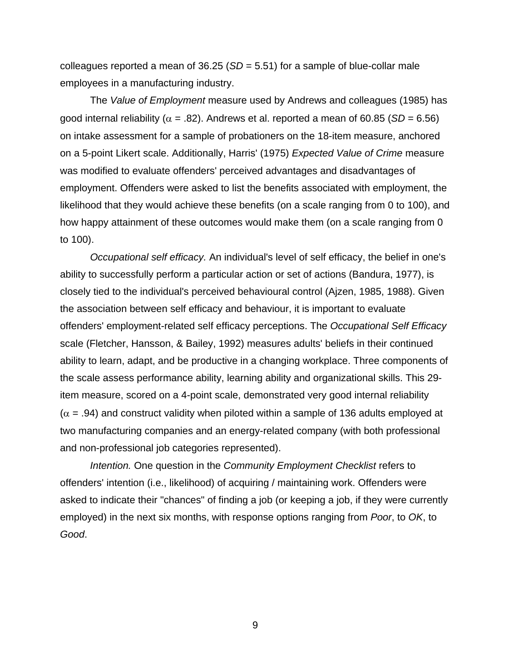colleagues reported a mean of 36.25 (*SD* = 5.51) for a sample of blue-collar male employees in a manufacturing industry.

The *Value of Employment* measure used by Andrews and colleagues (1985) has good internal reliability ( $\alpha$  = .82). Andrews et al. reported a mean of 60.85 (*SD* = 6.56) on intake assessment for a sample of probationers on the 18-item measure, anchored on a 5-point Likert scale. Additionally, Harris' (1975) *Expected Value of Crime* measure was modified to evaluate offenders' perceived advantages and disadvantages of employment. Offenders were asked to list the benefits associated with employment, the likelihood that they would achieve these benefits (on a scale ranging from 0 to 100), and how happy attainment of these outcomes would make them (on a scale ranging from 0 to 100).

*Occupational self efficacy.* An individual's level of self efficacy, the belief in one's ability to successfully perform a particular action or set of actions (Bandura, 1977), is closely tied to the individual's perceived behavioural control (Ajzen, 1985, 1988). Given the association between self efficacy and behaviour, it is important to evaluate offenders' employment-related self efficacy perceptions. The *Occupational Self Efficacy* scale (Fletcher, Hansson, & Bailey, 1992) measures adults' beliefs in their continued ability to learn, adapt, and be productive in a changing workplace. Three components of the scale assess performance ability, learning ability and organizational skills. This 29 item measure, scored on a 4-point scale, demonstrated very good internal reliability  $(\alpha = .94)$  and construct validity when piloted within a sample of 136 adults employed at two manufacturing companies and an energy-related company (with both professional and non-professional job categories represented).

*Intention.* One question in the *Community Employment Checklist* refers to offenders' intention (i.e., likelihood) of acquiring / maintaining work. Offenders were asked to indicate their "chances" of finding a job (or keeping a job, if they were currently employed) in the next six months, with response options ranging from *Poor*, to *OK*, to *Good*.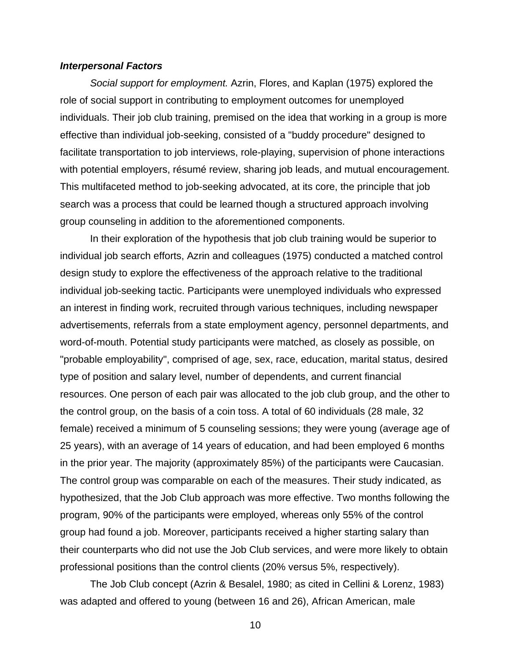#### <span id="page-17-0"></span>*Interpersonal Factors*

*Social support for employment.* Azrin, Flores, and Kaplan (1975) explored the role of social support in contributing to employment outcomes for unemployed individuals. Their job club training, premised on the idea that working in a group is more effective than individual job-seeking, consisted of a "buddy procedure" designed to facilitate transportation to job interviews, role-playing, supervision of phone interactions with potential employers, résumé review, sharing job leads, and mutual encouragement. This multifaceted method to job-seeking advocated, at its core, the principle that job search was a process that could be learned though a structured approach involving group counseling in addition to the aforementioned components.

In their exploration of the hypothesis that job club training would be superior to individual job search efforts, Azrin and colleagues (1975) conducted a matched control design study to explore the effectiveness of the approach relative to the traditional individual job-seeking tactic. Participants were unemployed individuals who expressed an interest in finding work, recruited through various techniques, including newspaper advertisements, referrals from a state employment agency, personnel departments, and word-of-mouth. Potential study participants were matched, as closely as possible, on "probable employability", comprised of age, sex, race, education, marital status, desired type of position and salary level, number of dependents, and current financial resources. One person of each pair was allocated to the job club group, and the other to the control group, on the basis of a coin toss. A total of 60 individuals (28 male, 32 female) received a minimum of 5 counseling sessions; they were young (average age of 25 years), with an average of 14 years of education, and had been employed 6 months in the prior year. The majority (approximately 85%) of the participants were Caucasian. The control group was comparable on each of the measures. Their study indicated, as hypothesized, that the Job Club approach was more effective. Two months following the program, 90% of the participants were employed, whereas only 55% of the control group had found a job. Moreover, participants received a higher starting salary than their counterparts who did not use the Job Club services, and were more likely to obtain professional positions than the control clients (20% versus 5%, respectively).

The Job Club concept (Azrin & Besalel, 1980; as cited in Cellini & Lorenz, 1983) was adapted and offered to young (between 16 and 26), African American, male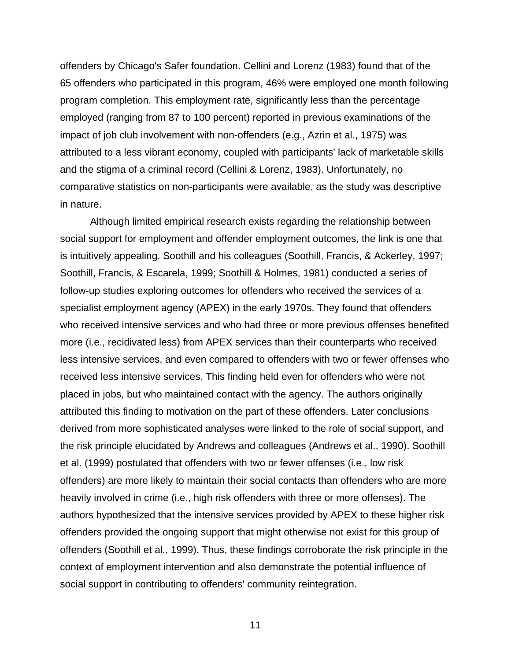offenders by Chicago's Safer foundation. Cellini and Lorenz (1983) found that of the 65 offenders who participated in this program, 46% were employed one month following program completion. This employment rate, significantly less than the percentage employed (ranging from 87 to 100 percent) reported in previous examinations of the impact of job club involvement with non-offenders (e.g., Azrin et al., 1975) was attributed to a less vibrant economy, coupled with participants' lack of marketable skills and the stigma of a criminal record (Cellini & Lorenz, 1983). Unfortunately, no comparative statistics on non-participants were available, as the study was descriptive in nature.

Although limited empirical research exists regarding the relationship between social support for employment and offender employment outcomes, the link is one that is intuitively appealing. Soothill and his colleagues (Soothill, Francis, & Ackerley, 1997; Soothill, Francis, & Escarela, 1999; Soothill & Holmes, 1981) conducted a series of follow-up studies exploring outcomes for offenders who received the services of a specialist employment agency (APEX) in the early 1970s. They found that offenders who received intensive services and who had three or more previous offenses benefited more (i.e., recidivated less) from APEX services than their counterparts who received less intensive services, and even compared to offenders with two or fewer offenses who received less intensive services. This finding held even for offenders who were not placed in jobs, but who maintained contact with the agency. The authors originally attributed this finding to motivation on the part of these offenders. Later conclusions derived from more sophisticated analyses were linked to the role of social support, and the risk principle elucidated by Andrews and colleagues (Andrews et al., 1990). Soothill et al. (1999) postulated that offenders with two or fewer offenses (i.e., low risk offenders) are more likely to maintain their social contacts than offenders who are more heavily involved in crime (i.e., high risk offenders with three or more offenses). The authors hypothesized that the intensive services provided by APEX to these higher risk offenders provided the ongoing support that might otherwise not exist for this group of offenders (Soothill et al., 1999). Thus, these findings corroborate the risk principle in the context of employment intervention and also demonstrate the potential influence of social support in contributing to offenders' community reintegration.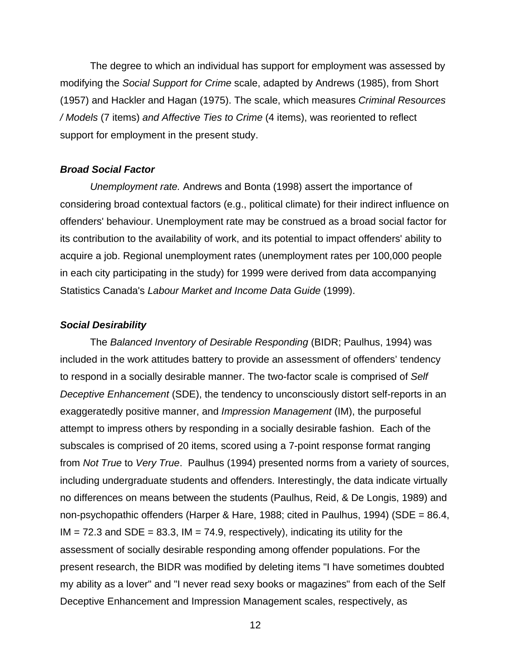<span id="page-19-0"></span>The degree to which an individual has support for employment was assessed by modifying the *Social Support for Crime* scale, adapted by Andrews (1985), from Short (1957) and Hackler and Hagan (1975). The scale, which measures *Criminal Resources / Models* (7 items) *and Affective Ties to Crime* (4 items), was reoriented to reflect support for employment in the present study.

#### *Broad Social Factor*

*Unemployment rate.* Andrews and Bonta (1998) assert the importance of considering broad contextual factors (e.g., political climate) for their indirect influence on offenders' behaviour. Unemployment rate may be construed as a broad social factor for its contribution to the availability of work, and its potential to impact offenders' ability to acquire a job. Regional unemployment rates (unemployment rates per 100,000 people in each city participating in the study) for 1999 were derived from data accompanying Statistics Canada's *Labour Market and Income Data Guide* (1999).

#### *Social Desirability*

The *Balanced Inventory of Desirable Responding* (BIDR; Paulhus, 1994) was included in the work attitudes battery to provide an assessment of offenders' tendency to respond in a socially desirable manner. The two-factor scale is comprised of *Self Deceptive Enhancement* (SDE), the tendency to unconsciously distort self-reports in an exaggeratedly positive manner, and *Impression Management* (IM), the purposeful attempt to impress others by responding in a socially desirable fashion. Each of the subscales is comprised of 20 items, scored using a 7-point response format ranging from *Not True* to *Very True*. Paulhus (1994) presented norms from a variety of sources, including undergraduate students and offenders. Interestingly, the data indicate virtually no differences on means between the students (Paulhus, Reid, & De Longis, 1989) and non-psychopathic offenders (Harper & Hare, 1988; cited in Paulhus, 1994) (SDE = 86.4,  $IM = 72.3$  and SDE = 83.3,  $IM = 74.9$ , respectively), indicating its utility for the assessment of socially desirable responding among offender populations. For the present research, the BIDR was modified by deleting items "I have sometimes doubted my ability as a lover" and "I never read sexy books or magazines" from each of the Self Deceptive Enhancement and Impression Management scales, respectively, as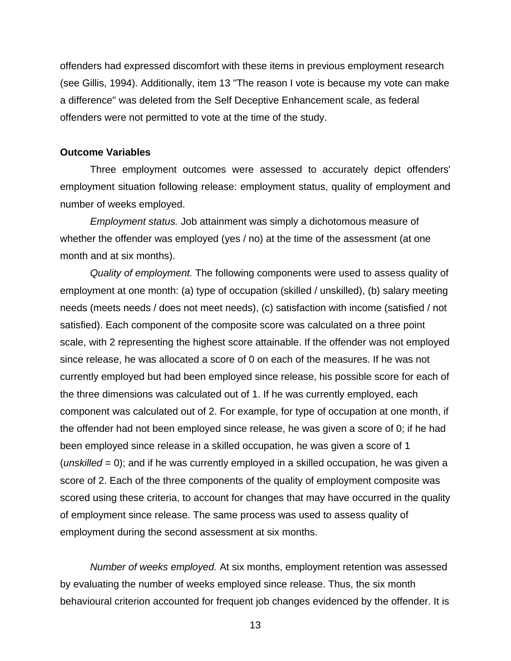<span id="page-20-0"></span>offenders had expressed discomfort with these items in previous employment research (see Gillis, 1994). Additionally, item 13 "The reason I vote is because my vote can make a difference" was deleted from the Self Deceptive Enhancement scale, as federal offenders were not permitted to vote at the time of the study.

#### **Outcome Variables**

Three employment outcomes were assessed to accurately depict offenders' employment situation following release: employment status, quality of employment and number of weeks employed.

*Employment status.* Job attainment was simply a dichotomous measure of whether the offender was employed (yes / no) at the time of the assessment (at one month and at six months).

*Quality of employment.* The following components were used to assess quality of employment at one month: (a) type of occupation (skilled / unskilled), (b) salary meeting needs (meets needs / does not meet needs), (c) satisfaction with income (satisfied / not satisfied). Each component of the composite score was calculated on a three point scale, with 2 representing the highest score attainable. If the offender was not employed since release, he was allocated a score of 0 on each of the measures. If he was not currently employed but had been employed since release, his possible score for each of the three dimensions was calculated out of 1. If he was currently employed, each component was calculated out of 2. For example, for type of occupation at one month, if the offender had not been employed since release, he was given a score of 0; if he had been employed since release in a skilled occupation, he was given a score of 1 (*unskilled* = 0); and if he was currently employed in a skilled occupation, he was given a score of 2. Each of the three components of the quality of employment composite was scored using these criteria, to account for changes that may have occurred in the quality of employment since release. The same process was used to assess quality of employment during the second assessment at six months.

*Number of weeks employed.* At six months, employment retention was assessed by evaluating the number of weeks employed since release. Thus, the six month behavioural criterion accounted for frequent job changes evidenced by the offender. It is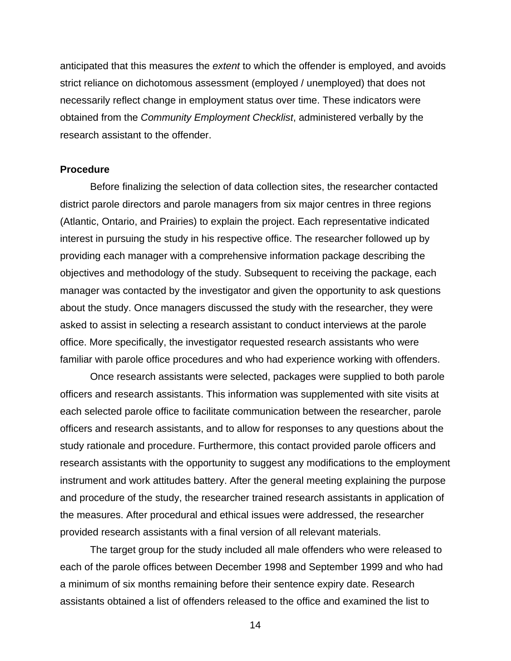<span id="page-21-0"></span>anticipated that this measures the *extent* to which the offender is employed, and avoids strict reliance on dichotomous assessment (employed / unemployed) that does not necessarily reflect change in employment status over time. These indicators were obtained from the *Community Employment Checklist*, administered verbally by the research assistant to the offender.

#### **Procedure**

Before finalizing the selection of data collection sites, the researcher contacted district parole directors and parole managers from six major centres in three regions (Atlantic, Ontario, and Prairies) to explain the project. Each representative indicated interest in pursuing the study in his respective office. The researcher followed up by providing each manager with a comprehensive information package describing the objectives and methodology of the study. Subsequent to receiving the package, each manager was contacted by the investigator and given the opportunity to ask questions about the study. Once managers discussed the study with the researcher, they were asked to assist in selecting a research assistant to conduct interviews at the parole office. More specifically, the investigator requested research assistants who were familiar with parole office procedures and who had experience working with offenders.

Once research assistants were selected, packages were supplied to both parole officers and research assistants. This information was supplemented with site visits at each selected parole office to facilitate communication between the researcher, parole officers and research assistants, and to allow for responses to any questions about the study rationale and procedure. Furthermore, this contact provided parole officers and research assistants with the opportunity to suggest any modifications to the employment instrument and work attitudes battery. After the general meeting explaining the purpose and procedure of the study, the researcher trained research assistants in application of the measures. After procedural and ethical issues were addressed, the researcher provided research assistants with a final version of all relevant materials.

The target group for the study included all male offenders who were released to each of the parole offices between December 1998 and September 1999 and who had a minimum of six months remaining before their sentence expiry date. Research assistants obtained a list of offenders released to the office and examined the list to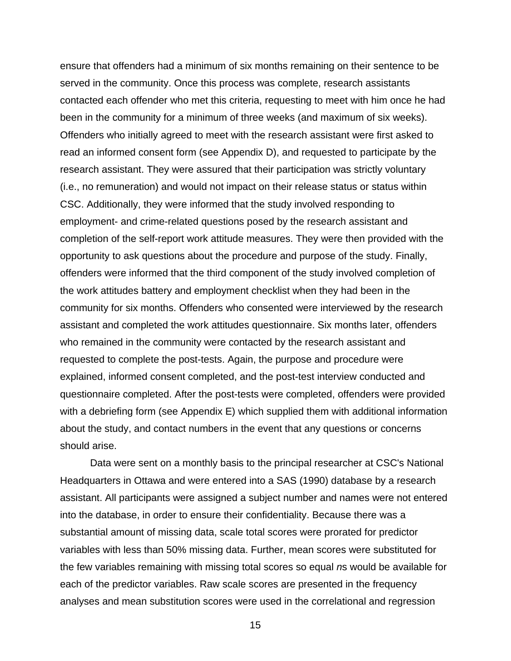ensure that offenders had a minimum of six months remaining on their sentence to be served in the community. Once this process was complete, research assistants contacted each offender who met this criteria, requesting to meet with him once he had been in the community for a minimum of three weeks (and maximum of six weeks). Offenders who initially agreed to meet with the research assistant were first asked to read an informed consent form (see Appendix D), and requested to participate by the research assistant. They were assured that their participation was strictly voluntary (i.e., no remuneration) and would not impact on their release status or status within CSC. Additionally, they were informed that the study involved responding to employment- and crime-related questions posed by the research assistant and completion of the self-report work attitude measures. They were then provided with the opportunity to ask questions about the procedure and purpose of the study. Finally, offenders were informed that the third component of the study involved completion of the work attitudes battery and employment checklist when they had been in the community for six months. Offenders who consented were interviewed by the research assistant and completed the work attitudes questionnaire. Six months later, offenders who remained in the community were contacted by the research assistant and requested to complete the post-tests. Again, the purpose and procedure were explained, informed consent completed, and the post-test interview conducted and questionnaire completed. After the post-tests were completed, offenders were provided with a debriefing form (see Appendix E) which supplied them with additional information about the study, and contact numbers in the event that any questions or concerns should arise.

Data were sent on a monthly basis to the principal researcher at CSC's National Headquarters in Ottawa and were entered into a SAS (1990) database by a research assistant. All participants were assigned a subject number and names were not entered into the database, in order to ensure their confidentiality. Because there was a substantial amount of missing data, scale total scores were prorated for predictor variables with less than 50% missing data. Further, mean scores were substituted for the few variables remaining with missing total scores so equal *n*s would be available for each of the predictor variables. Raw scale scores are presented in the frequency analyses and mean substitution scores were used in the correlational and regression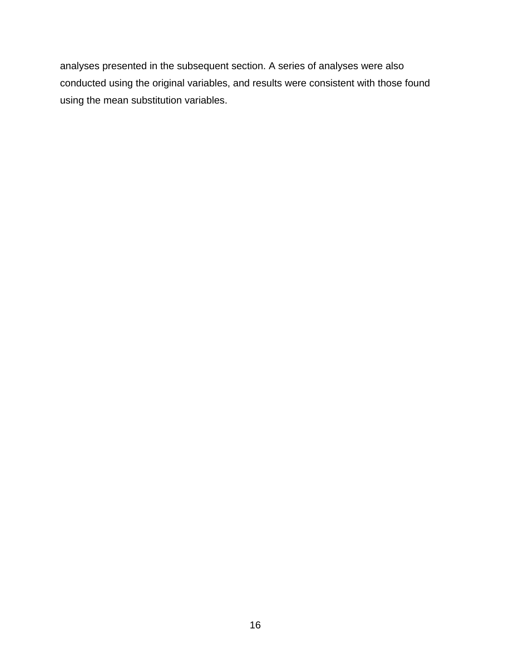analyses presented in the subsequent section. A series of analyses were also conducted using the original variables, and results were consistent with those found using the mean substitution variables.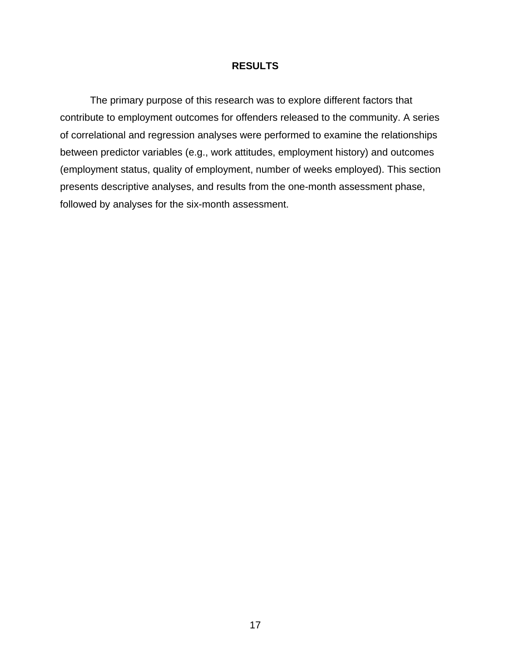## **RESULTS**

<span id="page-24-0"></span>The primary purpose of this research was to explore different factors that contribute to employment outcomes for offenders released to the community. A series of correlational and regression analyses were performed to examine the relationships between predictor variables (e.g., work attitudes, employment history) and outcomes (employment status, quality of employment, number of weeks employed). This section presents descriptive analyses, and results from the one-month assessment phase, followed by analyses for the six-month assessment.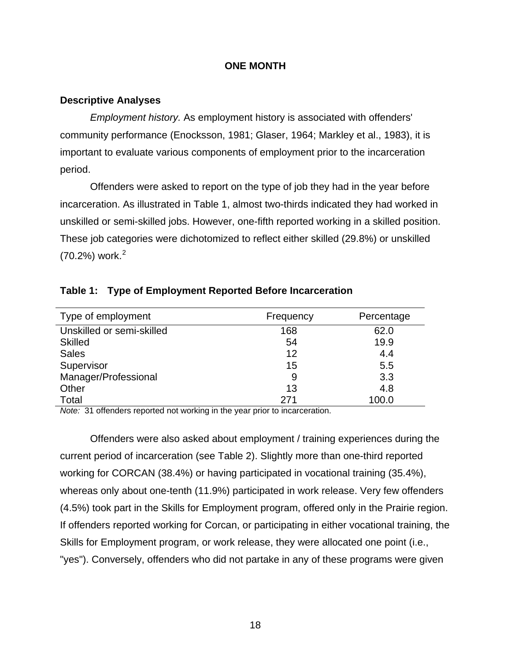### **ONE MONTH**

### <span id="page-25-0"></span>**Descriptive Analyses**

*Employment history.* As employment history is associated with offenders' community performance (Enocksson, 1981; Glaser, 1964; Markley et al., 1983), it is important to evaluate various components of employment prior to the incarceration period.

Offenders were asked to report on the type of job they had in the year before incarceration. As illustrated in Table 1, almost two-thirds indicated they had worked in unskilled or semi-skilled jobs. However, one-fifth reported working in a skilled position. These job categories were dichotomized to reflect either skilled (29.8%) or unskilled  $(70.2%)$  $(70.2%)$  $(70.2%)$  work.<sup>2</sup>

| Type of employment        | Frequency | Percentage |
|---------------------------|-----------|------------|
| Unskilled or semi-skilled | 168       | 62.0       |
| <b>Skilled</b>            | 54        | 19.9       |
| <b>Sales</b>              | 12        | 4.4        |
| Supervisor                | 15        | 5.5        |
| Manager/Professional      | 9         | 3.3        |
| Other                     | 13        | 4.8        |
| Total                     | 271       | 100.0      |

### **Table 1: Type of Employment Reported Before Incarceration**

*Note:* 31 offenders reported not working in the year prior to incarceration.

<span id="page-25-1"></span>Offenders were also asked about employment / training experiences during the current period of incarceration (see Table 2). Slightly more than one-third reported working for CORCAN (38.4%) or having participated in vocational training (35.4%), whereas only about one-tenth (11.9%) participated in work release. Very few offenders (4.5%) took part in the Skills for Employment program, offered only in the Prairie region. If offenders reported working for Corcan, or participating in either vocational training, the Skills for Employment program, or work release, they were allocated one point (i.e., "yes"). Conversely, offenders who did not partake in any of these programs were given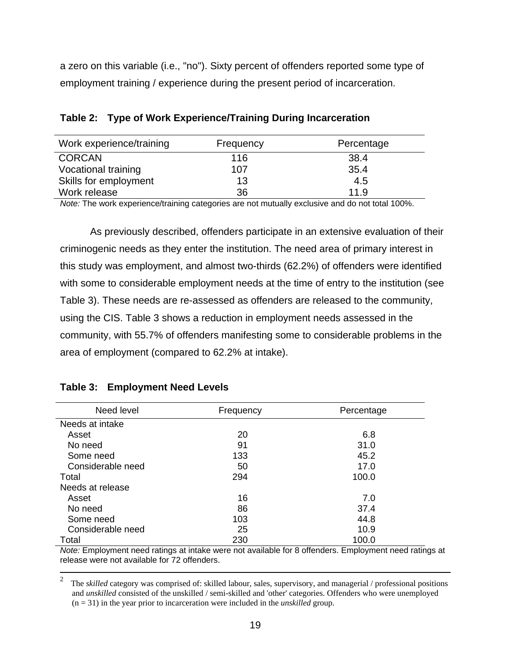<span id="page-26-0"></span>a zero on this variable (i.e., "no"). Sixty percent of offenders reported some type of employment training / experience during the present period of incarceration.

| Work experience/training | Frequency | Percentage |
|--------------------------|-----------|------------|
| <b>CORCAN</b>            | 116       | 38.4       |
| Vocational training      | 107       | 35.4       |
| Skills for employment    | 13        | 4.5        |
| Work release             | 36        | 11.9       |

# **Table 2: Type of Work Experience/Training During Incarceration**

*Note:* The work experience/training categories are not mutually exclusive and do not total 100%.

As previously described, offenders participate in an extensive evaluation of their criminogenic needs as they enter the institution. The need area of primary interest in this study was employment, and almost two-thirds (62.2%) of offenders were identified with some to considerable employment needs at the time of entry to the institution (see Table 3). These needs are re-assessed as offenders are released to the community, using the CIS. Table 3 shows a reduction in employment needs assessed in the community, with 55.7% of offenders manifesting some to considerable problems in the area of employment (compared to 62.2% at intake).

| Need level        | Frequency | Percentage |
|-------------------|-----------|------------|
| Needs at intake   |           |            |
| Asset             | 20        | 6.8        |
| No need           | 91        | 31.0       |
| Some need         | 133       | 45.2       |
| Considerable need | 50        | 17.0       |
| Total             | 294       | 100.0      |
| Needs at release  |           |            |
| Asset             | 16        | 7.0        |
| No need           | 86        | 37.4       |
| Some need         | 103       | 44.8       |
| Considerable need | 25        | 10.9       |
| Total             | 230       | 100.0      |

# **Table 3: Employment Need Levels**

*Note:* Employment need ratings at intake were not available for 8 offenders. Employment need ratings at release were not available for 72 offenders.

 $\frac{1}{2}$  The *skilled* category was comprised of: skilled labour, sales, supervisory, and managerial / professional positions and *unskilled* consisted of the unskilled / semi-skilled and 'other' categories. Offenders who were unemployed (n = 31) in the year prior to incarceration were included in the *unskilled* group.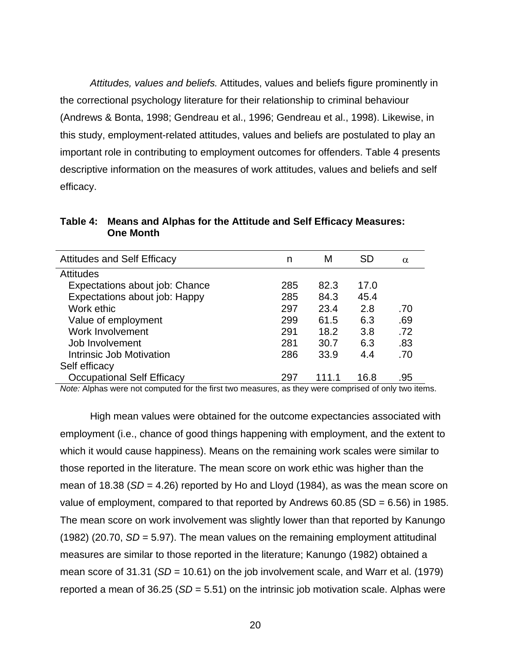<span id="page-27-0"></span>*Attitudes, values and beliefs.* Attitudes, values and beliefs figure prominently in the correctional psychology literature for their relationship to criminal behaviour (Andrews & Bonta, 1998; Gendreau et al., 1996; Gendreau et al., 1998). Likewise, in this study, employment-related attitudes, values and beliefs are postulated to play an important role in contributing to employment outcomes for offenders. Table 4 presents descriptive information on the measures of work attitudes, values and beliefs and self efficacy.

| <b>Attitudes and Self Efficacy</b> | n   | М     | <b>SD</b> | $\alpha$ |
|------------------------------------|-----|-------|-----------|----------|
| <b>Attitudes</b>                   |     |       |           |          |
| Expectations about job: Chance     | 285 | 82.3  | 17.0      |          |
| Expectations about job: Happy      | 285 | 84.3  | 45.4      |          |
| Work ethic                         | 297 | 23.4  | 2.8       | .70      |
| Value of employment                | 299 | 61.5  | 6.3       | .69      |
| Work Involvement                   | 291 | 18.2  | 3.8       | .72      |
| Job Involvement                    | 281 | 30.7  | 6.3       | .83      |
| Intrinsic Job Motivation           | 286 | 33.9  | 4.4       | .70      |
| Self efficacy                      |     |       |           |          |
| <b>Occupational Self Efficacy</b>  | 297 | 111.1 | 16.8      | .95      |

**Table 4: Means and Alphas for the Attitude and Self Efficacy Measures: One Month** 

*Note:* Alphas were not computed for the first two measures, as they were comprised of only two items.

High mean values were obtained for the outcome expectancies associated with employment (i.e., chance of good things happening with employment, and the extent to which it would cause happiness). Means on the remaining work scales were similar to those reported in the literature. The mean score on work ethic was higher than the mean of 18.38 (*SD* = 4.26) reported by Ho and Lloyd (1984), as was the mean score on value of employment, compared to that reported by Andrews 60.85 (SD = 6.56) in 1985. The mean score on work involvement was slightly lower than that reported by Kanungo (1982) (20.70, *SD* = 5.97). The mean values on the remaining employment attitudinal measures are similar to those reported in the literature; Kanungo (1982) obtained a mean score of 31.31 (*SD* = 10.61) on the job involvement scale, and Warr et al. (1979) reported a mean of 36.25 (*SD* = 5.51) on the intrinsic job motivation scale. Alphas were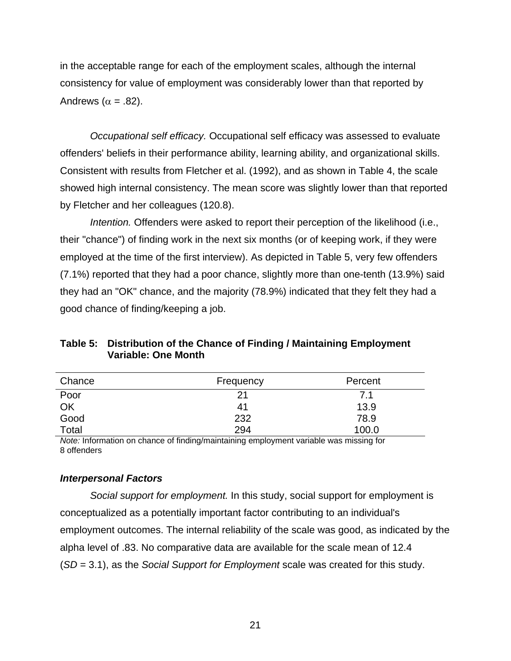<span id="page-28-0"></span>in the acceptable range for each of the employment scales, although the internal consistency for value of employment was considerably lower than that reported by Andrews ( $\alpha = .82$ ).

*Occupational self efficacy.* Occupational self efficacy was assessed to evaluate offenders' beliefs in their performance ability, learning ability, and organizational skills. Consistent with results from Fletcher et al. (1992), and as shown in Table 4, the scale showed high internal consistency. The mean score was slightly lower than that reported by Fletcher and her colleagues (120.8).

*Intention.* Offenders were asked to report their perception of the likelihood (i.e., their "chance") of finding work in the next six months (or of keeping work, if they were employed at the time of the first interview). As depicted in Table 5, very few offenders (7.1%) reported that they had a poor chance, slightly more than one-tenth (13.9%) said they had an "OK" chance, and the majority (78.9%) indicated that they felt they had a good chance of finding/keeping a job.

| Chance | Frequency | Percent |
|--------|-----------|---------|
| Poor   | 21        | 7.1     |
| OK     | 41        | 13.9    |
| Good   | 232       | 78.9    |
| Total  | 294       | 100.0   |

**Table 5: Distribution of the Chance of Finding / Maintaining Employment Variable: One Month** 

*Note:* Information on chance of finding/maintaining employment variable was missing for 8 offenders

# *Interpersonal Factors*

*Social support for employment.* In this study, social support for employment is conceptualized as a potentially important factor contributing to an individual's employment outcomes. The internal reliability of the scale was good, as indicated by the alpha level of .83. No comparative data are available for the scale mean of 12.4 (*SD* = 3.1), as the *Social Support for Employment* scale was created for this study.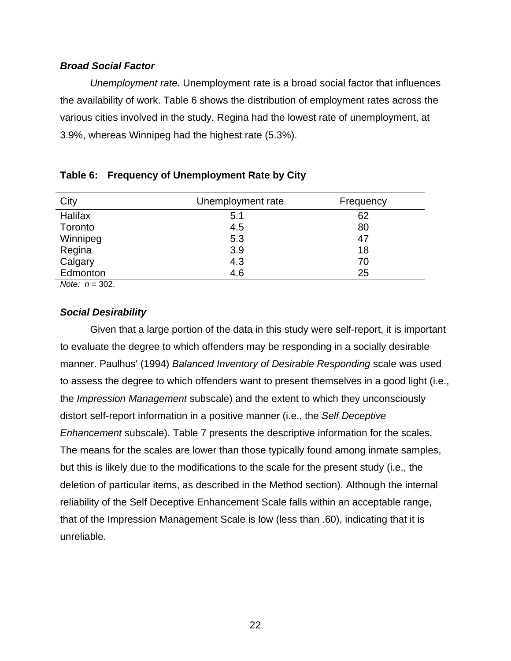## <span id="page-29-0"></span>*Broad Social Factor*

*Unemployment rate.* Unemployment rate is a broad social factor that influences the availability of work. Table 6 shows the distribution of employment rates across the various cities involved in the study. Regina had the lowest rate of unemployment, at 3.9%, whereas Winnipeg had the highest rate (5.3%).

| City              | Unemployment rate | Frequency |
|-------------------|-------------------|-----------|
| Halifax           | 5.1               | 62        |
| Toronto           | 4.5               | 80        |
| Winnipeg          | 5.3               | 47        |
| Regina            | 3.9               | 18        |
| Calgary           | 4.3               | 70        |
| Edmonton          | 4.6               | 25        |
| $\cdots$ $\cdots$ |                   |           |

|  | Table 6: Frequency of Unemployment Rate by City |  |  |  |
|--|-------------------------------------------------|--|--|--|
|--|-------------------------------------------------|--|--|--|

*Note: n* = 302.

### *Social Desirability*

Given that a large portion of the data in this study were self-report, it is important to evaluate the degree to which offenders may be responding in a socially desirable manner. Paulhus' (1994) *Balanced Inventory of Desirable Responding* scale was used to assess the degree to which offenders want to present themselves in a good light (i.e., the *Impression Management* subscale) and the extent to which they unconsciously distort self-report information in a positive manner (i.e., the *Self Deceptive Enhancement* subscale). Table 7 presents the descriptive information for the scales. The means for the scales are lower than those typically found among inmate samples, but this is likely due to the modifications to the scale for the present study (i.e., the deletion of particular items, as described in the Method section). Although the internal reliability of the Self Deceptive Enhancement Scale falls within an acceptable range, that of the Impression Management Scale is low (less than .60), indicating that it is unreliable.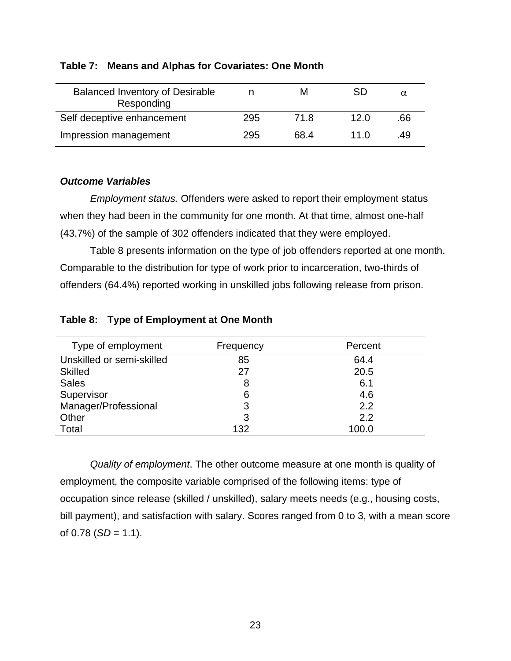| <b>Balanced Inventory of Desirable</b><br>Responding |     | м    | SD   |     |
|------------------------------------------------------|-----|------|------|-----|
| Self deceptive enhancement                           | 295 | 71.8 | 12.0 | .66 |
| Impression management                                | 295 | 68.4 | 11 N | -49 |

## <span id="page-30-0"></span>**Table 7: Means and Alphas for Covariates: One Month**

# *Outcome Variables*

*Employment status.* Offenders were asked to report their employment status when they had been in the community for one month. At that time, almost one-half (43.7%) of the sample of 302 offenders indicated that they were employed.

Table 8 presents information on the type of job offenders reported at one month. Comparable to the distribution for type of work prior to incarceration, two-thirds of offenders (64.4%) reported working in unskilled jobs following release from prison.

| Type of employment        | Frequency | Percent |
|---------------------------|-----------|---------|
| Unskilled or semi-skilled | 85        | 64.4    |
| <b>Skilled</b>            | 27        | 20.5    |
| <b>Sales</b>              | 8         | 6.1     |
| Supervisor                | 6         | 4.6     |
| Manager/Professional      | 3         | 2.2     |
| Other                     | 3         | 2.2     |
| Total                     | 132       | 100.0   |

### **Table 8: Type of Employment at One Month**

*Quality of employment*. The other outcome measure at one month is quality of employment, the composite variable comprised of the following items: type of occupation since release (skilled / unskilled), salary meets needs (e.g., housing costs, bill payment), and satisfaction with salary. Scores ranged from 0 to 3, with a mean score of  $0.78$  (*SD* = 1.1).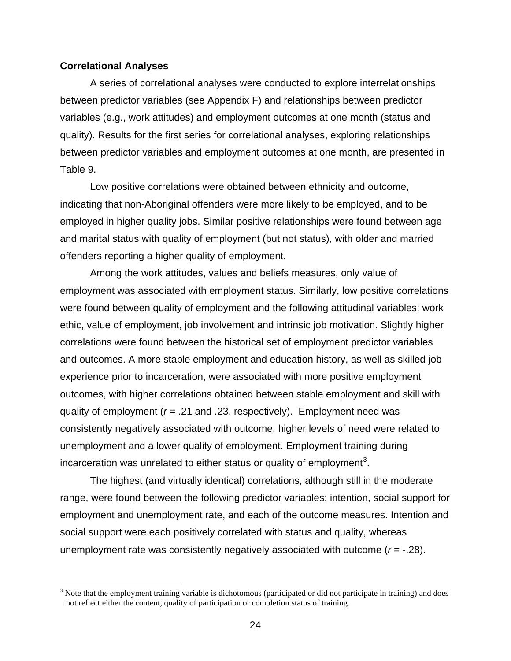#### <span id="page-31-1"></span><span id="page-31-0"></span>**Correlational Analyses**

 $\overline{a}$ 

A series of correlational analyses were conducted to explore interrelationships between predictor variables (see Appendix F) and relationships between predictor variables (e.g., work attitudes) and employment outcomes at one month (status and quality). Results for the first series for correlational analyses, exploring relationships between predictor variables and employment outcomes at one month, are presented in Table 9.

Low positive correlations were obtained between ethnicity and outcome, indicating that non-Aboriginal offenders were more likely to be employed, and to be employed in higher quality jobs. Similar positive relationships were found between age and marital status with quality of employment (but not status), with older and married offenders reporting a higher quality of employment.

Among the work attitudes, values and beliefs measures, only value of employment was associated with employment status. Similarly, low positive correlations were found between quality of employment and the following attitudinal variables: work ethic, value of employment, job involvement and intrinsic job motivation. Slightly higher correlations were found between the historical set of employment predictor variables and outcomes. A more stable employment and education history, as well as skilled job experience prior to incarceration, were associated with more positive employment outcomes, with higher correlations obtained between stable employment and skill with quality of employment (*r* = .21 and .23, respectively). Employment need was consistently negatively associated with outcome; higher levels of need were related to unemployment and a lower quality of employment. Employment training during incarceration was unrelated to either status or quality of employment<sup>[3](#page-31-1)</sup>.

The highest (and virtually identical) correlations, although still in the moderate range, were found between the following predictor variables: intention, social support for employment and unemployment rate, and each of the outcome measures. Intention and social support were each positively correlated with status and quality, whereas unemployment rate was consistently negatively associated with outcome (*r* = -.28).

 $3$  Note that the employment training variable is dichotomous (participated or did not participate in training) and does not reflect either the content, quality of participation or completion status of training.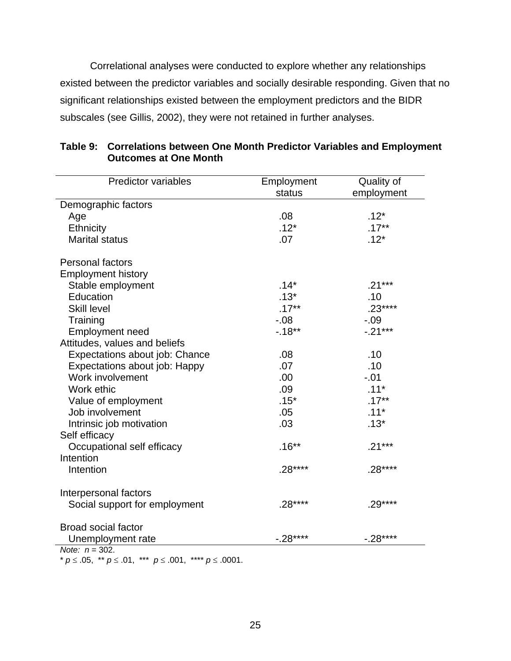<span id="page-32-0"></span>Correlational analyses were conducted to explore whether any relationships existed between the predictor variables and socially desirable responding. Given that no significant relationships existed between the employment predictors and the BIDR subscales (see Gillis, 2002), they were not retained in further analyses.

| <b>Predictor variables</b>     | Employment | Quality of |
|--------------------------------|------------|------------|
|                                | status     | employment |
| Demographic factors            |            |            |
| Age                            | .08        | $.12*$     |
| Ethnicity                      | $.12*$     | $.17***$   |
| <b>Marital status</b>          | .07        | $.12*$     |
| <b>Personal factors</b>        |            |            |
| <b>Employment history</b>      |            |            |
| Stable employment              | $.14*$     | $.21***$   |
| Education                      | $.13*$     | .10        |
| <b>Skill level</b>             | $.17***$   | $.23***$   |
| Training                       | $-0.08$    | $-0.09$    |
| <b>Employment need</b>         | $-18**$    | $-.21***$  |
| Attitudes, values and beliefs  |            |            |
| Expectations about job: Chance | .08        | .10        |
| Expectations about job: Happy  | .07        | .10        |
| Work involvement               | .00        | $-.01$     |
| Work ethic                     | .09        | $.11*$     |
| Value of employment            | $.15*$     | $.17***$   |
| Job involvement                | .05        | $.11*$     |
| Intrinsic job motivation       | .03        | $.13*$     |
| Self efficacy                  |            |            |
| Occupational self efficacy     | $.16**$    | $.21***$   |
| Intention                      |            |            |
| Intention                      | $.28***$   | $.28***$   |
| Interpersonal factors          |            |            |
| Social support for employment  | $.28***$   | $.29***$   |
| <b>Broad social factor</b>     |            |            |
| Unemployment rate              | $-.28***$  | $-.28***$  |
| Note: $n = 302$ .              |            |            |

| Table 9: Correlations between One Month Predictor Variables and Employment |
|----------------------------------------------------------------------------|
| <b>Outcomes at One Month</b>                                               |

\* *p* ≤ .05, \*\* *p* ≤ .01, \*\*\* *p* ≤ .001, \*\*\*\* *p* ≤ .0001.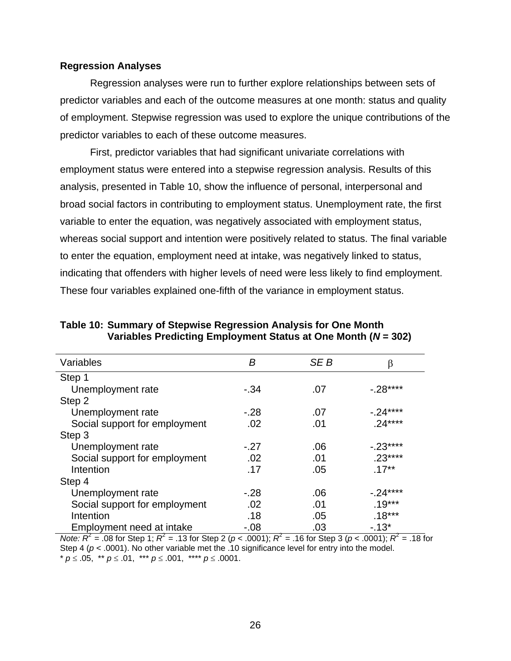#### <span id="page-33-0"></span>**Regression Analyses**

Regression analyses were run to further explore relationships between sets of predictor variables and each of the outcome measures at one month: status and quality of employment. Stepwise regression was used to explore the unique contributions of the predictor variables to each of these outcome measures.

First, predictor variables that had significant univariate correlations with employment status were entered into a stepwise regression analysis. Results of this analysis, presented in Table 10, show the influence of personal, interpersonal and broad social factors in contributing to employment status. Unemployment rate, the first variable to enter the equation, was negatively associated with employment status, whereas social support and intention were positively related to status. The final variable to enter the equation, employment need at intake, was negatively linked to status, indicating that offenders with higher levels of need were less likely to find employment. These four variables explained one-fifth of the variance in employment status.

| Variables                     | B       | SE B | β          |
|-------------------------------|---------|------|------------|
| Step 1                        |         |      |            |
| Unemployment rate             | $-34$   | .07  | $-0.28***$ |
| Step 2                        |         |      |            |
| Unemployment rate             | $-.28$  | .07  | $-0.24***$ |
| Social support for employment | .02     | .01  | $.24***$   |
| Step 3                        |         |      |            |
| Unemployment rate             | $-.27$  | .06  | $-.23***$  |
| Social support for employment | .02     | .01  | $.23***$   |
| Intention                     | .17     | .05  | $.17***$   |
| Step 4                        |         |      |            |
| Unemployment rate             | $-.28$  | .06  | $-0.24***$ |
| Social support for employment | .02     | .01  | $.19***$   |
| Intention                     | .18     | .05  | $.18***$   |
| Employment need at intake     | $-0.08$ | .03  | $-13*$     |

**Table 10: Summary of Stepwise Regression Analysis for One Month Variables Predicting Employment Status at One Month (***N* **= 302)** 

*Note:*  $R^2$  = .08 for Step 1;  $R^2$  = .13 for Step 2 (*p* < .0001);  $R^2$  = .16 for Step 3 (*p* < .0001);  $R^2$  = .18 for Step 4 ( $p < .0001$ ). No other variable met the .10 significance level for entry into the model. \* *p* ≤ .05, \*\* *p* ≤ .01, \*\*\* *p* ≤ .001, \*\*\*\* *p* ≤ .0001.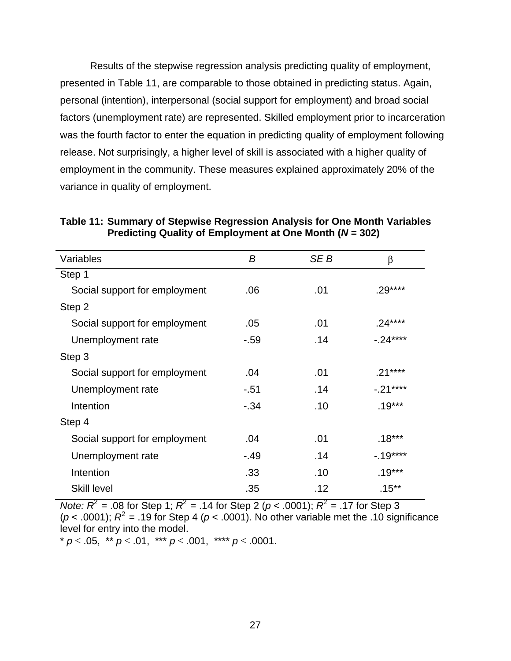<span id="page-34-0"></span>Results of the stepwise regression analysis predicting quality of employment, presented in Table 11, are comparable to those obtained in predicting status. Again, personal (intention), interpersonal (social support for employment) and broad social factors (unemployment rate) are represented. Skilled employment prior to incarceration was the fourth factor to enter the equation in predicting quality of employment following release. Not surprisingly, a higher level of skill is associated with a higher quality of employment in the community. These measures explained approximately 20% of the variance in quality of employment.

| Variables                     | B      | SE B | $\beta$   |
|-------------------------------|--------|------|-----------|
| Step 1                        |        |      |           |
| Social support for employment | .06    | .01  | $.29***$  |
| Step 2                        |        |      |           |
| Social support for employment | .05    | .01  | $.24***$  |
| Unemployment rate             | -.59   | .14  | $-.24***$ |
| Step 3                        |        |      |           |
| Social support for employment | .04    | .01  | $.21***$  |
| Unemployment rate             | $-51$  | .14  | $-.21***$ |
| Intention                     | $-.34$ | .10  | $.19***$  |
| Step 4                        |        |      |           |
| Social support for employment | .04    | .01  | $.18***$  |
| Unemployment rate             | $-49$  | .14  | $-19***$  |
| Intention                     | .33    | .10  | $.19***$  |
| <b>Skill level</b>            | .35    | .12  | $.15***$  |

**Table 11: Summary of Stepwise Regression Analysis for One Month Variables Predicting Quality of Employment at One Month (***N* **= 302)** 

*Note:*  $R^2$  = .08 for Step 1;  $R^2$  = .14 for Step 2 (*p* < .0001);  $R^2$  = .17 for Step 3 ( $p < .0001$ );  $R^2 = .19$  for Step 4 ( $p < .0001$ ). No other variable met the .10 significance level for entry into the model.

\* *p* ≤ .05, \*\* *p* ≤ .01, \*\*\* *p* ≤ .001, \*\*\*\* *p* ≤ .0001.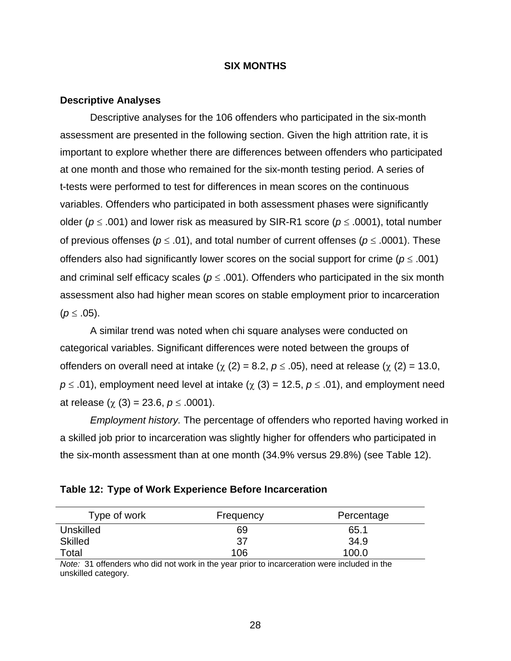#### **SIX MONTHS**

#### <span id="page-35-0"></span>**Descriptive Analyses**

Descriptive analyses for the 106 offenders who participated in the six-month assessment are presented in the following section. Given the high attrition rate, it is important to explore whether there are differences between offenders who participated at one month and those who remained for the six-month testing period. A series of t-tests were performed to test for differences in mean scores on the continuous variables. Offenders who participated in both assessment phases were significantly older (*p* ≤ .001) and lower risk as measured by SIR-R1 score (*p* ≤ .0001), total number of previous offenses (*p* ≤ .01), and total number of current offenses (*p* ≤ .0001). These offenders also had significantly lower scores on the social support for crime ( $p \leq .001$ ) and criminal self efficacy scales ( $p \leq .001$ ). Offenders who participated in the six month assessment also had higher mean scores on stable employment prior to incarceration  $(p ≤ .05)$ .

A similar trend was noted when chi square analyses were conducted on categorical variables. Significant differences were noted between the groups of offenders on overall need at intake ( $\chi$  (2) = 8.2,  $p \le .05$ ), need at release ( $\chi$  (2) = 13.0,  $p \leq .01$ ), employment need level at intake ( $\chi$  (3) = 12.5,  $p \leq .01$ ), and employment need at release (χ (3) = 23.6, *p* ≤ .0001).

*Employment history.* The percentage of offenders who reported having worked in a skilled job prior to incarceration was slightly higher for offenders who participated in the six-month assessment than at one month (34.9% versus 29.8%) (see Table 12).

| Table 12: Type of Work Experience Before Incarceration |
|--------------------------------------------------------|
|--------------------------------------------------------|

| Type of work   | Frequency | Percentage |
|----------------|-----------|------------|
| Unskilled      | 69        | 65.1       |
| <b>Skilled</b> | 37        | 34.9       |
| Total          | 106       | 100.0      |

*Note:* 31 offenders who did not work in the year prior to incarceration were included in the unskilled category.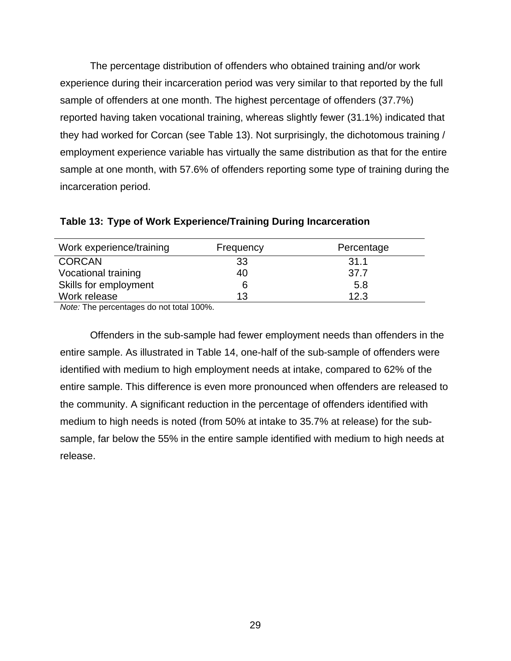The percentage distribution of offenders who obtained training and/or work experience during their incarceration period was very similar to that reported by the full sample of offenders at one month. The highest percentage of offenders (37.7%) reported having taken vocational training, whereas slightly fewer (31.1%) indicated that they had worked for Corcan (see Table 13). Not surprisingly, the dichotomous training / employment experience variable has virtually the same distribution as that for the entire sample at one month, with 57.6% of offenders reporting some type of training during the incarceration period.

| Work experience/training | Frequency | Percentage |
|--------------------------|-----------|------------|
| <b>CORCAN</b>            | 33        | 31.1       |
| Vocational training      | 40        | 37.7       |
| Skills for employment    | 6         | 5.8        |
| Work release             | 13        | 12.3       |

**Table 13: Type of Work Experience/Training During Incarceration** 

*Note:* The percentages do not total 100%.

Offenders in the sub-sample had fewer employment needs than offenders in the entire sample. As illustrated in Table 14, one-half of the sub-sample of offenders were identified with medium to high employment needs at intake, compared to 62% of the entire sample. This difference is even more pronounced when offenders are released to the community. A significant reduction in the percentage of offenders identified with medium to high needs is noted (from 50% at intake to 35.7% at release) for the subsample, far below the 55% in the entire sample identified with medium to high needs at release.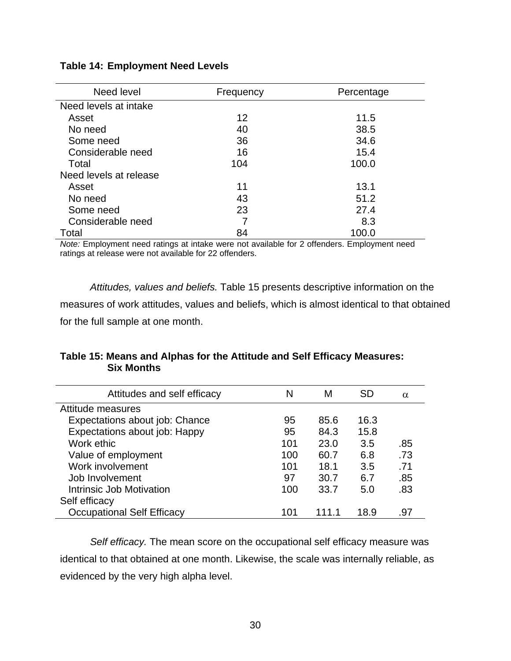| Need level             | Frequency | Percentage |
|------------------------|-----------|------------|
| Need levels at intake  |           |            |
| Asset                  | 12        | 11.5       |
| No need                | 40        | 38.5       |
| Some need              | 36        | 34.6       |
| Considerable need      | 16        | 15.4       |
| Total                  | 104       | 100.0      |
| Need levels at release |           |            |
| Asset                  | 11        | 13.1       |
| No need                | 43        | 51.2       |
| Some need              | 23        | 27.4       |
| Considerable need      |           | 8.3        |
| Total                  | 84        | 100.0      |

#### **Table 14: Employment Need Levels**

*Note:* Employment need ratings at intake were not available for 2 offenders. Employment need ratings at release were not available for 22 offenders.

*Attitudes, values and beliefs.* Table 15 presents descriptive information on the measures of work attitudes, values and beliefs, which is almost identical to that obtained for the full sample at one month.

#### **Table 15: Means and Alphas for the Attitude and Self Efficacy Measures: Six Months**

| Attitudes and self efficacy       | N   | м     | SD   | $\alpha$ |
|-----------------------------------|-----|-------|------|----------|
| Attitude measures                 |     |       |      |          |
| Expectations about job: Chance    | 95  | 85.6  | 16.3 |          |
| Expectations about job: Happy     | 95  | 84.3  | 15.8 |          |
| Work ethic                        | 101 | 23.0  | 3.5  | .85      |
| Value of employment               | 100 | 60.7  | 6.8  | .73      |
| Work involvement                  | 101 | 18.1  | 3.5  | .71      |
| Job Involvement                   | 97  | 30.7  | 6.7  | .85      |
| Intrinsic Job Motivation          | 100 | 33.7  | 5.0  | .83      |
| Self efficacy                     |     |       |      |          |
| <b>Occupational Self Efficacy</b> | 101 | 111.1 | 18.9 | .97      |

*Self efficacy.* The mean score on the occupational self efficacy measure was identical to that obtained at one month. Likewise, the scale was internally reliable, as evidenced by the very high alpha level.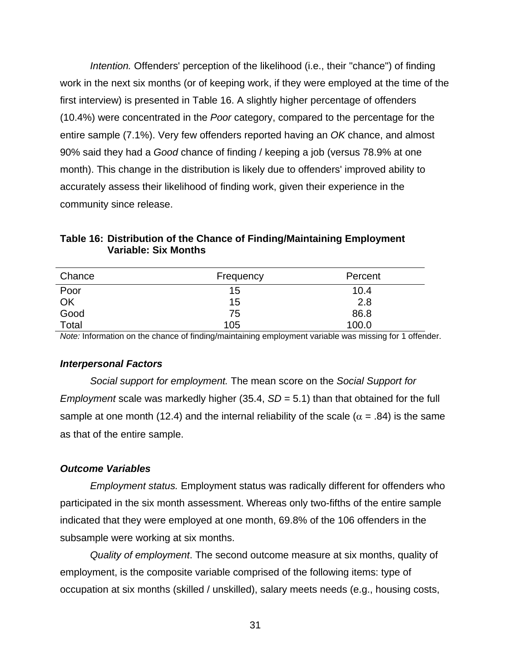*Intention.* Offenders' perception of the likelihood (i.e., their "chance") of finding work in the next six months (or of keeping work, if they were employed at the time of the first interview) is presented in Table 16. A slightly higher percentage of offenders (10.4%) were concentrated in the *Poor* category, compared to the percentage for the entire sample (7.1%). Very few offenders reported having an *OK* chance, and almost 90% said they had a *Good* chance of finding / keeping a job (versus 78.9% at one month). This change in the distribution is likely due to offenders' improved ability to accurately assess their likelihood of finding work, given their experience in the community since release.

**Table 16: Distribution of the Chance of Finding/Maintaining Employment Variable: Six Months** 

| Chance | Frequency | Percent |
|--------|-----------|---------|
| Poor   | 15        | 10.4    |
| OK     | 15        | 2.8     |
| Good   | 75        | 86.8    |
| Total  | 105       | 100.0   |

*Note:* Information on the chance of finding/maintaining employment variable was missing for 1 offender.

#### *Interpersonal Factors*

*Social support for employment.* The mean score on the *Social Support for Employment* scale was markedly higher (35.4, *SD* = 5.1) than that obtained for the full sample at one month (12.4) and the internal reliability of the scale ( $\alpha$  = .84) is the same as that of the entire sample.

#### *Outcome Variables*

*Employment status.* Employment status was radically different for offenders who participated in the six month assessment. Whereas only two-fifths of the entire sample indicated that they were employed at one month, 69.8% of the 106 offenders in the subsample were working at six months.

*Quality of employment*. The second outcome measure at six months, quality of employment, is the composite variable comprised of the following items: type of occupation at six months (skilled / unskilled), salary meets needs (e.g., housing costs,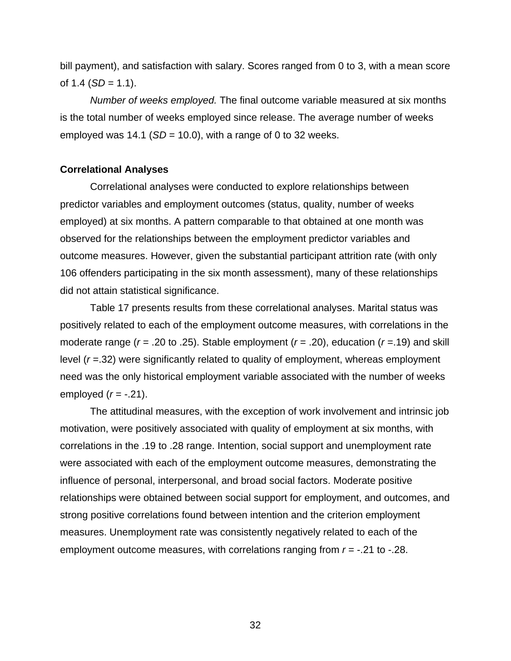bill payment), and satisfaction with salary. Scores ranged from 0 to 3, with a mean score of  $1.4$  (*SD* = 1.1).

*Number of weeks employed.* The final outcome variable measured at six months is the total number of weeks employed since release. The average number of weeks employed was  $14.1$  (*SD* = 10.0), with a range of 0 to 32 weeks.

#### **Correlational Analyses**

Correlational analyses were conducted to explore relationships between predictor variables and employment outcomes (status, quality, number of weeks employed) at six months. A pattern comparable to that obtained at one month was observed for the relationships between the employment predictor variables and outcome measures. However, given the substantial participant attrition rate (with only 106 offenders participating in the six month assessment), many of these relationships did not attain statistical significance.

Table 17 presents results from these correlational analyses. Marital status was positively related to each of the employment outcome measures, with correlations in the moderate range (*r* = .20 to .25). Stable employment (*r* = .20), education (*r* =.19) and skill level (*r* =.32) were significantly related to quality of employment, whereas employment need was the only historical employment variable associated with the number of weeks employed (*r* = -.21).

The attitudinal measures, with the exception of work involvement and intrinsic job motivation, were positively associated with quality of employment at six months, with correlations in the .19 to .28 range. Intention, social support and unemployment rate were associated with each of the employment outcome measures, demonstrating the influence of personal, interpersonal, and broad social factors. Moderate positive relationships were obtained between social support for employment, and outcomes, and strong positive correlations found between intention and the criterion employment measures. Unemployment rate was consistently negatively related to each of the employment outcome measures, with correlations ranging from *r* = -.21 to -.28.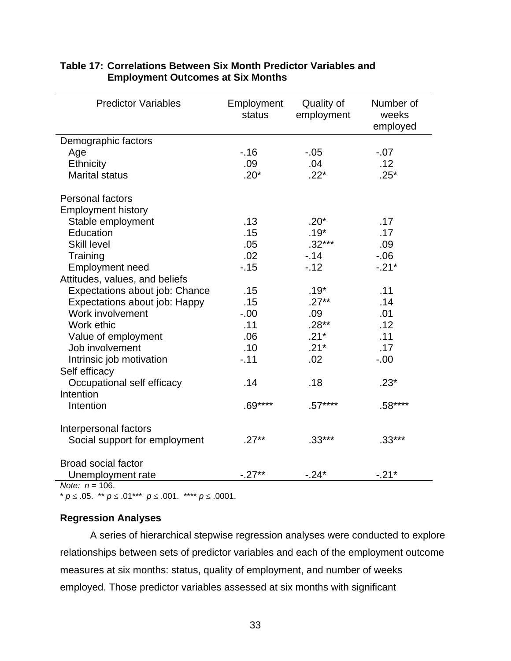| <b>Predictor Variables</b>     | Employment<br>status | Quality of<br>employment | Number of<br>weeks<br>employed |
|--------------------------------|----------------------|--------------------------|--------------------------------|
| Demographic factors            |                      |                          |                                |
| Age                            | $-.16$               | $-.05$                   | $-0.07$                        |
| Ethnicity                      | .09                  | .04                      | .12                            |
| <b>Marital status</b>          | $.20*$               | $.22*$                   | $.25*$                         |
| <b>Personal factors</b>        |                      |                          |                                |
| <b>Employment history</b>      |                      |                          |                                |
| Stable employment              | .13                  | $.20*$                   | .17                            |
| Education                      | .15                  | $.19*$                   | .17                            |
| <b>Skill level</b>             | .05                  | $.32***$                 | .09                            |
| Training                       | .02                  | $-14$                    | $-0.06$                        |
| <b>Employment need</b>         | $-15$                | $-.12$                   | $-.21*$                        |
| Attitudes, values, and beliefs |                      |                          |                                |
| Expectations about job: Chance | .15                  | $.19*$                   | .11                            |
| Expectations about job: Happy  | .15                  | $.27**$                  | .14                            |
| Work involvement               | $-.00$               | .09                      | .01                            |
| Work ethic                     | .11                  | $.28**$                  | .12                            |
| Value of employment            | .06                  | $.21*$                   | .11                            |
| Job involvement                | .10                  | $.21*$                   | .17                            |
| Intrinsic job motivation       | $-.11$               | .02                      | $-.00$                         |
| Self efficacy                  |                      |                          |                                |
| Occupational self efficacy     | .14                  | .18                      | $.23*$                         |
| Intention                      |                      |                          |                                |
| Intention                      | $.69***$             | $.57***$                 | $.58***$                       |
| Interpersonal factors          |                      |                          |                                |
| Social support for employment  | $.27**$              | $.33***$                 | $.33***$                       |
| <b>Broad social factor</b>     |                      |                          |                                |
| Unemployment rate              | $-.27**$             | $-.24*$                  | $-.21*$                        |

#### **Table 17: Correlations Between Six Month Predictor Variables and Employment Outcomes at Six Months**

 $Note: n = 106.$ 

\* *p* ≤ .05. \*\* *p* ≤ .01\*\*\* *p* ≤ .001. \*\*\*\* *p* ≤ .0001.

### **Regression Analyses**

A series of hierarchical stepwise regression analyses were conducted to explore relationships between sets of predictor variables and each of the employment outcome measures at six months: status, quality of employment, and number of weeks employed. Those predictor variables assessed at six months with significant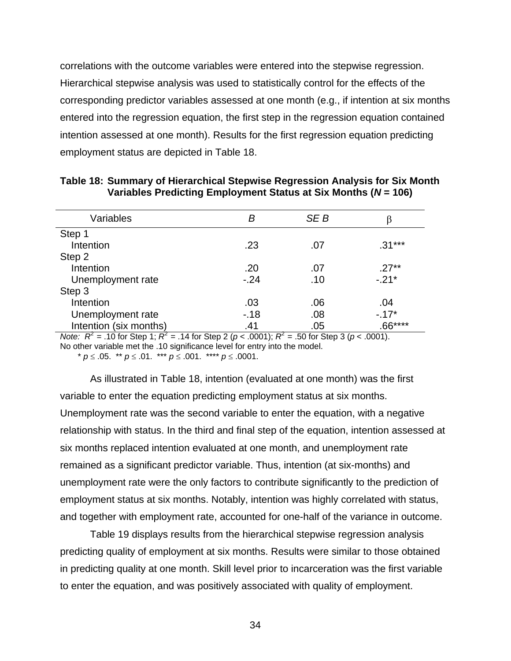correlations with the outcome variables were entered into the stepwise regression. Hierarchical stepwise analysis was used to statistically control for the effects of the corresponding predictor variables assessed at one month (e.g., if intention at six months entered into the regression equation, the first step in the regression equation contained intention assessed at one month). Results for the first regression equation predicting employment status are depicted in Table 18.

| Variables              | в      | SE B |          |
|------------------------|--------|------|----------|
| Step 1                 |        |      |          |
| Intention              | .23    | .07  | $.31***$ |
| Step 2                 |        |      |          |
| Intention              | .20    | .07  | $.27**$  |
| Unemployment rate      | $-.24$ | .10  | $-.21*$  |
| Step 3                 |        |      |          |
| Intention              | .03    | .06  | .04      |
| Unemployment rate      | $-18$  | .08  | $-17*$   |
| Intention (six months) | .41    | .05  | $.66***$ |

| Table 18: Summary of Hierarchical Stepwise Regression Analysis for Six Month |  |
|------------------------------------------------------------------------------|--|
| Variables Predicting Employment Status at Six Months ( $N = 106$ )           |  |

*Note:*  $R^2$  = .10 for Step 1;  $R^2$  = .14 for Step 2 (*p* < .0001);  $R^2$  = .50 for Step 3 (*p* < .0001). No other variable met the .10 significance level for entry into the model.

\* *p* ≤ .05. \*\* *p* ≤ .01. \*\*\* *p* ≤ .001. \*\*\*\* *p* ≤ .0001.

As illustrated in Table 18, intention (evaluated at one month) was the first variable to enter the equation predicting employment status at six months. Unemployment rate was the second variable to enter the equation, with a negative relationship with status. In the third and final step of the equation, intention assessed at six months replaced intention evaluated at one month, and unemployment rate remained as a significant predictor variable. Thus, intention (at six-months) and unemployment rate were the only factors to contribute significantly to the prediction of employment status at six months. Notably, intention was highly correlated with status, and together with employment rate, accounted for one-half of the variance in outcome.

Table 19 displays results from the hierarchical stepwise regression analysis predicting quality of employment at six months. Results were similar to those obtained in predicting quality at one month. Skill level prior to incarceration was the first variable to enter the equation, and was positively associated with quality of employment.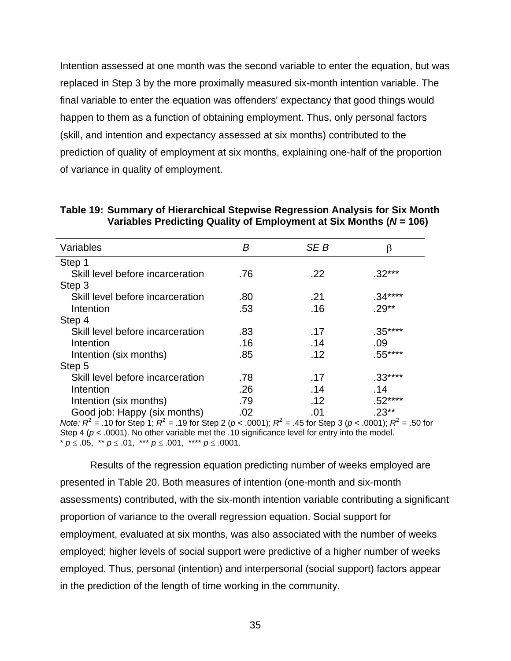Intention assessed at one month was the second variable to enter the equation, but was replaced in Step 3 by the more proximally measured six-month intention variable. The final variable to enter the equation was offenders' expectancy that good things would happen to them as a function of obtaining employment. Thus, only personal factors (skill, and intention and expectancy assessed at six months) contributed to the prediction of quality of employment at six months, explaining one-half of the proportion of variance in quality of employment.

| Variables                        | В   | SE B | β        |
|----------------------------------|-----|------|----------|
| Step 1                           |     |      |          |
| Skill level before incarceration | .76 | .22  | $.32***$ |
| Step 3                           |     |      |          |
| Skill level before incarceration | .80 | .21  | $.34***$ |
| Intention                        | .53 | .16  | $.29**$  |
| Step 4                           |     |      |          |
| Skill level before incarceration | .83 | .17  | $.35***$ |
| Intention                        | .16 | .14  | .09      |
| Intention (six months)           | .85 | .12  | $.55***$ |
| Step 5                           |     |      |          |
| Skill level before incarceration | .78 | .17  | $.33***$ |
| Intention                        | .26 | .14  | .14      |
| Intention (six months)           | .79 | .12  | $.52***$ |
| Good job: Happy (six months)     | .02 | .01  | .23**    |

**Table 19: Summary of Hierarchical Stepwise Regression Analysis for Six Month Variables Predicting Quality of Employment at Six Months (***N* **= 106)** 

*Note:*  $R^2$  = .10 for Step 1;  $R^2$  = .19 for Step 2 (*p* < .0001);  $R^2$  = .45 for Step 3 (*p* < .0001);  $R^2$  = .50 for Step 4 ( $p < .0001$ ). No other variable met the .10 significance level for entry into the model. \* *p* ≤ .05, \*\* *p* ≤ .01, \*\*\* *p* ≤ .001, \*\*\*\* *p* ≤ .0001.

Results of the regression equation predicting number of weeks employed are presented in Table 20. Both measures of intention (one-month and six-month assessments) contributed, with the six-month intention variable contributing a significant proportion of variance to the overall regression equation. Social support for employment, evaluated at six months, was also associated with the number of weeks employed; higher levels of social support were predictive of a higher number of weeks employed. Thus, personal (intention) and interpersonal (social support) factors appear in the prediction of the length of time working in the community.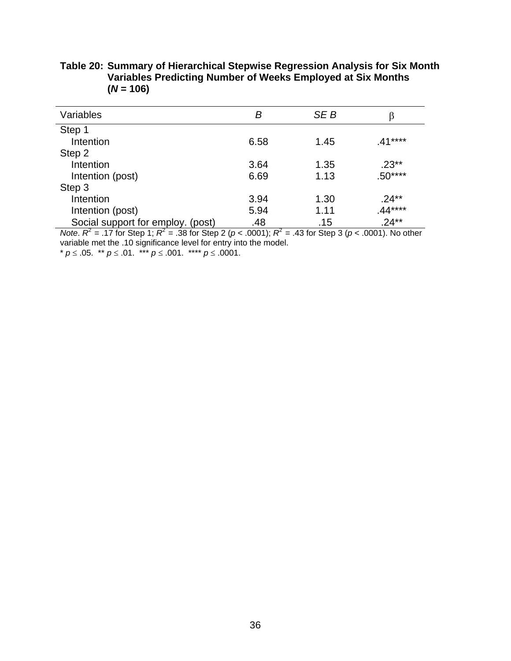| Variables                         | Β    | SE B | β        |
|-----------------------------------|------|------|----------|
| Step 1                            |      |      |          |
| Intention                         | 6.58 | 1.45 | $41***$  |
| Step 2                            |      |      |          |
| Intention                         | 3.64 | 1.35 | $.23**$  |
| Intention (post)                  | 6.69 | 1.13 | $.50***$ |
| Step 3                            |      |      |          |
| Intention                         | 3.94 | 1.30 | $.24**$  |
| Intention (post)                  | 5.94 | 1.11 | $.44***$ |
| Social support for employ. (post) | .48  | .15  | $.24**$  |

**Table 20: Summary of Hierarchical Stepwise Regression Analysis for Six Month Variables Predicting Number of Weeks Employed at Six Months**   $(N = 106)$ 

*Note*.  $R^2 = .17$  for Step 1;  $R^2 = .38$  for Step 2 ( $p < .0001$ );  $R^2 = .43$  for Step 3 ( $p < .0001$ ). No other variable met the .10 significance level for entry into the model. \* *p* ≤ .05. \*\* *p* ≤ .01. \*\*\* *p* ≤ .001. \*\*\*\* *p* ≤ .0001.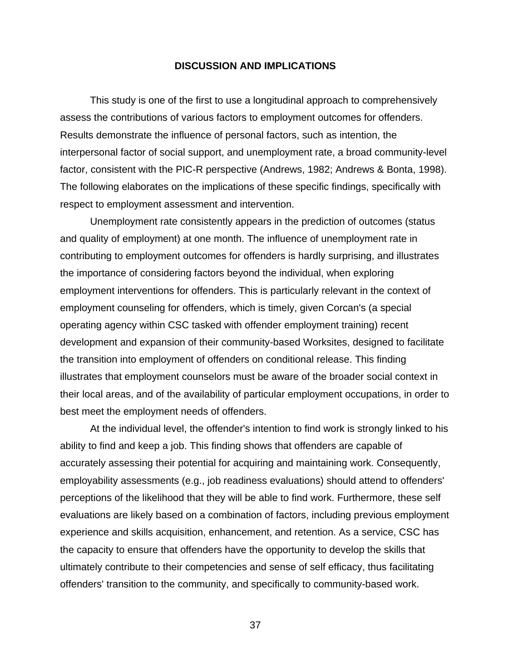#### **DISCUSSION AND IMPLICATIONS**

This study is one of the first to use a longitudinal approach to comprehensively assess the contributions of various factors to employment outcomes for offenders. Results demonstrate the influence of personal factors, such as intention, the interpersonal factor of social support, and unemployment rate, a broad community-level factor, consistent with the PIC-R perspective (Andrews, 1982; Andrews & Bonta, 1998). The following elaborates on the implications of these specific findings, specifically with respect to employment assessment and intervention.

Unemployment rate consistently appears in the prediction of outcomes (status and quality of employment) at one month. The influence of unemployment rate in contributing to employment outcomes for offenders is hardly surprising, and illustrates the importance of considering factors beyond the individual, when exploring employment interventions for offenders. This is particularly relevant in the context of employment counseling for offenders, which is timely, given Corcan's (a special operating agency within CSC tasked with offender employment training) recent development and expansion of their community-based Worksites, designed to facilitate the transition into employment of offenders on conditional release. This finding illustrates that employment counselors must be aware of the broader social context in their local areas, and of the availability of particular employment occupations, in order to best meet the employment needs of offenders.

At the individual level, the offender's intention to find work is strongly linked to his ability to find and keep a job. This finding shows that offenders are capable of accurately assessing their potential for acquiring and maintaining work. Consequently, employability assessments (e.g., job readiness evaluations) should attend to offenders' perceptions of the likelihood that they will be able to find work. Furthermore, these self evaluations are likely based on a combination of factors, including previous employment experience and skills acquisition, enhancement, and retention. As a service, CSC has the capacity to ensure that offenders have the opportunity to develop the skills that ultimately contribute to their competencies and sense of self efficacy, thus facilitating offenders' transition to the community, and specifically to community-based work.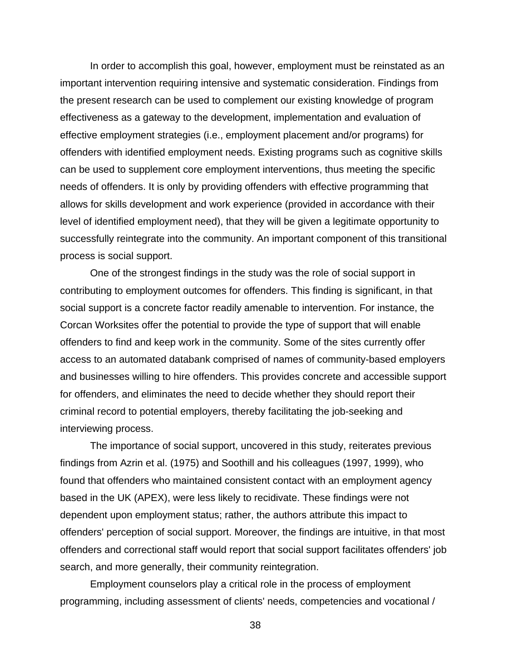In order to accomplish this goal, however, employment must be reinstated as an important intervention requiring intensive and systematic consideration. Findings from the present research can be used to complement our existing knowledge of program effectiveness as a gateway to the development, implementation and evaluation of effective employment strategies (i.e., employment placement and/or programs) for offenders with identified employment needs. Existing programs such as cognitive skills can be used to supplement core employment interventions, thus meeting the specific needs of offenders. It is only by providing offenders with effective programming that allows for skills development and work experience (provided in accordance with their level of identified employment need), that they will be given a legitimate opportunity to successfully reintegrate into the community. An important component of this transitional process is social support.

One of the strongest findings in the study was the role of social support in contributing to employment outcomes for offenders. This finding is significant, in that social support is a concrete factor readily amenable to intervention. For instance, the Corcan Worksites offer the potential to provide the type of support that will enable offenders to find and keep work in the community. Some of the sites currently offer access to an automated databank comprised of names of community-based employers and businesses willing to hire offenders. This provides concrete and accessible support for offenders, and eliminates the need to decide whether they should report their criminal record to potential employers, thereby facilitating the job-seeking and interviewing process.

The importance of social support, uncovered in this study, reiterates previous findings from Azrin et al. (1975) and Soothill and his colleagues (1997, 1999), who found that offenders who maintained consistent contact with an employment agency based in the UK (APEX), were less likely to recidivate. These findings were not dependent upon employment status; rather, the authors attribute this impact to offenders' perception of social support. Moreover, the findings are intuitive, in that most offenders and correctional staff would report that social support facilitates offenders' job search, and more generally, their community reintegration.

Employment counselors play a critical role in the process of employment programming, including assessment of clients' needs, competencies and vocational /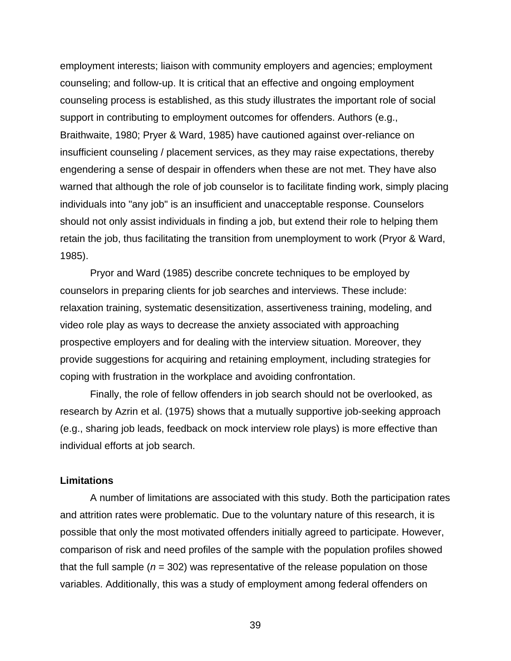employment interests; liaison with community employers and agencies; employment counseling; and follow-up. It is critical that an effective and ongoing employment counseling process is established, as this study illustrates the important role of social support in contributing to employment outcomes for offenders. Authors (e.g., Braithwaite, 1980; Pryer & Ward, 1985) have cautioned against over-reliance on insufficient counseling / placement services, as they may raise expectations, thereby engendering a sense of despair in offenders when these are not met. They have also warned that although the role of job counselor is to facilitate finding work, simply placing individuals into "any job" is an insufficient and unacceptable response. Counselors should not only assist individuals in finding a job, but extend their role to helping them retain the job, thus facilitating the transition from unemployment to work (Pryor & Ward, 1985).

Pryor and Ward (1985) describe concrete techniques to be employed by counselors in preparing clients for job searches and interviews. These include: relaxation training, systematic desensitization, assertiveness training, modeling, and video role play as ways to decrease the anxiety associated with approaching prospective employers and for dealing with the interview situation. Moreover, they provide suggestions for acquiring and retaining employment, including strategies for coping with frustration in the workplace and avoiding confrontation.

Finally, the role of fellow offenders in job search should not be overlooked, as research by Azrin et al. (1975) shows that a mutually supportive job-seeking approach (e.g., sharing job leads, feedback on mock interview role plays) is more effective than individual efforts at job search.

#### **Limitations**

A number of limitations are associated with this study. Both the participation rates and attrition rates were problematic. Due to the voluntary nature of this research, it is possible that only the most motivated offenders initially agreed to participate. However, comparison of risk and need profiles of the sample with the population profiles showed that the full sample ( $n = 302$ ) was representative of the release population on those variables. Additionally, this was a study of employment among federal offenders on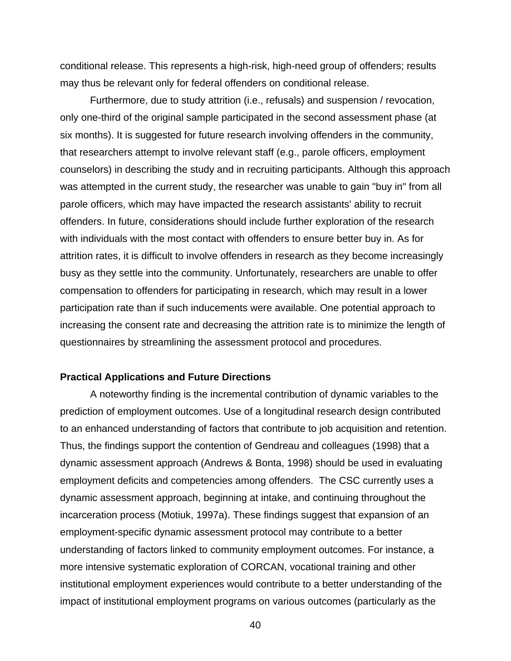conditional release. This represents a high-risk, high-need group of offenders; results may thus be relevant only for federal offenders on conditional release.

Furthermore, due to study attrition (i.e., refusals) and suspension / revocation, only one-third of the original sample participated in the second assessment phase (at six months). It is suggested for future research involving offenders in the community, that researchers attempt to involve relevant staff (e.g., parole officers, employment counselors) in describing the study and in recruiting participants. Although this approach was attempted in the current study, the researcher was unable to gain "buy in" from all parole officers, which may have impacted the research assistants' ability to recruit offenders. In future, considerations should include further exploration of the research with individuals with the most contact with offenders to ensure better buy in. As for attrition rates, it is difficult to involve offenders in research as they become increasingly busy as they settle into the community. Unfortunately, researchers are unable to offer compensation to offenders for participating in research, which may result in a lower participation rate than if such inducements were available. One potential approach to increasing the consent rate and decreasing the attrition rate is to minimize the length of questionnaires by streamlining the assessment protocol and procedures.

#### **Practical Applications and Future Directions**

A noteworthy finding is the incremental contribution of dynamic variables to the prediction of employment outcomes. Use of a longitudinal research design contributed to an enhanced understanding of factors that contribute to job acquisition and retention. Thus, the findings support the contention of Gendreau and colleagues (1998) that a dynamic assessment approach (Andrews & Bonta, 1998) should be used in evaluating employment deficits and competencies among offenders. The CSC currently uses a dynamic assessment approach, beginning at intake, and continuing throughout the incarceration process (Motiuk, 1997a). These findings suggest that expansion of an employment-specific dynamic assessment protocol may contribute to a better understanding of factors linked to community employment outcomes. For instance, a more intensive systematic exploration of CORCAN, vocational training and other institutional employment experiences would contribute to a better understanding of the impact of institutional employment programs on various outcomes (particularly as the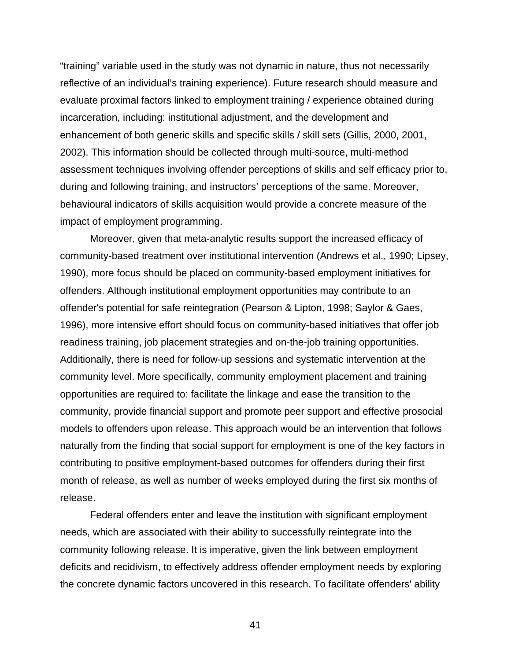"training" variable used in the study was not dynamic in nature, thus not necessarily reflective of an individual's training experience). Future research should measure and evaluate proximal factors linked to employment training / experience obtained during incarceration, including: institutional adjustment, and the development and enhancement of both generic skills and specific skills / skill sets (Gillis, 2000, 2001, 2002). This information should be collected through multi-source, multi-method assessment techniques involving offender perceptions of skills and self efficacy prior to, during and following training, and instructors' perceptions of the same. Moreover, behavioural indicators of skills acquisition would provide a concrete measure of the impact of employment programming.

Moreover, given that meta-analytic results support the increased efficacy of community-based treatment over institutional intervention (Andrews et al., 1990; Lipsey, 1990), more focus should be placed on community-based employment initiatives for offenders. Although institutional employment opportunities may contribute to an offender's potential for safe reintegration (Pearson & Lipton, 1998; Saylor & Gaes, 1996), more intensive effort should focus on community-based initiatives that offer job readiness training, job placement strategies and on-the-job training opportunities. Additionally, there is need for follow-up sessions and systematic intervention at the community level. More specifically, community employment placement and training opportunities are required to: facilitate the linkage and ease the transition to the community, provide financial support and promote peer support and effective prosocial models to offenders upon release. This approach would be an intervention that follows naturally from the finding that social support for employment is one of the key factors in contributing to positive employment-based outcomes for offenders during their first month of release, as well as number of weeks employed during the first six months of release.

Federal offenders enter and leave the institution with significant employment needs, which are associated with their ability to successfully reintegrate into the community following release. It is imperative, given the link between employment deficits and recidivism, to effectively address offender employment needs by exploring the concrete dynamic factors uncovered in this research. To facilitate offenders' ability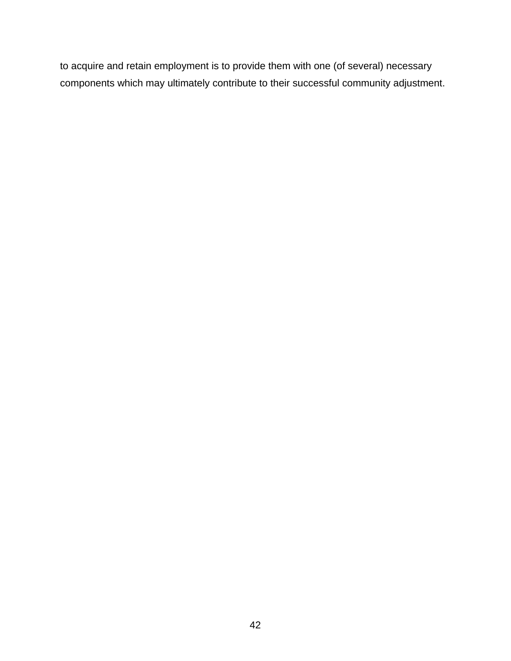to acquire and retain employment is to provide them with one (of several) necessary components which may ultimately contribute to their successful community adjustment.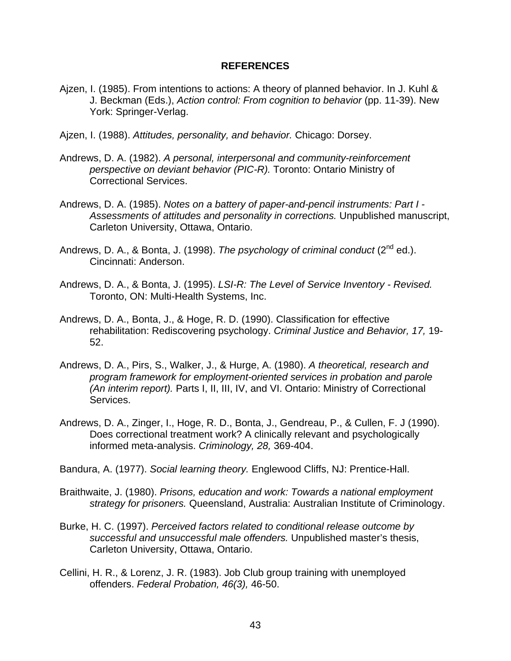#### **REFERENCES**

- Ajzen, I. (1985). From intentions to actions: A theory of planned behavior. In J. Kuhl & J. Beckman (Eds.), *Action control: From cognition to behavior* (pp. 11-39). New York: Springer-Verlag.
- Ajzen, I. (1988). *Attitudes, personality, and behavior.* Chicago: Dorsey.
- Andrews, D. A. (1982). *A personal, interpersonal and community-reinforcement perspective on deviant behavior (PIC-R).* Toronto: Ontario Ministry of Correctional Services.
- Andrews, D. A. (1985). *Notes on a battery of paper-and-pencil instruments: Part I Assessments of attitudes and personality in corrections.* Unpublished manuscript, Carleton University, Ottawa, Ontario.
- Andrews, D. A., & Bonta, J. (1998). *The psychology of criminal conduct* (2<sup>nd</sup> ed.). Cincinnati: Anderson.
- Andrews, D. A., & Bonta, J. (1995). *LSI-R: The Level of Service Inventory Revised.* Toronto, ON: Multi-Health Systems, Inc.
- Andrews, D. A., Bonta, J., & Hoge, R. D. (1990). Classification for effective rehabilitation: Rediscovering psychology. *Criminal Justice and Behavior, 17,* 19- 52.
- Andrews, D. A., Pirs, S., Walker, J., & Hurge, A. (1980). *A theoretical, research and program framework for employment-oriented services in probation and parole (An interim report).* Parts I, II, III, IV, and VI. Ontario: Ministry of Correctional Services.
- Andrews, D. A., Zinger, I., Hoge, R. D., Bonta, J., Gendreau, P., & Cullen, F. J (1990). Does correctional treatment work? A clinically relevant and psychologically informed meta-analysis. *Criminology, 28,* 369-404.

Bandura, A. (1977). *Social learning theory.* Englewood Cliffs, NJ: Prentice-Hall.

- Braithwaite, J. (1980). *Prisons, education and work: Towards a national employment strategy for prisoners.* Queensland, Australia: Australian Institute of Criminology.
- Burke, H. C. (1997). *Perceived factors related to conditional release outcome by successful and unsuccessful male offenders.* Unpublished master's thesis, Carleton University, Ottawa, Ontario.
- Cellini, H. R., & Lorenz, J. R. (1983). Job Club group training with unemployed offenders. *Federal Probation, 46(3),* 46-50.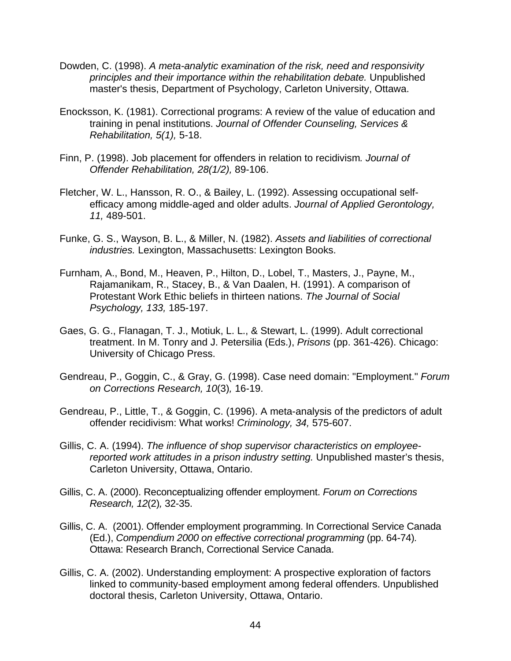- Dowden, C. (1998). *A meta-analytic examination of the risk, need and responsivity principles and their importance within the rehabilitation debate.* Unpublished master's thesis, Department of Psychology, Carleton University, Ottawa.
- Enocksson, K. (1981). Correctional programs: A review of the value of education and training in penal institutions. *Journal of Offender Counseling, Services & Rehabilitation, 5(1),* 5-18.
- Finn, P. (1998). Job placement for offenders in relation to recidivism*. Journal of Offender Rehabilitation, 28(1/2),* 89-106.
- Fletcher, W. L., Hansson, R. O., & Bailey, L. (1992). Assessing occupational selfefficacy among middle-aged and older adults. *Journal of Applied Gerontology, 11,* 489-501.
- Funke, G. S., Wayson, B. L., & Miller, N. (1982). *Assets and liabilities of correctional industries.* Lexington, Massachusetts: Lexington Books.
- Furnham, A., Bond, M., Heaven, P., Hilton, D., Lobel, T., Masters, J., Payne, M., Rajamanikam, R., Stacey, B., & Van Daalen, H. (1991). A comparison of Protestant Work Ethic beliefs in thirteen nations. *The Journal of Social Psychology, 133,* 185-197.
- Gaes, G. G., Flanagan, T. J., Motiuk, L. L., & Stewart, L. (1999). Adult correctional treatment. In M. Tonry and J. Petersilia (Eds.), *Prisons* (pp. 361-426). Chicago: University of Chicago Press.
- Gendreau, P., Goggin, C., & Gray, G. (1998). Case need domain: "Employment." *Forum on Corrections Research, 10*(3)*,* 16-19.
- Gendreau, P., Little, T., & Goggin, C. (1996). A meta-analysis of the predictors of adult offender recidivism: What works! *Criminology, 34,* 575-607.
- Gillis, C. A. (1994). *The influence of shop supervisor characteristics on employeereported work attitudes in a prison industry setting.* Unpublished master's thesis, Carleton University, Ottawa, Ontario.
- Gillis, C. A. (2000). Reconceptualizing offender employment. *Forum on Corrections Research, 12*(2)*,* 32-35.
- Gillis, C. A. (2001). Offender employment programming. In Correctional Service Canada (Ed.), *Compendium 2000 on effective correctional programming* (pp. 64-74)*.* Ottawa: Research Branch, Correctional Service Canada.
- Gillis, C. A. (2002). Understanding employment: A prospective exploration of factors linked to community-based employment among federal offenders. Unpublished doctoral thesis, Carleton University, Ottawa, Ontario.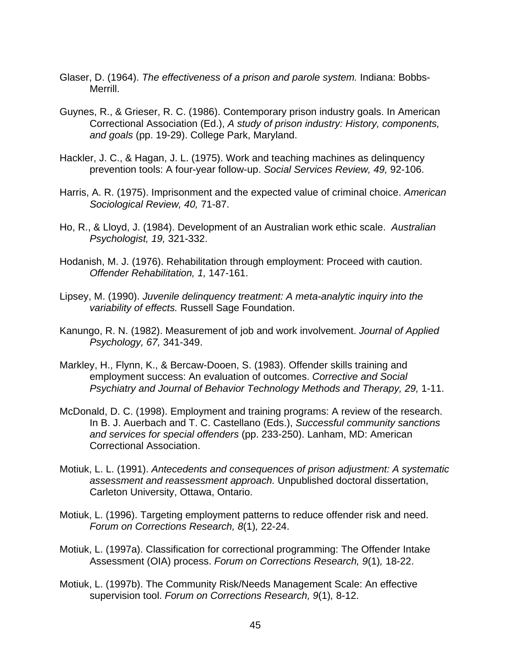- Glaser, D. (1964). *The effectiveness of a prison and parole system.* Indiana: Bobbs-Merrill.
- Guynes, R., & Grieser, R. C. (1986). Contemporary prison industry goals. In American Correctional Association (Ed.), *A study of prison industry: History, components, and goals* (pp. 19-29). College Park, Maryland.
- Hackler, J. C., & Hagan, J. L. (1975). Work and teaching machines as delinquency prevention tools: A four-year follow-up. *Social Services Review, 49,* 92-106.
- Harris, A. R. (1975). Imprisonment and the expected value of criminal choice. *American Sociological Review, 40,* 71-87.
- Ho, R., & Lloyd, J. (1984). Development of an Australian work ethic scale. *Australian Psychologist, 19,* 321-332.
- Hodanish, M. J. (1976). Rehabilitation through employment: Proceed with caution. *Offender Rehabilitation, 1,* 147-161.
- Lipsey, M. (1990). *Juvenile delinquency treatment: A meta-analytic inquiry into the variability of effects.* Russell Sage Foundation.
- Kanungo, R. N. (1982). Measurement of job and work involvement. *Journal of Applied Psychology, 67,* 341-349.
- Markley, H., Flynn, K., & Bercaw-Dooen, S. (1983). Offender skills training and employment success: An evaluation of outcomes. *Corrective and Social Psychiatry and Journal of Behavior Technology Methods and Therapy, 29,* 1-11.
- McDonald, D. C. (1998). Employment and training programs: A review of the research. In B. J. Auerbach and T. C. Castellano (Eds.), *Successful community sanctions and services for special offenders* (pp. 233-250). Lanham, MD: American Correctional Association.
- Motiuk, L. L. (1991). *Antecedents and consequences of prison adjustment: A systematic assessment and reassessment approach.* Unpublished doctoral dissertation, Carleton University, Ottawa, Ontario.
- Motiuk, L. (1996). Targeting employment patterns to reduce offender risk and need. *Forum on Corrections Research, 8*(1)*,* 22-24.
- Motiuk, L. (1997a). Classification for correctional programming: The Offender Intake Assessment (OIA) process. *Forum on Corrections Research, 9*(1)*,* 18-22.
- Motiuk, L. (1997b). The Community Risk/Needs Management Scale: An effective supervision tool. *Forum on Corrections Research, 9*(1)*,* 8-12.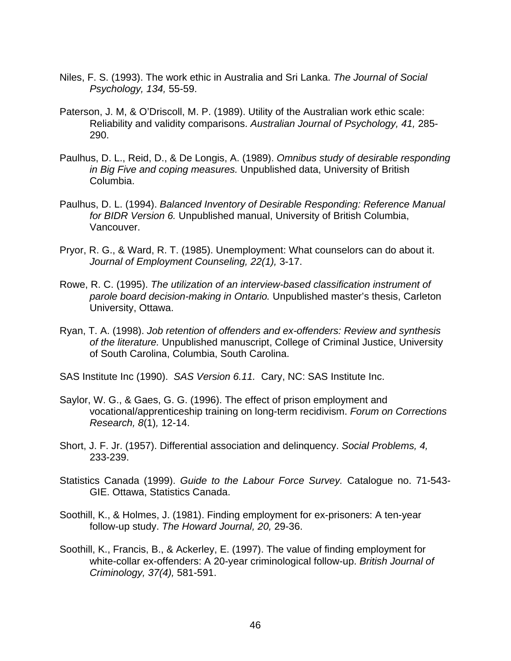- Niles, F. S. (1993). The work ethic in Australia and Sri Lanka. *The Journal of Social Psychology, 134,* 55-59.
- Paterson, J. M, & O'Driscoll, M. P. (1989). Utility of the Australian work ethic scale: Reliability and validity comparisons. *Australian Journal of Psychology, 41,* 285- 290.
- Paulhus, D. L., Reid, D., & De Longis, A. (1989). *Omnibus study of desirable responding in Big Five and coping measures.* Unpublished data, University of British Columbia.
- Paulhus, D. L. (1994). *Balanced Inventory of Desirable Responding: Reference Manual for BIDR Version 6.* Unpublished manual, University of British Columbia, Vancouver.
- Pryor, R. G., & Ward, R. T. (1985). Unemployment: What counselors can do about it. *Journal of Employment Counseling, 22(1),* 3-17.
- Rowe, R. C. (1995). *The utilization of an interview-based classification instrument of parole board decision-making in Ontario.* Unpublished master's thesis, Carleton University, Ottawa.
- Ryan, T. A. (1998). *Job retention of offenders and ex-offenders: Review and synthesis of the literature.* Unpublished manuscript, College of Criminal Justice, University of South Carolina, Columbia, South Carolina.
- SAS Institute Inc (1990). *SAS Version 6.11.* Cary, NC: SAS Institute Inc.
- Saylor, W. G., & Gaes, G. G. (1996). The effect of prison employment and vocational/apprenticeship training on long-term recidivism. *Forum on Corrections Research, 8*(1)*,* 12-14.
- Short, J. F. Jr. (1957). Differential association and delinquency. *Social Problems, 4,* 233-239.
- Statistics Canada (1999). *Guide to the Labour Force Survey.* Catalogue no. 71-543- GIE. Ottawa, Statistics Canada.
- Soothill, K., & Holmes, J. (1981). Finding employment for ex-prisoners: A ten-year follow-up study. *The Howard Journal, 20,* 29-36.
- Soothill, K., Francis, B., & Ackerley, E. (1997). The value of finding employment for white-collar ex-offenders: A 20-year criminological follow-up. *British Journal of Criminology, 37(4),* 581-591.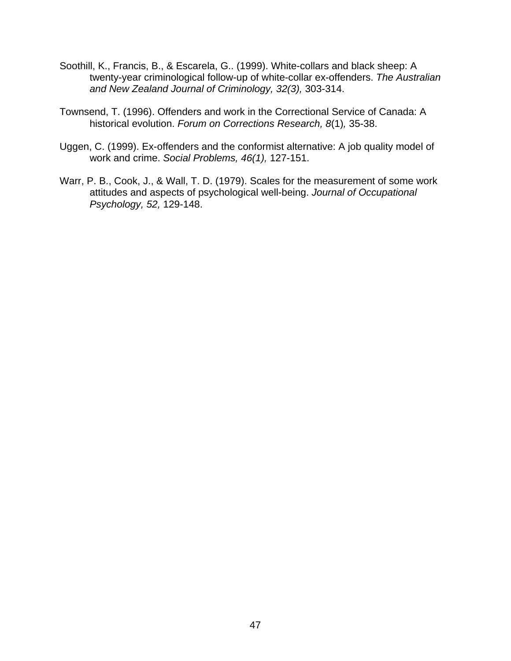- Soothill, K., Francis, B., & Escarela, G.. (1999). White-collars and black sheep: A twenty-year criminological follow-up of white-collar ex-offenders. *The Australian and New Zealand Journal of Criminology, 32(3),* 303-314.
- Townsend, T. (1996). Offenders and work in the Correctional Service of Canada: A historical evolution. *Forum on Corrections Research, 8*(1)*,* 35-38.
- Uggen, C. (1999). Ex-offenders and the conformist alternative: A job quality model of work and crime. *Social Problems, 46(1),* 127-151.
- Warr, P. B., Cook, J., & Wall, T. D. (1979). Scales for the measurement of some work attitudes and aspects of psychological well-being. *Journal of Occupational Psychology, 52,* 129-148.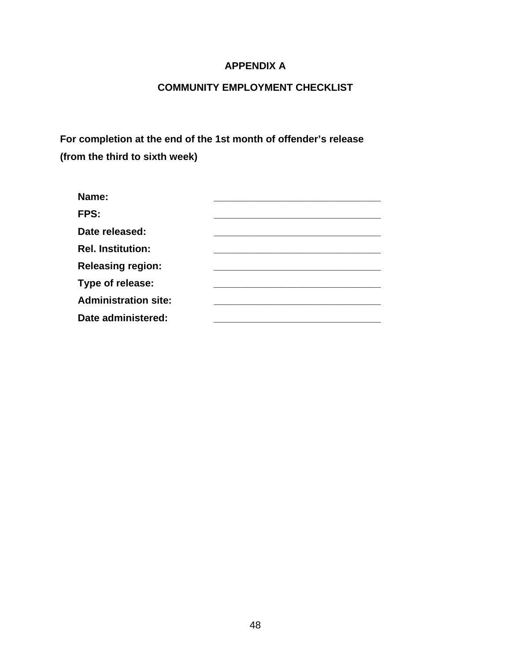### **APPENDIX A**

# **COMMUNITY EMPLOYMENT CHECKLIST**

**For completion at the end of the 1st month of offender's release (from the third to sixth week)** 

| Name:                       |  |
|-----------------------------|--|
| FPS:                        |  |
| Date released:              |  |
| <b>Rel. Institution:</b>    |  |
| <b>Releasing region:</b>    |  |
| Type of release:            |  |
| <b>Administration site:</b> |  |
| Date administered:          |  |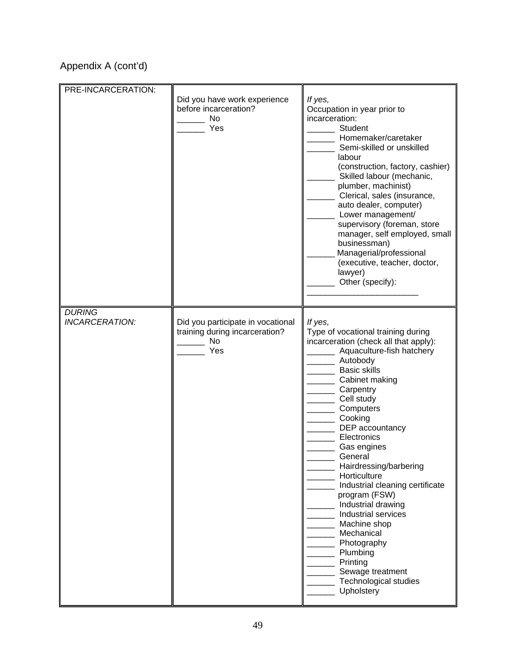# Appendix A (cont'd)

| PRE-INCARCERATION:              | Did you have work experience<br>before incarceration?<br><b>No</b><br>Yes        | If yes,<br>Occupation in year prior to<br>incarceration:<br>Student<br>Homemaker/caretaker<br>Semi-skilled or unskilled<br>labour<br>(construction, factory, cashier)<br>Skilled labour (mechanic,<br>plumber, machinist)<br>Clerical, sales (insurance,<br>auto dealer, computer)<br>Lower management/<br>supervisory (foreman, store<br>manager, self employed, small<br>businessman)<br>Managerial/professional<br>(executive, teacher, doctor,<br>lawyer)<br>Other (specify):                                                                                         |
|---------------------------------|----------------------------------------------------------------------------------|---------------------------------------------------------------------------------------------------------------------------------------------------------------------------------------------------------------------------------------------------------------------------------------------------------------------------------------------------------------------------------------------------------------------------------------------------------------------------------------------------------------------------------------------------------------------------|
| <b>DURING</b><br>INCARCERATION: | Did you participate in vocational<br>training during incarceration?<br>No<br>Yes | If yes,<br>Type of vocational training during<br>incarceration (check all that apply):<br>Aquaculture-fish hatchery<br>Autobody<br><b>Basic skills</b><br>Cabinet making<br>Carpentry<br>Cell study<br>Computers<br>Cooking<br>DEP accountancy<br>Electronics<br>Gas engines<br>General<br>Hairdressing/barbering<br>Horticulture<br>Industrial cleaning certificate<br>program (FSW)<br>Industrial drawing<br>Industrial services<br>Machine shop<br>Mechanical<br>Photography<br>Plumbing<br>Printing<br>Sewage treatment<br><b>Technological studies</b><br>Upholstery |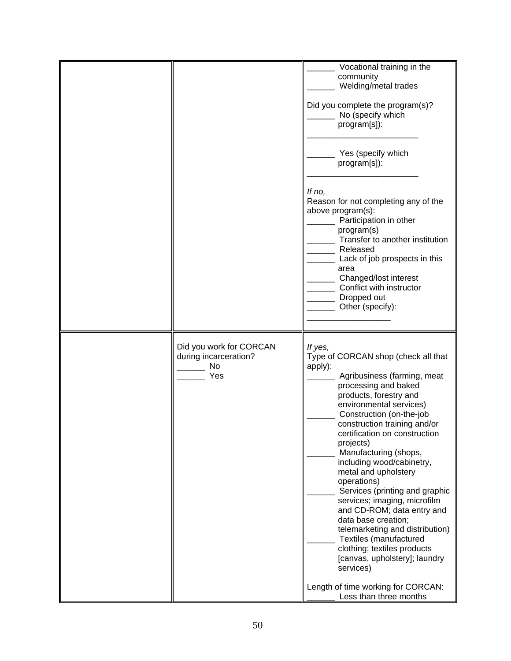|                                                               | Vocational training in the                                                                                                                                                                                                                                                                                                                                                                                                                                                                                                                                                                                                                                                          |
|---------------------------------------------------------------|-------------------------------------------------------------------------------------------------------------------------------------------------------------------------------------------------------------------------------------------------------------------------------------------------------------------------------------------------------------------------------------------------------------------------------------------------------------------------------------------------------------------------------------------------------------------------------------------------------------------------------------------------------------------------------------|
|                                                               | community<br>Welding/metal trades                                                                                                                                                                                                                                                                                                                                                                                                                                                                                                                                                                                                                                                   |
|                                                               | Did you complete the program(s)?<br>No (specify which<br>program[s]):                                                                                                                                                                                                                                                                                                                                                                                                                                                                                                                                                                                                               |
|                                                               | Yes (specify which<br>program[s]):                                                                                                                                                                                                                                                                                                                                                                                                                                                                                                                                                                                                                                                  |
|                                                               | If no,<br>Reason for not completing any of the<br>above program(s):<br>Participation in other<br>program(s)<br>Transfer to another institution<br>Released<br>Lack of job prospects in this<br>area<br>Changed/lost interest<br>Conflict with instructor<br>Dropped out<br>Other (specify):                                                                                                                                                                                                                                                                                                                                                                                         |
| Did you work for CORCAN<br>during incarceration?<br>No<br>Yes | If yes,<br>Type of CORCAN shop (check all that<br>apply):<br>Agribusiness (farming, meat<br>processing and baked<br>products, forestry and<br>environmental services)<br>Construction (on-the-job<br>construction training and/or<br>certification on construction<br>projects)<br>Manufacturing (shops,<br>including wood/cabinetry,<br>metal and upholstery<br>operations)<br>Services (printing and graphic<br>services; imaging, microfilm<br>and CD-ROM; data entry and<br>data base creation;<br>telemarketing and distribution)<br>Textiles (manufactured<br>clothing; textiles products<br>[canvas, upholstery]; laundry<br>services)<br>Length of time working for CORCAN: |
|                                                               | Less than three months                                                                                                                                                                                                                                                                                                                                                                                                                                                                                                                                                                                                                                                              |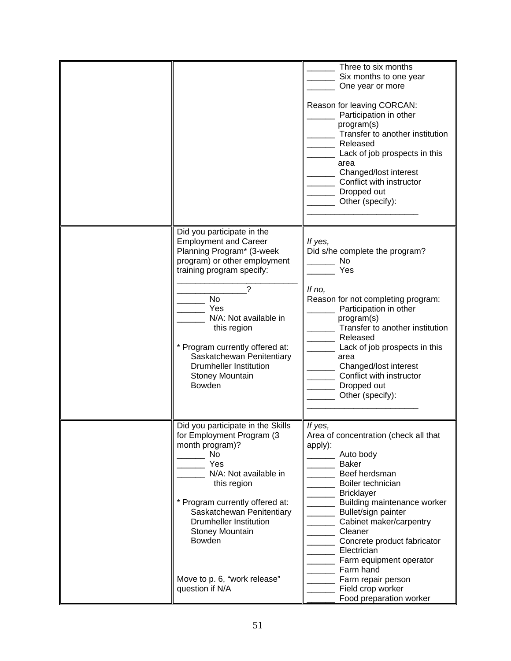|                                                                                                                                                                                               | Three to six months<br>Six months to one year<br>One year or more                                                                                                                                                                                                    |
|-----------------------------------------------------------------------------------------------------------------------------------------------------------------------------------------------|----------------------------------------------------------------------------------------------------------------------------------------------------------------------------------------------------------------------------------------------------------------------|
|                                                                                                                                                                                               | Reason for leaving CORCAN:<br>Participation in other<br>program(s)<br>Transfer to another institution<br>Released<br>Lack of job prospects in this<br>area<br>Changed/lost interest<br>Conflict with instructor<br>Dropped out<br>Other (specify):                   |
| Did you participate in the<br><b>Employment and Career</b><br>Planning Program* (3-week<br>program) or other employment<br>training program specify:                                          | If yes,<br>Did s/he complete the program?<br>No<br>Yes                                                                                                                                                                                                               |
| <b>No</b><br>Yes<br>N/A: Not available in<br>this region<br>* Program currently offered at:<br>Saskatchewan Penitentiary<br><b>Drumheller Institution</b><br>Stoney Mountain<br><b>Bowden</b> | If no,<br>Reason for not completing program:<br>Participation in other<br>program(s)<br>Transfer to another institution<br>Released<br>Lack of job prospects in this<br>area<br>Changed/lost interest<br>Conflict with instructor<br>Dropped out<br>Other (specify): |
| Did you participate in the Skills<br>for Employment Program (3)<br>month program)?<br>No<br>Yes<br>N/A: Not available in<br>this region                                                       | If yes,<br>Area of concentration (check all that<br>apply):<br>Auto body<br><b>Baker</b><br>Beef herdsman<br>Boiler technician<br><b>Bricklayer</b>                                                                                                                  |
| * Program currently offered at:<br>Saskatchewan Penitentiary<br><b>Drumheller Institution</b><br><b>Stoney Mountain</b><br>Bowden                                                             | Building maintenance worker<br>Bullet/sign painter<br>Cabinet maker/carpentry<br>Cleaner<br>Concrete product fabricator<br>Electrician<br>Farm equipment operator<br>Farm hand                                                                                       |
| Move to p. 6, "work release"<br>question if N/A                                                                                                                                               | Farm repair person<br>Field crop worker<br>Food preparation worker                                                                                                                                                                                                   |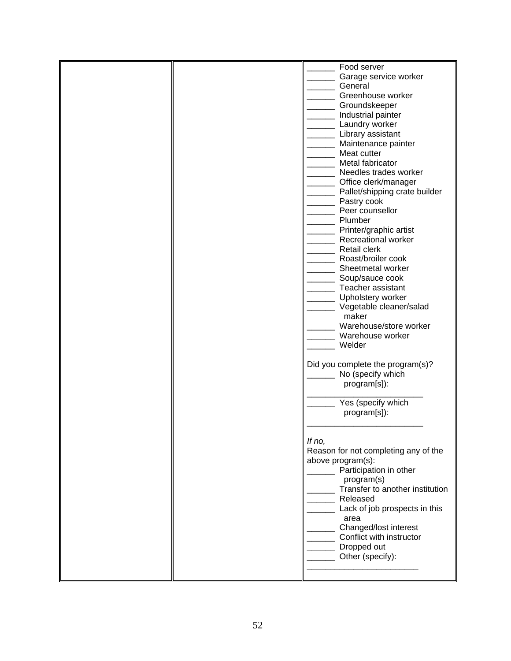|  | Food server<br>Garage service worker<br>General<br>Greenhouse worker<br>Groundskeeper<br>Industrial painter<br>Laundry worker<br>Library assistant<br>Maintenance painter<br>Meat cutter<br>Metal fabricator<br>Needles trades worker<br>Office clerk/manager<br>Pallet/shipping crate builder<br>Pastry cook<br>Peer counsellor<br>Plumber<br>Printer/graphic artist<br>Recreational worker<br><b>Retail clerk</b><br>Roast/broiler cook<br>Sheetmetal worker<br>Soup/sauce cook<br>Teacher assistant<br>Upholstery worker<br>Vegetable cleaner/salad<br>maker<br>Warehouse/store worker<br>Warehouse worker<br>Welder<br>Did you complete the program(s)? |
|--|-------------------------------------------------------------------------------------------------------------------------------------------------------------------------------------------------------------------------------------------------------------------------------------------------------------------------------------------------------------------------------------------------------------------------------------------------------------------------------------------------------------------------------------------------------------------------------------------------------------------------------------------------------------|
|  | No (specify which<br>program[s]):<br>Yes (specify which                                                                                                                                                                                                                                                                                                                                                                                                                                                                                                                                                                                                     |
|  | program[s]):<br>If no,<br>Reason for not completing any of the<br>above program(s):<br>Participation in other<br>program(s)<br>Transfer to another institution<br>Released<br>Lack of job prospects in this<br>area<br>Changed/lost interest<br>Conflict with instructor<br>Dropped out<br>Other (specify):                                                                                                                                                                                                                                                                                                                                                 |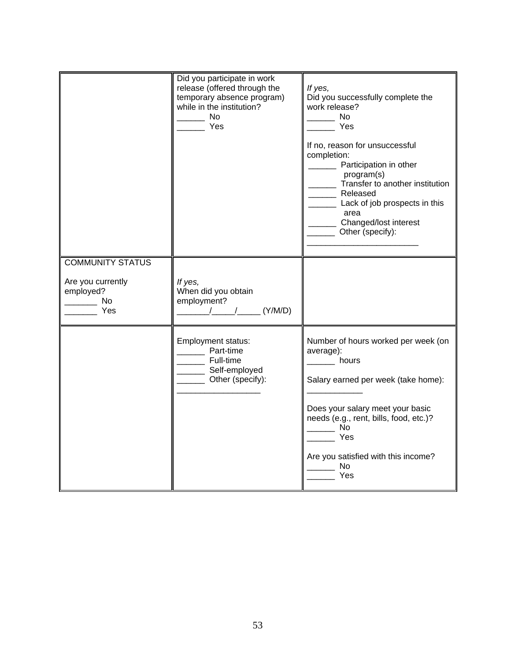|                                                                   | Did you participate in work<br>release (offered through the<br>temporary absence program)<br>while in the institution?<br><b>No</b><br>Yes                                                                                                                                                                                                                           | If yes,<br>Did you successfully complete the<br>work release?<br><b>No</b><br>Yes<br>If no, reason for unsuccessful<br>completion:<br>Participation in other<br>program(s)<br>Transfer to another institution<br>Released<br>Lack of job prospects in this<br>area<br>Changed/lost interest<br>Other (specify): |
|-------------------------------------------------------------------|----------------------------------------------------------------------------------------------------------------------------------------------------------------------------------------------------------------------------------------------------------------------------------------------------------------------------------------------------------------------|-----------------------------------------------------------------------------------------------------------------------------------------------------------------------------------------------------------------------------------------------------------------------------------------------------------------|
| <b>COMMUNITY STATUS</b>                                           |                                                                                                                                                                                                                                                                                                                                                                      |                                                                                                                                                                                                                                                                                                                 |
| Are you currently<br>employed?<br><b>No.</b><br><b>Parage Yes</b> | If yes,<br>When did you obtain<br>employment?<br>$\frac{1}{2}$ $\frac{1}{2}$ $\frac{1}{2}$ $\frac{1}{2}$ $\frac{1}{2}$ $\frac{1}{2}$ $\frac{1}{2}$ $\frac{1}{2}$ $\frac{1}{2}$ $\frac{1}{2}$ $\frac{1}{2}$ $\frac{1}{2}$ $\frac{1}{2}$ $\frac{1}{2}$ $\frac{1}{2}$ $\frac{1}{2}$ $\frac{1}{2}$ $\frac{1}{2}$ $\frac{1}{2}$ $\frac{1}{2}$ $\frac{1}{2}$ $\frac{1}{2}$ |                                                                                                                                                                                                                                                                                                                 |
|                                                                   | Employment status:<br>Part-time<br>__ Full-time<br>______ Self-employed<br>Other (specify):                                                                                                                                                                                                                                                                          | Number of hours worked per week (on<br>average):<br>hours<br>Salary earned per week (take home):<br>Does your salary meet your basic<br>needs (e.g., rent, bills, food, etc.)?<br><b>No</b><br>Yes<br>Are you satisfied with this income?<br>No<br>Yes                                                          |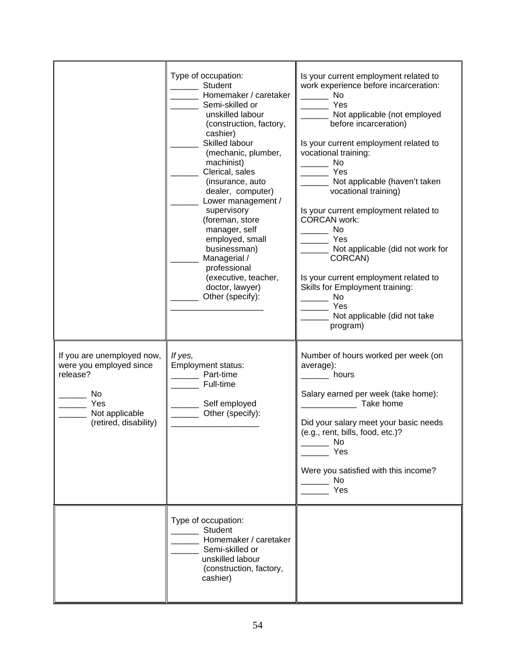|                                                                                                                            | Type of occupation:<br>Student<br>Homemaker / caretaker<br>Semi-skilled or<br>unskilled labour<br>(construction, factory,<br>cashier)<br>Skilled labour<br>(mechanic, plumber,<br>machinist)<br>Clerical, sales<br>(insurance, auto<br>dealer, computer)<br>Lower management /<br>supervisory<br>(foreman, store<br>manager, self<br>employed, small<br>businessman)<br>Managerial /<br>professional<br>(executive, teacher,<br>doctor, lawyer)<br>Other (specify): | Is your current employment related to<br>work experience before incarceration:<br><b>No</b><br>Yes<br>Not applicable (not employed<br>before incarceration)<br>Is your current employment related to<br>vocational training:<br>No<br>Yes<br>Not applicable (haven't taken<br>vocational training)<br>Is your current employment related to<br><b>CORCAN work:</b><br>No<br>Yes<br>Not applicable (did not work for<br>CORCAN)<br>Is your current employment related to<br>Skills for Employment training:<br><b>No</b><br>Yes<br>Not applicable (did not take<br>program) |
|----------------------------------------------------------------------------------------------------------------------------|---------------------------------------------------------------------------------------------------------------------------------------------------------------------------------------------------------------------------------------------------------------------------------------------------------------------------------------------------------------------------------------------------------------------------------------------------------------------|----------------------------------------------------------------------------------------------------------------------------------------------------------------------------------------------------------------------------------------------------------------------------------------------------------------------------------------------------------------------------------------------------------------------------------------------------------------------------------------------------------------------------------------------------------------------------|
| If you are unemployed now,<br>were you employed since<br>release?<br>No.<br>Yes<br>Not applicable<br>(retired, disability) | If yes,<br><b>Employment status:</b><br>Part-time<br>Full-time<br>Self employed<br>Other (specify):                                                                                                                                                                                                                                                                                                                                                                 | Number of hours worked per week (on<br>average):<br>hours<br>Salary earned per week (take home):<br>Take home<br>Did your salary meet your basic needs<br>(e.g., rent, bills, food, etc.)?<br>No.<br>Yes<br>Were you satisfied with this income?<br><b>No</b><br>Yes                                                                                                                                                                                                                                                                                                       |
|                                                                                                                            | Type of occupation:<br><b>Student</b><br>Homemaker / caretaker<br>Semi-skilled or<br>unskilled labour<br>(construction, factory,<br>cashier)                                                                                                                                                                                                                                                                                                                        |                                                                                                                                                                                                                                                                                                                                                                                                                                                                                                                                                                            |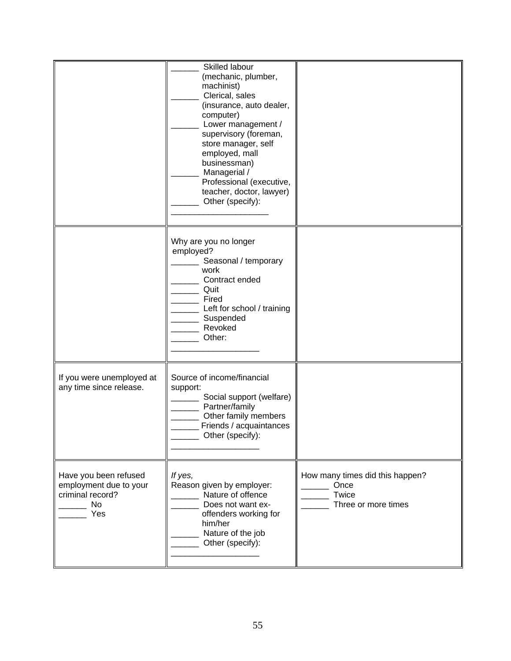|                                                                                         | Skilled labour<br>(mechanic, plumber,<br>machinist)<br>Clerical, sales<br>(insurance, auto dealer,<br>computer)<br>Lower management /<br>supervisory (foreman,<br>store manager, self<br>employed, mall<br>businessman)<br>Managerial /<br>Professional (executive,<br>teacher, doctor, lawyer)<br>Other (specify): |                                                                         |
|-----------------------------------------------------------------------------------------|---------------------------------------------------------------------------------------------------------------------------------------------------------------------------------------------------------------------------------------------------------------------------------------------------------------------|-------------------------------------------------------------------------|
|                                                                                         | Why are you no longer<br>employed?<br>Seasonal / temporary<br>work<br>Contract ended<br>Quit<br>Fired<br>Left for school / training<br>Suspended<br>Revoked<br>Other:                                                                                                                                               |                                                                         |
| If you were unemployed at<br>any time since release.                                    | Source of income/financial<br>support:<br>Social support (welfare)<br>Partner/family<br>Other family members<br>Friends / acquaintances<br>Other (specify):                                                                                                                                                         |                                                                         |
| Have you been refused<br>employment due to your<br>criminal record?<br><b>No</b><br>Yes | If yes,<br>Reason given by employer:<br>Nature of offence<br>Does not want ex-<br>offenders working for<br>him/her<br>Nature of the job<br>Other (specify):                                                                                                                                                         | How many times did this happen?<br>Once<br>Twice<br>Three or more times |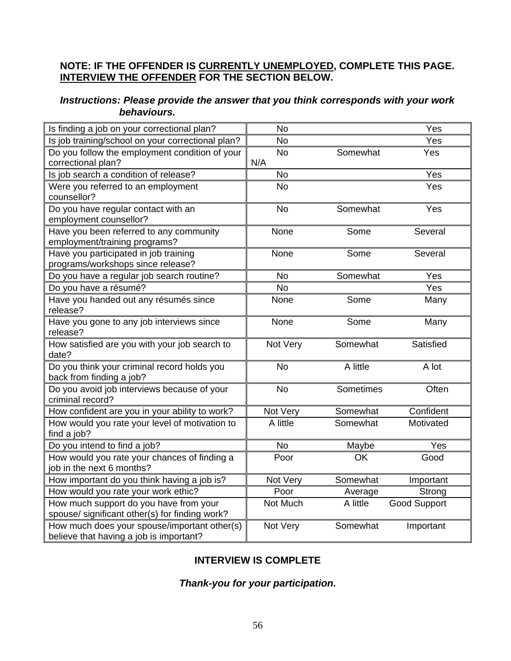#### **NOTE: IF THE OFFENDER IS CURRENTLY UNEMPLOYED, COMPLETE THIS PAGE. INTERVIEW THE OFFENDER FOR THE SECTION BELOW.**

### *Instructions: Please provide the answer that you think corresponds with your work behaviours.*

| Is finding a job on your correctional plan?           | No        |           | Yes                 |
|-------------------------------------------------------|-----------|-----------|---------------------|
| Is job training/school on your correctional plan?     | <b>No</b> |           | Yes                 |
| Do you follow the employment condition of your        | <b>No</b> | Somewhat  | Yes                 |
| correctional plan?                                    | N/A       |           |                     |
| Is job search a condition of release?                 | <b>No</b> |           | Yes                 |
| Were you referred to an employment                    | <b>No</b> |           | Yes                 |
| counsellor?                                           |           |           |                     |
| Do you have regular contact with an                   | <b>No</b> | Somewhat  | Yes                 |
| employment counsellor?                                |           |           |                     |
| Have you been referred to any community               | None      | Some      | Several             |
| employment/training programs?                         |           |           |                     |
| Have you participated in job training                 | None      | Some      | Several             |
| programs/workshops since release?                     |           |           |                     |
| Do you have a regular job search routine?             | <b>No</b> | Somewhat  | Yes                 |
| Do you have a résumé?                                 | <b>No</b> |           | Yes                 |
| Have you handed out any résumés since                 | None      | Some      | Many                |
| release?                                              |           |           |                     |
| Have you gone to any job interviews since<br>release? | None      | Some      | Many                |
| How satisfied are you with your job search to         | Not Very  | Somewhat  | Satisfied           |
| date?                                                 |           |           |                     |
| Do you think your criminal record holds you           | <b>No</b> | A little  | A lot               |
| back from finding a job?                              |           |           |                     |
| Do you avoid job interviews because of your           | <b>No</b> | Sometimes | Often               |
| criminal record?                                      |           |           |                     |
| How confident are you in your ability to work?        | Not Very  | Somewhat  | Confident           |
| How would you rate your level of motivation to        | A little  | Somewhat  | Motivated           |
| find a job?                                           |           |           |                     |
| Do you intend to find a job?                          | <b>No</b> | Maybe     | Yes                 |
| How would you rate your chances of finding a          | Poor      | OK        | Good                |
| job in the next 6 months?                             |           |           |                     |
| How important do you think having a job is?           | Not Very  | Somewhat  | Important           |
| How would you rate your work ethic?                   | Poor      | Average   | Strong              |
| How much support do you have from your                | Not Much  | A little  | <b>Good Support</b> |
| spouse/ significant other(s) for finding work?        |           |           |                     |
| How much does your spouse/important other(s)          | Not Very  | Somewhat  | Important           |
| believe that having a job is important?               |           |           |                     |

### **INTERVIEW IS COMPLETE**

### *Thank-you for your participation.*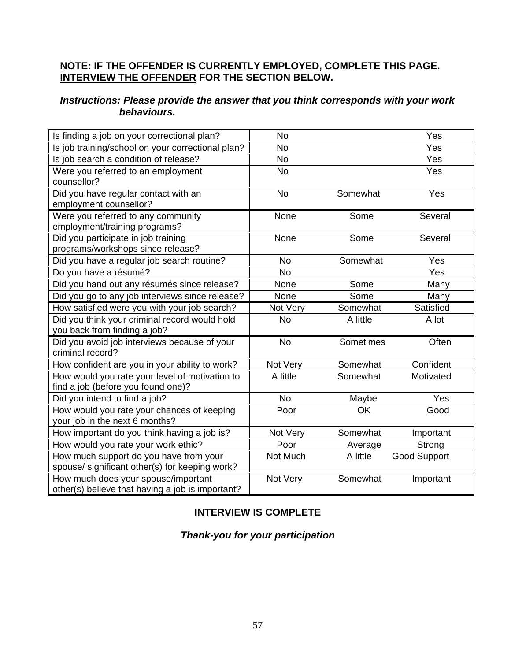#### **NOTE: IF THE OFFENDER IS CURRENTLY EMPLOYED, COMPLETE THIS PAGE. INTERVIEW THE OFFENDER FOR THE SECTION BELOW.**

### *Instructions: Please provide the answer that you think corresponds with your work behaviours.*

| Is finding a job on your correctional plan?       | <b>No</b> |           | Yes                 |
|---------------------------------------------------|-----------|-----------|---------------------|
| Is job training/school on your correctional plan? | <b>No</b> |           | Yes                 |
| Is job search a condition of release?             | No        |           | Yes                 |
| Were you referred to an employment                | <b>No</b> |           | Yes                 |
| counsellor?                                       |           |           |                     |
| Did you have regular contact with an              | <b>No</b> | Somewhat  | Yes                 |
| employment counsellor?                            |           |           |                     |
| Were you referred to any community                | None      | Some      | Several             |
| employment/training programs?                     |           |           |                     |
| Did you participate in job training               | None      | Some      | Several             |
| programs/workshops since release?                 |           |           |                     |
| Did you have a regular job search routine?        | <b>No</b> | Somewhat  | <b>Yes</b>          |
| Do you have a résumé?                             | No        |           | Yes                 |
| Did you hand out any résumés since release?       | None      | Some      | Many                |
| Did you go to any job interviews since release?   | None      | Some      | Many                |
| How satisfied were you with your job search?      | Not Very  | Somewhat  | Satisfied           |
| Did you think your criminal record would hold     | <b>No</b> | A little  | A lot               |
| you back from finding a job?                      |           |           |                     |
| Did you avoid job interviews because of your      | <b>No</b> | Sometimes | Often               |
| criminal record?                                  |           |           |                     |
| How confident are you in your ability to work?    | Not Very  | Somewhat  | Confident           |
| How would you rate your level of motivation to    | A little  | Somewhat  | Motivated           |
| find a job (before you found one)?                |           |           |                     |
| Did you intend to find a job?                     | <b>No</b> | Maybe     | Yes                 |
| How would you rate your chances of keeping        | Poor      | OK        | Good                |
| your job in the next 6 months?                    |           |           |                     |
| How important do you think having a job is?       | Not Very  | Somewhat  | Important           |
| How would you rate your work ethic?               | Poor      | Average   | Strong              |
| How much support do you have from your            | Not Much  | A little  | <b>Good Support</b> |
| spouse/ significant other(s) for keeping work?    |           |           |                     |
| How much does your spouse/important               | Not Very  | Somewhat  | Important           |
| other(s) believe that having a job is important?  |           |           |                     |

### **INTERVIEW IS COMPLETE**

### *Thank-you for your participation*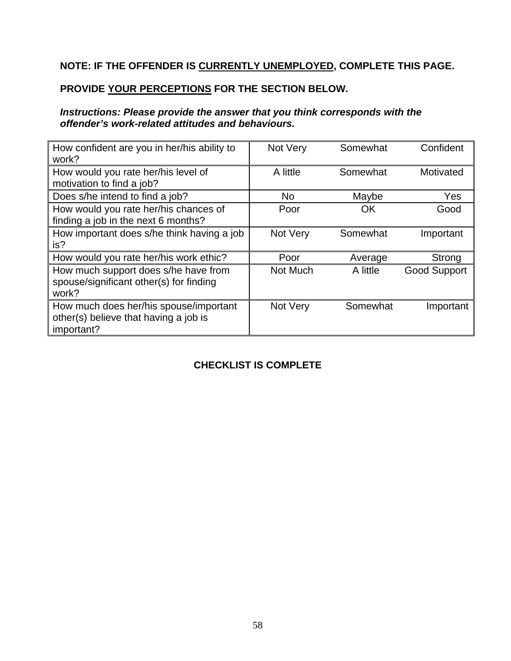# **NOTE: IF THE OFFENDER IS CURRENTLY UNEMPLOYED, COMPLETE THIS PAGE.**

# **PROVIDE YOUR PERCEPTIONS FOR THE SECTION BELOW.**

### *Instructions: Please provide the answer that you think corresponds with the offender's work-related attitudes and behaviours.*

| How confident are you in her/his ability to<br>work?                                          | Not Very | Somewhat | Confident           |
|-----------------------------------------------------------------------------------------------|----------|----------|---------------------|
| How would you rate her/his level of<br>motivation to find a job?                              | A little | Somewhat | Motivated           |
| Does s/he intend to find a job?                                                               | No.      | Maybe    | Yes                 |
| How would you rate her/his chances of<br>finding a job in the next 6 months?                  | Poor     | OK       | Good                |
| How important does s/he think having a job<br>is?                                             | Not Very | Somewhat | Important           |
| How would you rate her/his work ethic?                                                        | Poor     | Average  | Strong              |
| How much support does s/he have from<br>spouse/significant other(s) for finding<br>work?      | Not Much | A little | <b>Good Support</b> |
| How much does her/his spouse/important<br>other(s) believe that having a job is<br>important? | Not Very | Somewhat | Important           |

## **CHECKLIST IS COMPLETE**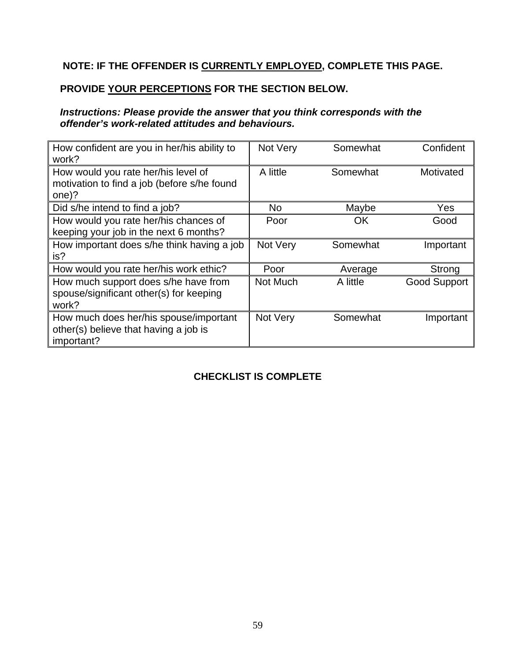# **NOTE: IF THE OFFENDER IS CURRENTLY EMPLOYED, COMPLETE THIS PAGE.**

### **PROVIDE YOUR PERCEPTIONS FOR THE SECTION BELOW.**

### *Instructions: Please provide the answer that you think corresponds with the offender's work-related attitudes and behaviours.*

| How confident are you in her/his ability to<br>work?                                          | Not Very | Somewhat  | Confident           |
|-----------------------------------------------------------------------------------------------|----------|-----------|---------------------|
| How would you rate her/his level of<br>motivation to find a job (before s/he found<br>one)?   | A little | Somewhat  | Motivated           |
| Did s/he intend to find a job?                                                                | No.      | Maybe     | Yes                 |
| How would you rate her/his chances of<br>keeping your job in the next 6 months?               | Poor     | <b>OK</b> | Good                |
| How important does s/he think having a job<br>is?                                             | Not Very | Somewhat  | Important           |
| How would you rate her/his work ethic?                                                        | Poor     | Average   | Strong              |
| How much support does s/he have from<br>spouse/significant other(s) for keeping<br>work?      | Not Much | A little  | <b>Good Support</b> |
| How much does her/his spouse/important<br>other(s) believe that having a job is<br>important? | Not Very | Somewhat  | Important           |

# **CHECKLIST IS COMPLETE**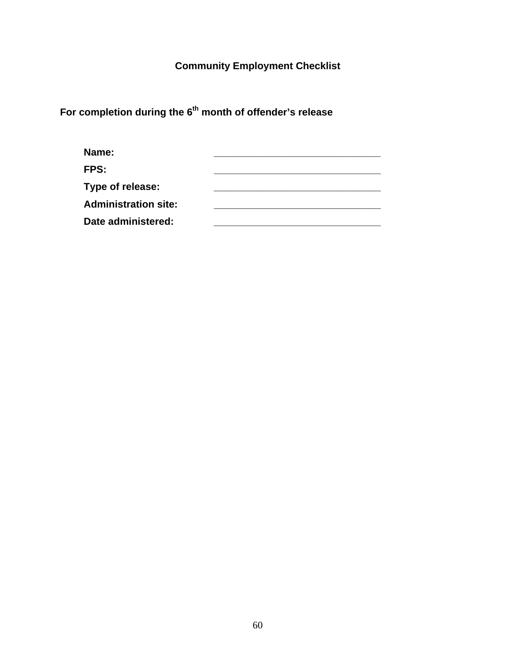**Community Employment Checklist** 

For completion during the 6<sup>th</sup> month of offender's release

| Name:                       |  |
|-----------------------------|--|
| FPS:                        |  |
| Type of release:            |  |
| <b>Administration site:</b> |  |
| Date administered:          |  |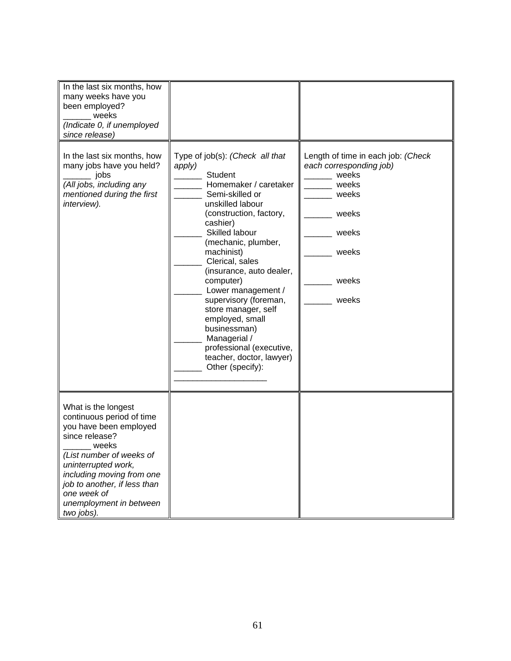| In the last six months, how<br>many weeks have you<br>been employed?<br>weeks<br>(Indicate 0, if unemployed<br>since release)                                                                                                                                                 |                                                                                                                                                                                                                                                                                                                                                                                                                                                                                            |                                                                                                                                       |
|-------------------------------------------------------------------------------------------------------------------------------------------------------------------------------------------------------------------------------------------------------------------------------|--------------------------------------------------------------------------------------------------------------------------------------------------------------------------------------------------------------------------------------------------------------------------------------------------------------------------------------------------------------------------------------------------------------------------------------------------------------------------------------------|---------------------------------------------------------------------------------------------------------------------------------------|
| In the last six months, how<br>many jobs have you held?<br>jobs<br>(All jobs, including any<br>mentioned during the first<br>interview).                                                                                                                                      | Type of job(s): (Check all that<br>apply)<br><b>Student</b><br>Homemaker / caretaker<br>Semi-skilled or<br>unskilled labour<br>(construction, factory,<br>cashier)<br>Skilled labour<br>(mechanic, plumber,<br>machinist)<br>Clerical, sales<br>(insurance, auto dealer,<br>computer)<br>Lower management /<br>supervisory (foreman,<br>store manager, self<br>employed, small<br>businessman)<br>Managerial /<br>professional (executive,<br>teacher, doctor, lawyer)<br>Other (specify): | Length of time in each job: (Check<br>each corresponding job)<br>weeks<br>weeks<br>weeks<br>weeks<br>weeks<br>weeks<br>weeks<br>weeks |
| What is the longest<br>continuous period of time<br>you have been employed<br>since release?<br>weeks<br>(List number of weeks of<br>uninterrupted work,<br>including moving from one<br>job to another, if less than<br>one week of<br>unemployment in between<br>two jobs). |                                                                                                                                                                                                                                                                                                                                                                                                                                                                                            |                                                                                                                                       |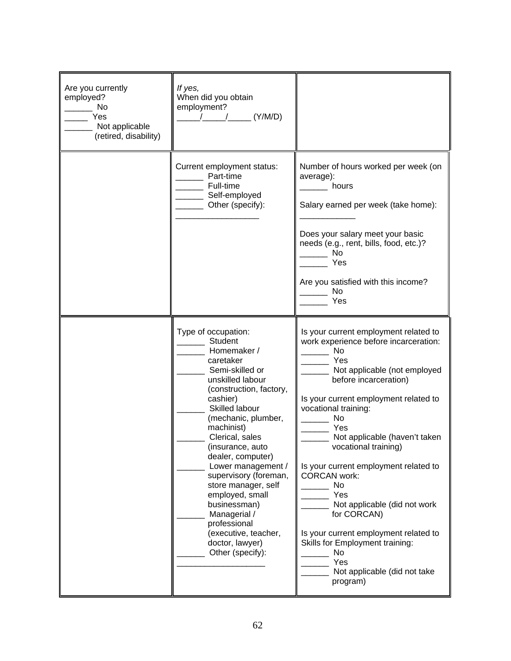| Are you currently<br>employed?<br>No<br>Yes<br>Not applicable<br>(retired, disability) | If yes,<br>When did you obtain<br>employment?<br>(Y/M/D)                                                                                                                                                                                                                                                                                                                                                                                                                   |                                                                                                                                                                                                                                                                                                                                                                                                                                                                                                                                                                            |
|----------------------------------------------------------------------------------------|----------------------------------------------------------------------------------------------------------------------------------------------------------------------------------------------------------------------------------------------------------------------------------------------------------------------------------------------------------------------------------------------------------------------------------------------------------------------------|----------------------------------------------------------------------------------------------------------------------------------------------------------------------------------------------------------------------------------------------------------------------------------------------------------------------------------------------------------------------------------------------------------------------------------------------------------------------------------------------------------------------------------------------------------------------------|
|                                                                                        | Current employment status:<br>Part-time<br>Full-time<br>Self-employed<br>Other (specify):                                                                                                                                                                                                                                                                                                                                                                                  | Number of hours worked per week (on<br>average):<br>hours<br>Salary earned per week (take home):<br>Does your salary meet your basic<br>needs (e.g., rent, bills, food, etc.)?<br>No<br>Yes<br>Are you satisfied with this income?<br>No<br>Yes                                                                                                                                                                                                                                                                                                                            |
|                                                                                        | Type of occupation:<br><b>Student</b><br>Homemaker /<br>caretaker<br>Semi-skilled or<br>unskilled labour<br>(construction, factory,<br>cashier)<br>Skilled labour<br>(mechanic, plumber,<br>machinist)<br>Clerical, sales<br>(insurance, auto<br>dealer, computer)<br>Lower management /<br>supervisory (foreman,<br>store manager, self<br>employed, small<br>businessman)<br>Managerial /<br>professional<br>(executive, teacher,<br>doctor, lawyer)<br>Other (specify): | Is your current employment related to<br>work experience before incarceration:<br><b>No</b><br>Yes<br>Not applicable (not employed<br>before incarceration)<br>Is your current employment related to<br>vocational training:<br>No<br>Yes<br>Not applicable (haven't taken<br>vocational training)<br>Is your current employment related to<br><b>CORCAN work:</b><br>No<br>Yes<br>Not applicable (did not work<br>for CORCAN)<br>Is your current employment related to<br>Skills for Employment training:<br><b>No</b><br>Yes<br>Not applicable (did not take<br>program) |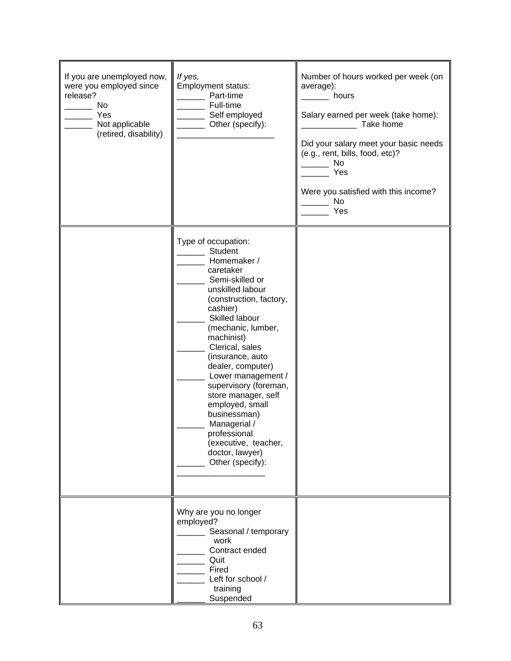| If you are unemployed now,<br>were you employed since<br>release?<br>No<br>Yes<br>Not applicable<br>(retired, disability) | If yes,<br>Employment status:<br>Part-time<br>Full-time<br>Self employed<br>Other (specify):                                                                                                                                                                                                                                                                                                                                                                              | Number of hours worked per week (on<br>average):<br>hours<br>Salary earned per week (take home):<br>Take home<br>Did your salary meet your basic needs<br>(e.g., rent, bills, food, etc)?<br>No<br>Yes<br>Were you satisfied with this income?<br>No<br>Yes |
|---------------------------------------------------------------------------------------------------------------------------|---------------------------------------------------------------------------------------------------------------------------------------------------------------------------------------------------------------------------------------------------------------------------------------------------------------------------------------------------------------------------------------------------------------------------------------------------------------------------|-------------------------------------------------------------------------------------------------------------------------------------------------------------------------------------------------------------------------------------------------------------|
|                                                                                                                           | Type of occupation:<br><b>Student</b><br>Homemaker /<br>caretaker<br>Semi-skilled or<br>unskilled labour<br>(construction, factory,<br>cashier)<br>Skilled labour<br>(mechanic, lumber,<br>machinist)<br>Clerical, sales<br>(insurance, auto<br>dealer, computer)<br>Lower management /<br>supervisory (foreman,<br>store manager, self<br>employed, small<br>businessman)<br>Managerial /<br>professional<br>(executive, teacher,<br>doctor, lawyer)<br>Other (specify): |                                                                                                                                                                                                                                                             |
|                                                                                                                           | Why are you no longer<br>employed?<br>Seasonal / temporary<br>work<br>Contract ended<br>Quit<br>Fired<br>Left for school /<br>training<br>Suspended                                                                                                                                                                                                                                                                                                                       |                                                                                                                                                                                                                                                             |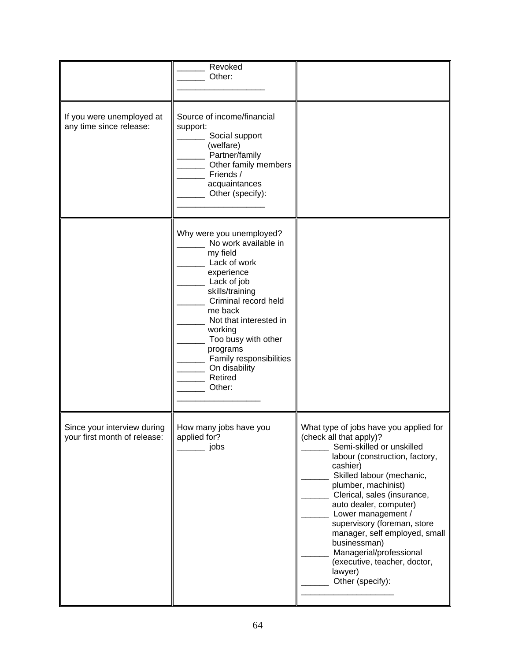|                                                             | Revoked<br>Other:                                                                                                                                                                                                                                                                                        |                                                                                                                                                                                                                                                                                                                                                                                                                                                           |
|-------------------------------------------------------------|----------------------------------------------------------------------------------------------------------------------------------------------------------------------------------------------------------------------------------------------------------------------------------------------------------|-----------------------------------------------------------------------------------------------------------------------------------------------------------------------------------------------------------------------------------------------------------------------------------------------------------------------------------------------------------------------------------------------------------------------------------------------------------|
| If you were unemployed at<br>any time since release:        | Source of income/financial<br>support:<br>Social support<br>(welfare)<br>Partner/family<br>Other family members<br>Friends /<br>acquaintances<br>Other (specify):                                                                                                                                        |                                                                                                                                                                                                                                                                                                                                                                                                                                                           |
|                                                             | Why were you unemployed?<br>No work available in<br>my field<br>Lack of work<br>experience<br>Lack of job<br>skills/training<br>Criminal record held<br>me back<br>Not that interested in<br>working<br>Too busy with other<br>programs<br>Family responsibilities<br>On disability<br>Retired<br>Other: |                                                                                                                                                                                                                                                                                                                                                                                                                                                           |
| Since your interview during<br>your first month of release: | How many jobs have you<br>applied for?<br>jobs                                                                                                                                                                                                                                                           | What type of jobs have you applied for<br>(check all that apply)?<br>Semi-skilled or unskilled<br>labour (construction, factory,<br>cashier)<br>Skilled labour (mechanic,<br>plumber, machinist)<br>Clerical, sales (insurance,<br>auto dealer, computer)<br>Lower management /<br>supervisory (foreman, store<br>manager, self employed, small<br>businessman)<br>Managerial/professional<br>(executive, teacher, doctor,<br>lawyer)<br>Other (specify): |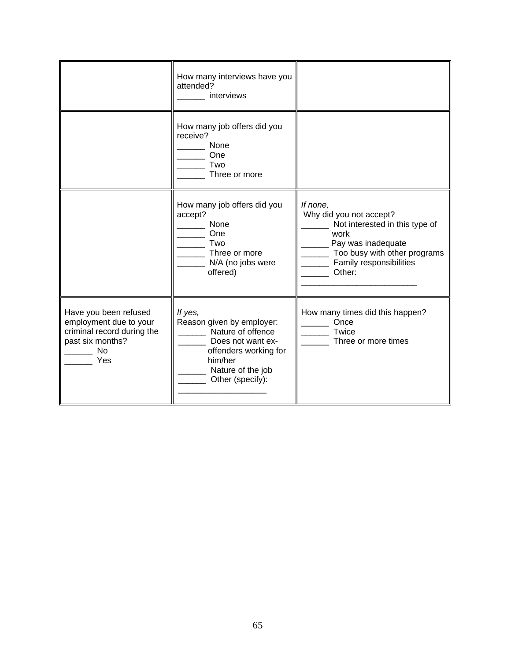|                                                                                                                       | How many interviews have you<br>attended?<br>interviews                                                                                                     |                                                                                                                                                                          |
|-----------------------------------------------------------------------------------------------------------------------|-------------------------------------------------------------------------------------------------------------------------------------------------------------|--------------------------------------------------------------------------------------------------------------------------------------------------------------------------|
|                                                                                                                       | How many job offers did you<br>receive?<br>None<br>One<br>Two<br>Three or more                                                                              |                                                                                                                                                                          |
|                                                                                                                       | How many job offers did you<br>accept?<br>None<br>One<br>Two<br>Three or more<br>N/A (no jobs were<br>offered)                                              | If none,<br>Why did you not accept?<br>Not interested in this type of<br>work<br>Pay was inadequate<br>Too busy with other programs<br>Family responsibilities<br>Other: |
| Have you been refused<br>employment due to your<br>criminal record during the<br>past six months?<br><b>No</b><br>Yes | If yes,<br>Reason given by employer:<br>Nature of offence<br>Does not want ex-<br>offenders working for<br>him/her<br>Nature of the job<br>Other (specify): | How many times did this happen?<br>Once<br>Twice<br>Three or more times                                                                                                  |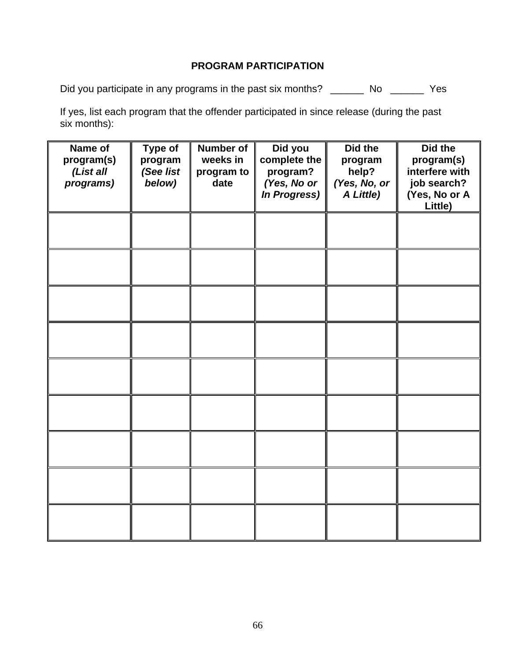## **PROGRAM PARTICIPATION**

Did you participate in any programs in the past six months? \_\_\_\_\_\_\_ No \_\_\_\_\_\_\_ Yes

If yes, list each program that the offender participated in since release (during the past six months):

| Name of<br>program(s)<br>(List all<br>programs) | Type of<br>program<br>(See list<br>below) | <b>Number of</b><br>weeks in<br>program to<br>date | Did you<br>complete the<br>program?<br>(Yes, No or<br><b>In Progress)</b> | Did the<br>program<br>help?<br>(Yes, No, or<br>A Little) | Did the<br>program(s)<br>interfere with<br>job search?<br>(Yes, No or A<br>Little) |
|-------------------------------------------------|-------------------------------------------|----------------------------------------------------|---------------------------------------------------------------------------|----------------------------------------------------------|------------------------------------------------------------------------------------|
|                                                 |                                           |                                                    |                                                                           |                                                          |                                                                                    |
|                                                 |                                           |                                                    |                                                                           |                                                          |                                                                                    |
|                                                 |                                           |                                                    |                                                                           |                                                          |                                                                                    |
|                                                 |                                           |                                                    |                                                                           |                                                          |                                                                                    |
|                                                 |                                           |                                                    |                                                                           |                                                          |                                                                                    |
|                                                 |                                           |                                                    |                                                                           |                                                          |                                                                                    |
|                                                 |                                           |                                                    |                                                                           |                                                          |                                                                                    |
|                                                 |                                           |                                                    |                                                                           |                                                          |                                                                                    |
|                                                 |                                           |                                                    |                                                                           |                                                          |                                                                                    |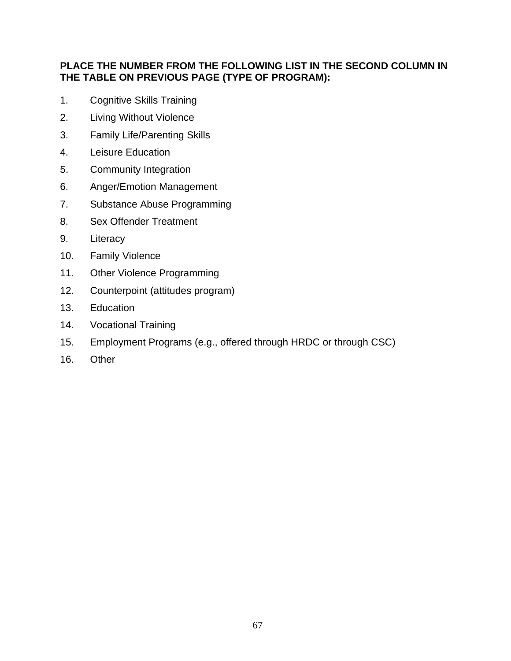## **PLACE THE NUMBER FROM THE FOLLOWING LIST IN THE SECOND COLUMN IN THE TABLE ON PREVIOUS PAGE (TYPE OF PROGRAM):**

- 1. Cognitive Skills Training
- 2. Living Without Violence
- 3. Family Life/Parenting Skills
- 4. Leisure Education
- 5. Community Integration
- 6. Anger/Emotion Management
- 7. Substance Abuse Programming
- 8. Sex Offender Treatment
- 9. Literacy
- 10. Family Violence
- 11. Other Violence Programming
- 12. Counterpoint (attitudes program)
- 13. Education
- 14. Vocational Training
- 15. Employment Programs (e.g., offered through HRDC or through CSC)
- 16. Other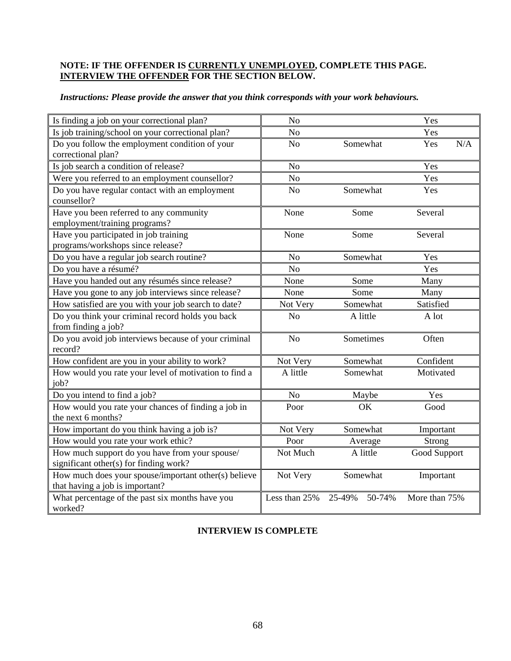#### **NOTE: IF THE OFFENDER IS CURRENTLY UNEMPLOYED, COMPLETE THIS PAGE. INTERVIEW THE OFFENDER FOR THE SECTION BELOW.**

|  |  |  | Instructions: Please provide the answer that you think corresponds with your work behaviours. |
|--|--|--|-----------------------------------------------------------------------------------------------|
|  |  |  |                                                                                               |

| Is finding a job on your correctional plan?                                              | No             |                  | Yes           |
|------------------------------------------------------------------------------------------|----------------|------------------|---------------|
| Is job training/school on your correctional plan?                                        | N <sub>o</sub> |                  | Yes           |
| Do you follow the employment condition of your                                           | N <sub>o</sub> | Somewhat         | N/A<br>Yes    |
| correctional plan?                                                                       |                |                  |               |
| Is job search a condition of release?                                                    | N <sub>o</sub> |                  | Yes           |
| Were you referred to an employment counsellor?                                           | No             |                  | Yes           |
| Do you have regular contact with an employment<br>counsellor?                            | N <sub>o</sub> | Somewhat         | Yes           |
| Have you been referred to any community<br>employment/training programs?                 | None           | Some             | Several       |
| Have you participated in job training<br>programs/workshops since release?               | None           | Some             | Several       |
| Do you have a regular job search routine?                                                | N <sub>o</sub> | Somewhat         | Yes           |
| Do you have a résumé?                                                                    | N <sub>o</sub> |                  | Yes           |
| Have you handed out any résumés since release?                                           | None           | Some             | Many          |
| Have you gone to any job interviews since release?                                       | None           | Some             | Many          |
| How satisfied are you with your job search to date?                                      | Not Very       | Somewhat         | Satisfied     |
| Do you think your criminal record holds you back<br>from finding a job?                  | N <sub>o</sub> | A little         | A lot         |
| Do you avoid job interviews because of your criminal<br>record?                          | N <sub>o</sub> | Sometimes        | Often         |
| How confident are you in your ability to work?                                           | Not Very       | Somewhat         | Confident     |
| How would you rate your level of motivation to find a<br>job?                            | A little       | Somewhat         | Motivated     |
| Do you intend to find a job?                                                             | N <sub>o</sub> | Maybe            | Yes           |
| How would you rate your chances of finding a job in<br>the next 6 months?                | Poor           | <b>OK</b>        | Good          |
| How important do you think having a job is?                                              | Not Very       | Somewhat         | Important     |
| How would you rate your work ethic?                                                      | Poor           | Average          | Strong        |
| How much support do you have from your spouse/<br>significant other(s) for finding work? | Not Much       | A little         | Good Support  |
| How much does your spouse/important other(s) believe<br>that having a job is important?  | Not Very       | Somewhat         | Important     |
| What percentage of the past six months have you<br>worked?                               | Less than 25%  | 25-49%<br>50-74% | More than 75% |

### **INTERVIEW IS COMPLETE**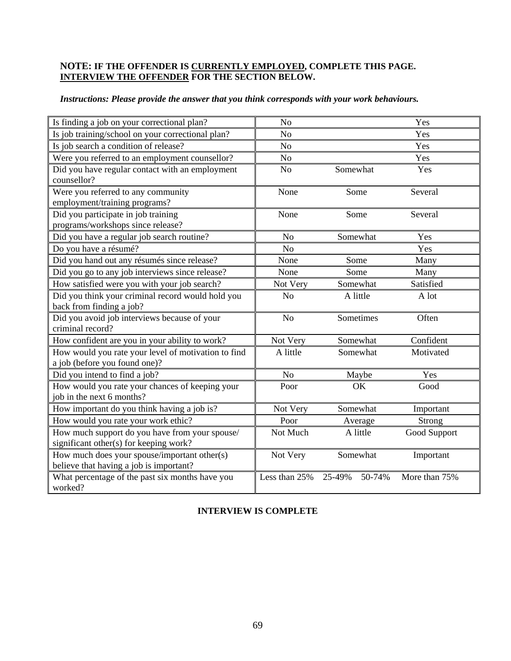#### **NOTE: IF THE OFFENDER IS CURRENTLY EMPLOYED, COMPLETE THIS PAGE. INTERVIEW THE OFFENDER FOR THE SECTION BELOW.**

| Is finding a job on your correctional plan?         | N <sub>o</sub> |                  | Yes           |
|-----------------------------------------------------|----------------|------------------|---------------|
| Is job training/school on your correctional plan?   | N <sub>o</sub> |                  | Yes           |
| Is job search a condition of release?               | N <sub>o</sub> |                  | Yes           |
| Were you referred to an employment counsellor?      | N <sub>o</sub> |                  | Yes           |
| Did you have regular contact with an employment     | N <sub>o</sub> | Somewhat         | Yes           |
| counsellor?                                         |                |                  |               |
| Were you referred to any community                  | None           | Some             | Several       |
| employment/training programs?                       |                |                  |               |
| Did you participate in job training                 | None           | Some             | Several       |
| programs/workshops since release?                   |                |                  |               |
| Did you have a regular job search routine?          | N <sub>o</sub> | Somewhat         | Yes           |
| Do you have a résumé?                               | N <sub>o</sub> |                  | Yes           |
| Did you hand out any résumés since release?         | None           | Some             | Many          |
| Did you go to any job interviews since release?     | None           | Some             | Many          |
| How satisfied were you with your job search?        | Not Very       | Somewhat         | Satisfied     |
| Did you think your criminal record would hold you   | N <sub>o</sub> | A little         | A lot         |
| back from finding a job?                            |                |                  |               |
| Did you avoid job interviews because of your        | N <sub>o</sub> | Sometimes        | Often         |
| criminal record?                                    |                |                  |               |
| How confident are you in your ability to work?      | Not Very       | Somewhat         | Confident     |
| How would you rate your level of motivation to find | A little       | Somewhat         | Motivated     |
| a job (before you found one)?                       |                |                  |               |
| Did you intend to find a job?                       | No             | Maybe            | Yes           |
| How would you rate your chances of keeping your     | Poor           | OK               | Good          |
| job in the next 6 months?                           |                |                  |               |
| How important do you think having a job is?         | Not Very       | Somewhat         | Important     |
| How would you rate your work ethic?                 | Poor           | Average          | Strong        |
| How much support do you have from your spouse/      | Not Much       | A little         | Good Support  |
| significant other(s) for keeping work?              |                |                  |               |
| How much does your spouse/important other(s)        | Not Very       | Somewhat         | Important     |
| believe that having a job is important?             |                |                  |               |
| What percentage of the past six months have you     | Less than 25%  | 50-74%<br>25-49% | More than 75% |
| worked?                                             |                |                  |               |

## *Instructions: Please provide the answer that you think corresponds with your work behaviours.*

#### **INTERVIEW IS COMPLETE**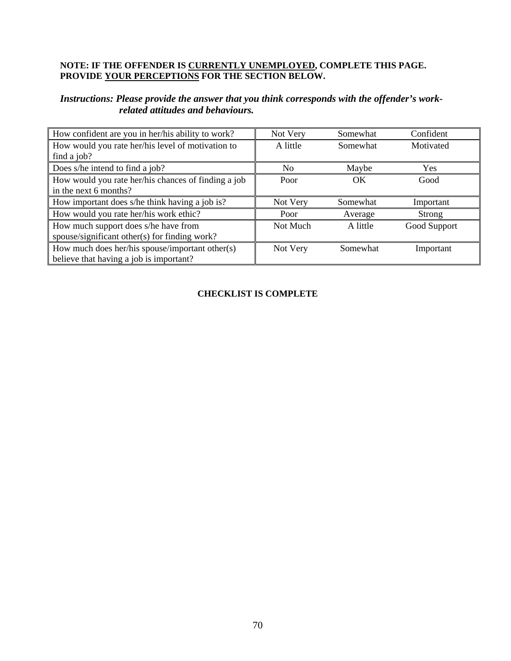#### **NOTE: IF THE OFFENDER IS CURRENTLY UNEMPLOYED, COMPLETE THIS PAGE. PROVIDE YOUR PERCEPTIONS FOR THE SECTION BELOW.**

### *Instructions: Please provide the answer that you think corresponds with the offender's workrelated attitudes and behaviours.*

| How confident are you in her/his ability to work?   | Not Very | Somewhat | Confident    |
|-----------------------------------------------------|----------|----------|--------------|
| How would you rate her/his level of motivation to   | A little | Somewhat | Motivated    |
| find a job?                                         |          |          |              |
| Does s/he intend to find a job?                     | No       | Maybe    | <b>Yes</b>   |
| How would you rate her/his chances of finding a job | Poor     | OK       | Good         |
| in the next 6 months?                               |          |          |              |
|                                                     |          |          |              |
| How important does s/he think having a job is?      | Not Very | Somewhat | Important    |
| How would you rate her/his work ethic?              | Poor     | Average  | Strong       |
| How much support does s/he have from                | Not Much | A little | Good Support |
| spouse/significant other(s) for finding work?       |          |          |              |
| How much does her/his spouse/important other(s)     | Not Very | Somewhat | Important    |

### **CHECKLIST IS COMPLETE**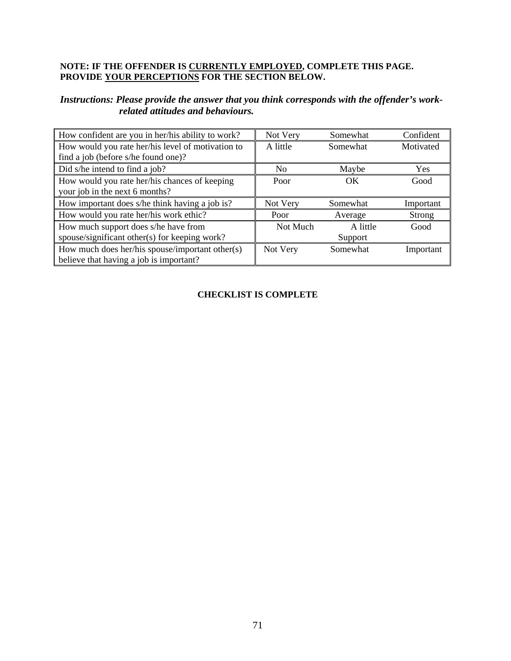### **NOTE: IF THE OFFENDER IS CURRENTLY EMPLOYED, COMPLETE THIS PAGE. PROVIDE YOUR PERCEPTIONS FOR THE SECTION BELOW.**

#### *Instructions: Please provide the answer that you think corresponds with the offender's workrelated attitudes and behaviours.*

| How confident are you in her/his ability to work? | Not Very | Somewhat | Confident |
|---------------------------------------------------|----------|----------|-----------|
| How would you rate her/his level of motivation to | A little | Somewhat | Motivated |
| find a job (before s/he found one)?               |          |          |           |
| Did s/he intend to find a job?                    | No       | Maybe    | Yes       |
| How would you rate her/his chances of keeping     | Poor     | OK       | Good      |
| your job in the next 6 months?                    |          |          |           |
|                                                   |          |          |           |
| How important does s/he think having a job is?    | Not Very | Somewhat | Important |
| How would you rate her/his work ethic?            | Poor     | Average  | Strong    |
| How much support does s/he have from              | Not Much | A little | Good      |
| spouse/significant other(s) for keeping work?     |          | Support  |           |
| How much does her/his spouse/important other(s)   | Not Very | Somewhat | Important |

### **CHECKLIST IS COMPLETE**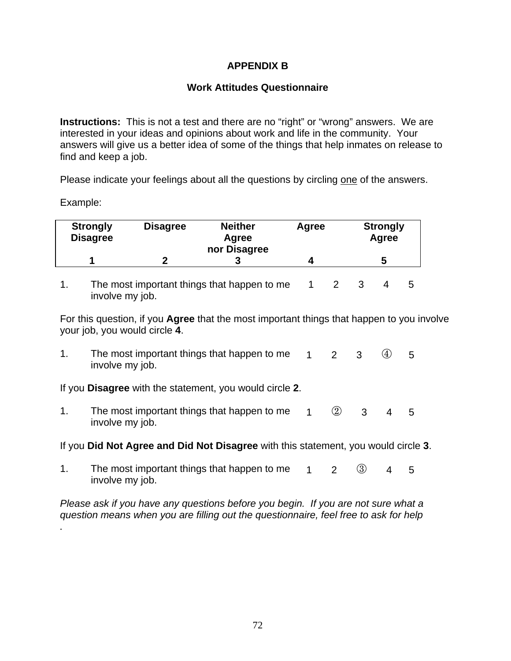## **APPENDIX B**

### **Work Attitudes Questionnaire**

**Instructions:** This is not a test and there are no "right" or "wrong" answers. We are interested in your ideas and opinions about work and life in the community. Your answers will give us a better idea of some of the things that help inmates on release to find and keep a job.

Please indicate your feelings about all the questions by circling one of the answers.

Example:

*.*

| <b>Strongly</b><br><b>Disagree</b> | <b>Disagree</b> | <b>Neither</b><br>Agree<br>nor Disagree | Agree | <b>Strongly</b><br>Agree |
|------------------------------------|-----------------|-----------------------------------------|-------|--------------------------|
|                                    |                 |                                         |       |                          |

1. The most important things that happen to me involve my job. 1 2 3 4 5

For this question, if you **Agree** that the most important things that happen to you involve your job, you would circle **4**.

1. The most important things that happen to me involve my job.  $1 \t2 \t3 \t4 \t5$ 

If you **Disagree** with the statement, you would circle **2**.

1. The most important things that happen to me involve my job.  $1 \t2 \t3 \t4 \t5$ 

If you **Did Not Agree and Did Not Disagree** with this statement, you would circle **3**.

1. The most important things that happen to me involve my job.  $1 \t2 \t3 \t4 \t5$ 

*Please ask if you have any questions before you begin. If you are not sure what a question means when you are filling out the questionnaire, feel free to ask for help*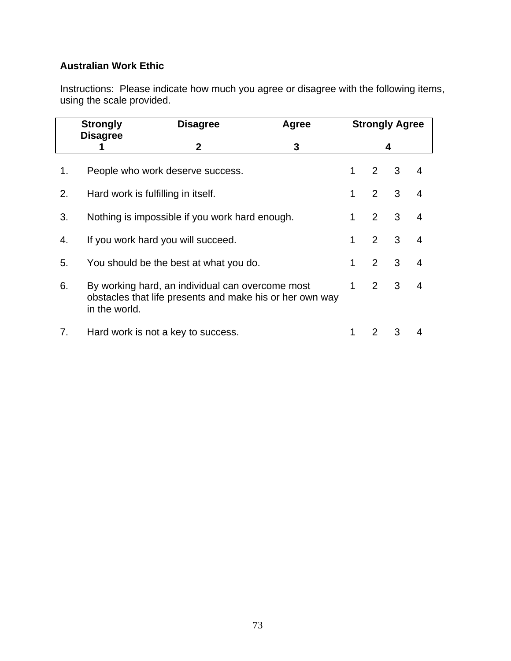## **Australian Work Ethic**

Instructions: Please indicate how much you agree or disagree with the following items, using the scale provided.

|    | <b>Strongly</b><br><b>Disagree</b><br>Agree |                                                                                                              |   |   | <b>Strongly Agree</b> |   |                |  |
|----|---------------------------------------------|--------------------------------------------------------------------------------------------------------------|---|---|-----------------------|---|----------------|--|
|    | <b>Disagree</b>                             | $\mathbf{2}$                                                                                                 | 3 | 4 |                       |   |                |  |
| 1. |                                             | People who work deserve success.                                                                             |   | 1 | 2                     | 3 | 4              |  |
| 2. | Hard work is fulfilling in itself.          |                                                                                                              |   | 1 | $\overline{2}$        | 3 | $\overline{4}$ |  |
| 3. |                                             | Nothing is impossible if you work hard enough.                                                               |   |   | $\overline{2}$        | 3 | $\overline{4}$ |  |
| 4. |                                             | If you work hard you will succeed.                                                                           |   |   | 2                     | 3 | $\overline{4}$ |  |
| 5. |                                             | You should be the best at what you do.                                                                       |   | 1 | 2                     | 3 | $\overline{4}$ |  |
| 6. | in the world.                               | By working hard, an individual can overcome most<br>obstacles that life presents and make his or her own way |   | 1 | $\mathcal{P}$         | 3 | $\overline{4}$ |  |
| 7. |                                             | Hard work is not a key to success.                                                                           |   |   | 2                     | 3 |                |  |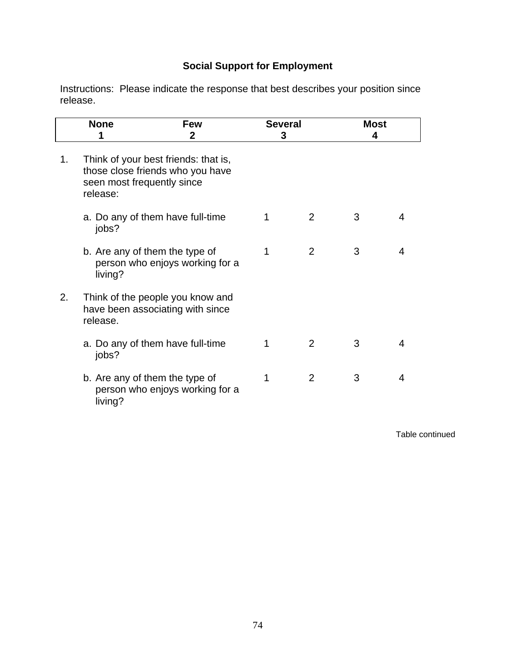# **Social Support for Employment**

Instructions: Please indicate the response that best describes your position since release.

|    | <b>None</b>                                                                                                        | <b>Few</b><br>2 | <b>Several</b><br>3 |                | <b>Most</b><br>4 |   |
|----|--------------------------------------------------------------------------------------------------------------------|-----------------|---------------------|----------------|------------------|---|
| 1. | Think of your best friends: that is,<br>those close friends who you have<br>seen most frequently since<br>release: |                 |                     |                |                  |   |
|    | a. Do any of them have full-time<br>jobs?                                                                          |                 | 1                   | 2              | 3                | 4 |
|    | b. Are any of them the type of<br>person who enjoys working for a<br>living?                                       |                 | 1                   | $\overline{2}$ | 3                | 4 |
| 2. | Think of the people you know and<br>have been associating with since<br>release.                                   |                 |                     |                |                  |   |
|    | a. Do any of them have full-time<br>jobs?                                                                          |                 | 1                   | 2              | 3                | 4 |
|    | b. Are any of them the type of<br>person who enjoys working for a<br>living?                                       |                 | 1                   | $\overline{2}$ | 3                | 4 |

Table continued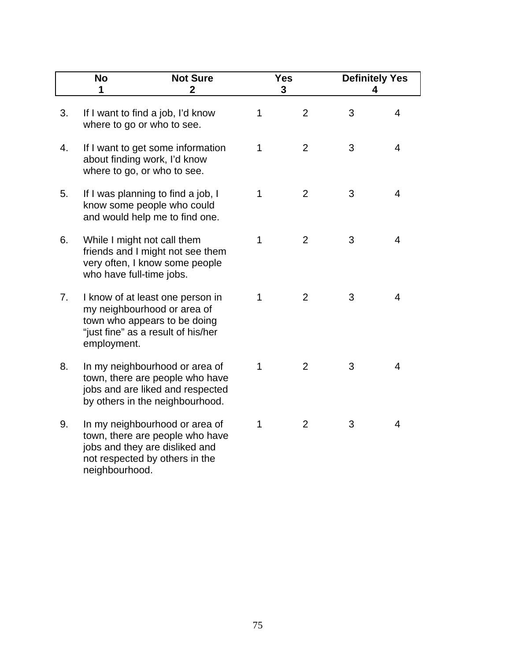|    | <b>No</b><br>1           | <b>Not Sure</b><br>$\mathbf 2$                                                                                                           |   | <b>Yes</b><br>3 |   | <b>Definitely Yes</b><br>4 |
|----|--------------------------|------------------------------------------------------------------------------------------------------------------------------------------|---|-----------------|---|----------------------------|
| 3. |                          | If I want to find a job, I'd know<br>where to go or who to see.                                                                          | 1 | $\overline{2}$  | 3 | $\overline{\mathcal{A}}$   |
| 4. |                          | If I want to get some information<br>about finding work, I'd know<br>where to go, or who to see.                                         | 1 | $\overline{2}$  | 3 | 4                          |
| 5. |                          | If I was planning to find a job, I<br>know some people who could<br>and would help me to find one.                                       | 1 | $\overline{2}$  | 3 | 4                          |
| 6. | who have full-time jobs. | While I might not call them<br>friends and I might not see them<br>very often, I know some people                                        | 1 | $\overline{2}$  | 3 | 4                          |
| 7. | employment.              | I know of at least one person in<br>my neighbourhood or area of<br>town who appears to be doing<br>"just fine" as a result of his/her    | 1 | $\overline{2}$  | 3 | 4                          |
| 8. |                          | In my neighbourhood or area of<br>town, there are people who have<br>jobs and are liked and respected<br>by others in the neighbourhood. | 1 | $\overline{2}$  | 3 | 4                          |
| 9. | neighbourhood.           | In my neighbourhood or area of<br>town, there are people who have<br>jobs and they are disliked and<br>not respected by others in the    | 1 | $\overline{2}$  | 3 | 4                          |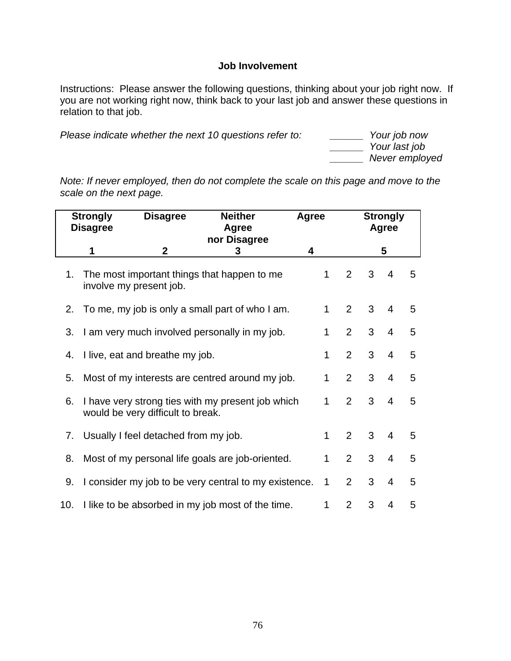### **Job Involvement**

Instructions: Please answer the following questions, thinking about your job right now. If you are not working right now, think back to your last job and answer these questions in relation to that job.

*Please indicate whether the next 10 questions refer to: \_\_\_\_\_\_ Your last job* 

 *\_\_\_\_\_\_ Never employed* 

*Note: If never employed, then do not complete the scale on this page and move to the scale on the next page.*

|                                                                                                                                       | <b>Neither</b><br><b>Strongly</b><br><b>Disagree</b><br><b>Disagree</b><br>Agree |                                      |                                                       | Agree |   | <b>Strongly</b><br>Agree |   |                |   |
|---------------------------------------------------------------------------------------------------------------------------------------|----------------------------------------------------------------------------------|--------------------------------------|-------------------------------------------------------|-------|---|--------------------------|---|----------------|---|
|                                                                                                                                       |                                                                                  |                                      | nor Disagree                                          |       |   |                          |   |                |   |
|                                                                                                                                       | 1                                                                                | $\mathbf 2$                          | 3                                                     | 4     |   |                          |   | 5              |   |
| 3<br>$\mathbf{1}$<br>$\overline{2}$<br>$\overline{4}$<br>The most important things that happen to me<br>1.<br>involve my present job. |                                                                                  |                                      |                                                       |       |   |                          |   |                |   |
| 2.                                                                                                                                    |                                                                                  |                                      | To me, my job is only a small part of who I am.       |       | 1 | $\overline{2}$           | 3 | $\overline{4}$ | 5 |
| 3.                                                                                                                                    |                                                                                  |                                      | I am very much involved personally in my job.         |       | 1 | $\overline{2}$           | 3 | $\overline{4}$ | 5 |
| 4.                                                                                                                                    |                                                                                  | I live, eat and breathe my job.      |                                                       |       | 1 | 2                        | 3 | $\overline{4}$ | 5 |
| 5.                                                                                                                                    |                                                                                  |                                      | Most of my interests are centred around my job.       |       | 1 | $\overline{2}$           | 3 | $\overline{4}$ | 5 |
| 6.                                                                                                                                    |                                                                                  | would be very difficult to break.    | I have very strong ties with my present job which     |       | 1 | $\overline{2}$           | 3 | $\overline{4}$ | 5 |
| 7.                                                                                                                                    |                                                                                  | Usually I feel detached from my job. |                                                       |       | 1 | $\overline{2}$           | 3 | $\overline{4}$ | 5 |
| 8.                                                                                                                                    |                                                                                  |                                      | Most of my personal life goals are job-oriented.      |       | 1 | $\overline{2}$           | 3 | $\overline{4}$ | 5 |
| 9.                                                                                                                                    |                                                                                  |                                      | I consider my job to be very central to my existence. |       | 1 | $\overline{2}$           | 3 | $\overline{4}$ | 5 |
| 10.                                                                                                                                   |                                                                                  |                                      | I like to be absorbed in my job most of the time.     |       | 1 | 2                        | 3 | 4              | 5 |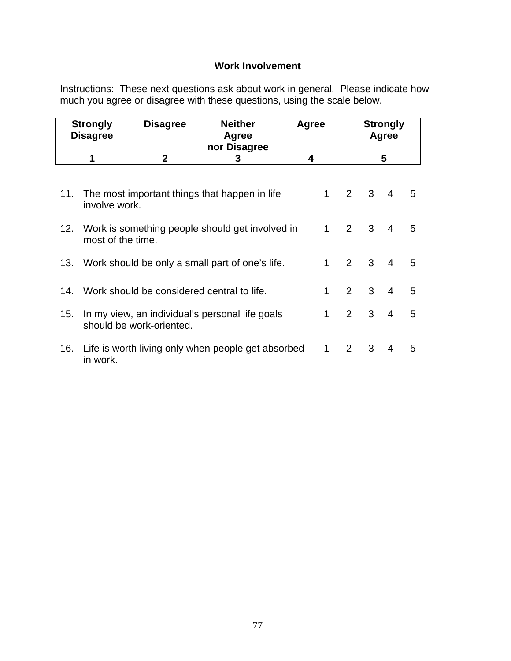## **Work Involvement**

Instructions: These next questions ask about work in general. Please indicate how much you agree or disagree with these questions, using the scale below.

|     | <b>Strongly</b><br><b>Disagree</b>                                   | <b>Disagree</b>                                | <b>Neither</b><br>Agree<br>nor Disagree             |   | Agree        |              |   | <b>Strongly</b><br>Agree |     |
|-----|----------------------------------------------------------------------|------------------------------------------------|-----------------------------------------------------|---|--------------|--------------|---|--------------------------|-----|
|     | 1                                                                    | $\mathbf 2$                                    | 3                                                   | 4 |              |              | 5 |                          |     |
| 11. |                                                                      |                                                | The most important things that happen in life       |   | 1            | $2^{\circ}$  | 3 | $\overline{4}$           | - 5 |
|     | involve work.                                                        |                                                |                                                     |   |              |              |   |                          |     |
| 12. | Work is something people should get involved in<br>most of the time. |                                                |                                                     |   |              | $2^{\circ}$  | 3 | $\overline{4}$           | 5   |
|     |                                                                      |                                                | 13. Work should be only a small part of one's life. |   | $\mathbf 1$  | $2^{\circ}$  | 3 | $\overline{4}$           | 5   |
|     |                                                                      | 14. Work should be considered central to life. |                                                     |   | 1            | $2^{\circ}$  | 3 | $\overline{4}$           | 5   |
| 15. |                                                                      | should be work-oriented.                       | In my view, an individual's personal life goals     |   | $\mathbf{1}$ | $2^{\circ}$  | 3 | $\overline{4}$           | 5   |
| 16. | in work.                                                             |                                                | Life is worth living only when people get absorbed  |   | 1            | $\mathbf{2}$ | 3 | $\overline{4}$           | 5   |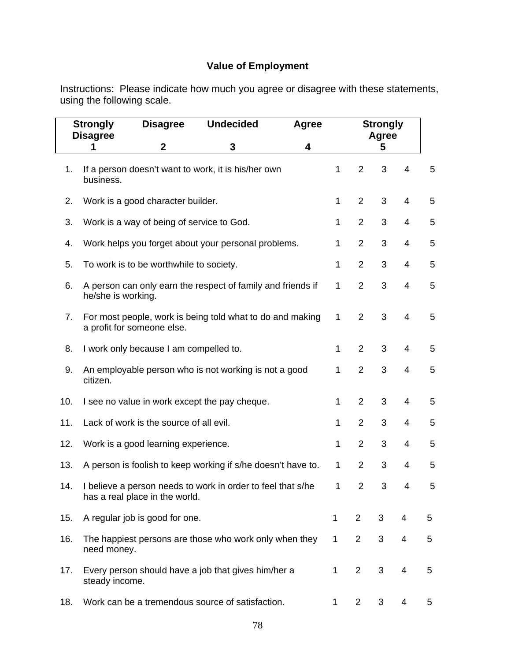# **Value of Employment**

Instructions: Please indicate how much you agree or disagree with these statements, using the following scale.

|     | <b>Undecided</b><br><b>Strongly</b><br><b>Disagree</b><br><b>Disagree</b> |                                           |                                                              |   | <b>Strongly</b><br><b>Agree</b><br>Agree |                |   |                         |   |  |
|-----|---------------------------------------------------------------------------|-------------------------------------------|--------------------------------------------------------------|---|------------------------------------------|----------------|---|-------------------------|---|--|
|     | 1                                                                         | $\mathbf 2$                               | $\mathbf{3}$                                                 | 4 |                                          |                | 5 |                         |   |  |
| 1.  | business.                                                                 |                                           | If a person doesn't want to work, it is his/her own          |   | 1                                        | $\overline{2}$ | 3 | $\overline{4}$          | 5 |  |
| 2.  |                                                                           | Work is a good character builder.         |                                                              |   | $\mathbf{1}$                             | $\overline{2}$ | 3 | $\overline{4}$          | 5 |  |
| 3.  |                                                                           | Work is a way of being of service to God. |                                                              |   | $\mathbf{1}$                             | $\overline{2}$ | 3 | $\overline{4}$          | 5 |  |
| 4.  |                                                                           |                                           | Work helps you forget about your personal problems.          |   | 1                                        | $\overline{2}$ | 3 | $\overline{4}$          | 5 |  |
| 5.  |                                                                           | To work is to be worthwhile to society.   |                                                              |   | 1                                        | $\overline{2}$ | 3 | $\overline{4}$          | 5 |  |
| 6.  | he/she is working.                                                        |                                           | A person can only earn the respect of family and friends if  |   | $\mathbf 1$                              | $\overline{2}$ | 3 | $\overline{4}$          | 5 |  |
| 7.  |                                                                           | a profit for someone else.                | For most people, work is being told what to do and making    |   | 1                                        | $\overline{2}$ | 3 | 4                       | 5 |  |
| 8.  |                                                                           | I work only because I am compelled to.    |                                                              |   | $\mathbf{1}$                             | $\overline{2}$ | 3 | $\overline{4}$          | 5 |  |
| 9.  | citizen.                                                                  |                                           | An employable person who is not working is not a good        |   | $\mathbf{1}$                             | $\overline{2}$ | 3 | $\overline{4}$          | 5 |  |
| 10. |                                                                           |                                           | I see no value in work except the pay cheque.                |   | $\mathbf{1}$                             | $\overline{2}$ | 3 | $\overline{\mathbf{4}}$ | 5 |  |
| 11. |                                                                           | Lack of work is the source of all evil.   |                                                              |   | $\mathbf{1}$                             | $\overline{2}$ | 3 | $\overline{4}$          | 5 |  |
| 12. |                                                                           | Work is a good learning experience.       |                                                              |   | 1                                        | $\overline{2}$ | 3 | $\overline{4}$          | 5 |  |
| 13. |                                                                           |                                           | A person is foolish to keep working if s/he doesn't have to. |   | 1                                        | $\overline{2}$ | 3 | 4                       | 5 |  |
| 14. |                                                                           | has a real place in the world.            | I believe a person needs to work in order to feel that s/he  |   | 1                                        | $\overline{2}$ | 3 | 4                       | 5 |  |
| 15. |                                                                           | A regular job is good for one.            |                                                              |   | 1                                        | $\overline{2}$ | 3 | 4                       | 5 |  |
| 16. | need money.                                                               |                                           | The happiest persons are those who work only when they       |   | 1                                        | $\overline{2}$ | 3 | 4                       | 5 |  |
| 17. | steady income.                                                            |                                           | Every person should have a job that gives him/her a          |   | 1                                        | $\overline{2}$ | 3 | 4                       | 5 |  |
| 18. |                                                                           |                                           | Work can be a tremendous source of satisfaction.             |   | 1                                        | $\overline{2}$ | 3 | 4                       | 5 |  |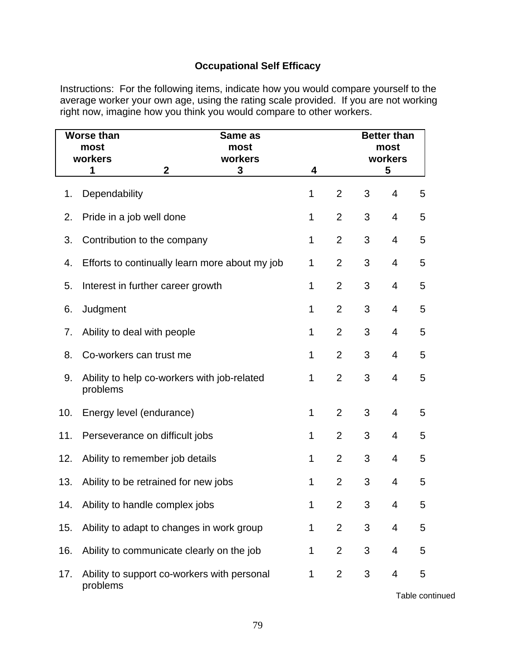## **Occupational Self Efficacy**

Instructions:For the following items, indicate how you would compare yourself to the average worker your own age, using the rating scale provided. If you are not working right now, imagine how you think you would compare to other workers.

|     | <b>Worse than</b><br>most<br>workers<br>1 | Same as<br>most<br>workers<br>$\mathbf{2}$<br>3 |                                                | 4           |                |   | <b>Better than</b><br>most<br>workers<br>5 |   |
|-----|-------------------------------------------|-------------------------------------------------|------------------------------------------------|-------------|----------------|---|--------------------------------------------|---|
| 1.  | Dependability                             |                                                 |                                                | 1           | $\overline{2}$ | 3 | 4                                          | 5 |
| 2.  | Pride in a job well done                  |                                                 |                                                | 1           | $\overline{2}$ | 3 | $\overline{4}$                             | 5 |
| 3.  | Contribution to the company               |                                                 |                                                | 1           | 2              | 3 | $\overline{4}$                             | 5 |
| 4.  |                                           |                                                 | Efforts to continually learn more about my job | 1           | 2              | 3 | $\overline{4}$                             | 5 |
| 5.  | Interest in further career growth         |                                                 |                                                | 1           | $\overline{2}$ | 3 | $\overline{4}$                             | 5 |
| 6.  | Judgment                                  |                                                 |                                                | 1           | $\overline{2}$ | 3 | $\overline{4}$                             | 5 |
| 7.  | Ability to deal with people               |                                                 |                                                | 1           | $\overline{2}$ | 3 | $\overline{4}$                             | 5 |
| 8.  | Co-workers can trust me                   |                                                 |                                                | 1           | 2              | 3 | $\overline{4}$                             | 5 |
| 9.  | problems                                  |                                                 | Ability to help co-workers with job-related    | $\mathbf 1$ | $\overline{2}$ | 3 | $\overline{4}$                             | 5 |
| 10. | Energy level (endurance)                  |                                                 |                                                | 1           | 2              | 3 | $\overline{4}$                             | 5 |
| 11. | Perseverance on difficult jobs            |                                                 |                                                | 1           | $\overline{2}$ | 3 | $\overline{4}$                             | 5 |
| 12. | Ability to remember job details           |                                                 |                                                | 1           | $\overline{2}$ | 3 | 4                                          | 5 |
| 13. | Ability to be retrained for new jobs      |                                                 |                                                | 1           | 2              | 3 | $\overline{4}$                             | 5 |
| 14. | Ability to handle complex jobs            |                                                 |                                                | 1           | $\overline{2}$ | 3 | 4                                          | 5 |
| 15. |                                           |                                                 | Ability to adapt to changes in work group      | 1           | $\overline{2}$ | 3 | 4                                          | 5 |
| 16. |                                           |                                                 | Ability to communicate clearly on the job      | 1           | $\overline{2}$ | 3 | 4                                          | 5 |
| 17. | problems                                  |                                                 | Ability to support co-workers with personal    | 1           | $\overline{2}$ | 3 | 4                                          | 5 |

Table continued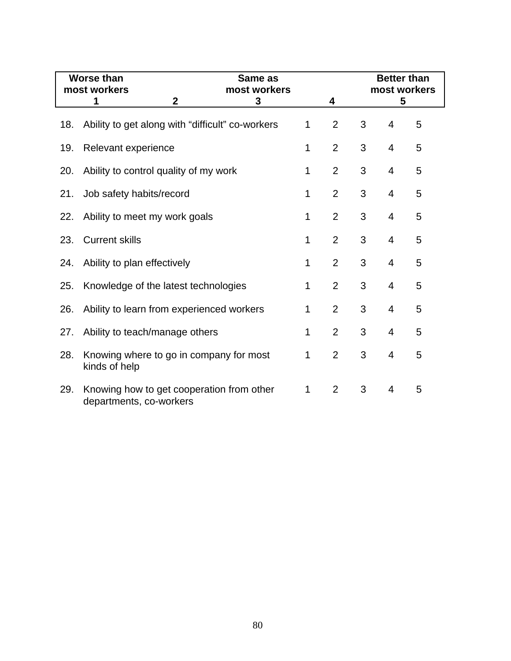|     | <b>Worse than</b><br>most workers                                    |              | Same as<br>most workers |             |                |   | <b>Better than</b> | most workers |
|-----|----------------------------------------------------------------------|--------------|-------------------------|-------------|----------------|---|--------------------|--------------|
|     | 1                                                                    | $\mathbf{2}$ | 3                       |             | 4              |   | 5                  |              |
| 18. | Ability to get along with "difficult" co-workers                     |              |                         | 1           | $\overline{2}$ | 3 | 4                  | 5            |
| 19. | Relevant experience                                                  |              |                         | 1           | $\overline{2}$ | 3 | $\overline{4}$     | 5            |
| 20. | Ability to control quality of my work                                |              |                         | 1           | $\overline{2}$ | 3 | $\overline{4}$     | 5            |
| 21. | Job safety habits/record                                             |              |                         | 1           | $\overline{2}$ | 3 | $\overline{4}$     | 5            |
| 22. | Ability to meet my work goals                                        |              |                         | $\mathbf 1$ | $\overline{2}$ | 3 | 4                  | 5            |
| 23. | <b>Current skills</b>                                                |              |                         | 1           | $\overline{2}$ | 3 | $\overline{4}$     | 5            |
| 24. | Ability to plan effectively                                          |              |                         | 1           | $\overline{2}$ | 3 | $\overline{4}$     | 5            |
| 25. | Knowledge of the latest technologies                                 |              |                         | 1           | $\overline{2}$ | 3 | 4                  | 5            |
| 26. | Ability to learn from experienced workers                            |              |                         | 1           | $\overline{2}$ | 3 | $\overline{4}$     | 5            |
| 27. | Ability to teach/manage others                                       |              |                         | 1           | $\overline{2}$ | 3 | $\overline{4}$     | 5            |
| 28. | Knowing where to go in company for most<br>kinds of help             |              |                         | 1           | $\overline{2}$ | 3 | $\overline{4}$     | 5            |
| 29. | Knowing how to get cooperation from other<br>departments, co-workers |              |                         | 1           | $\overline{2}$ | 3 | 4                  | 5            |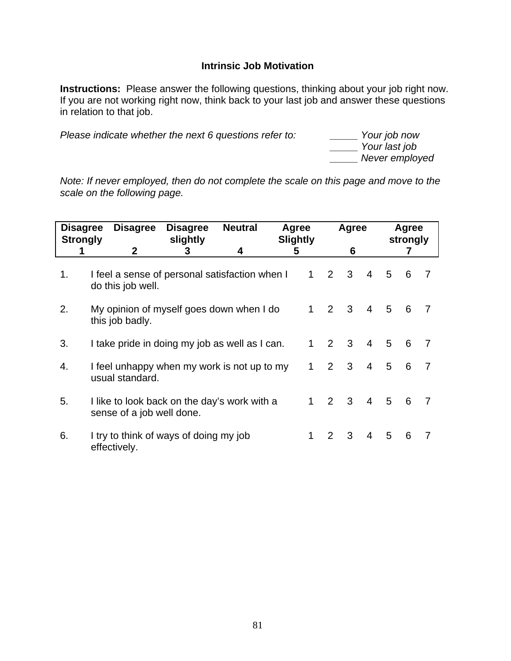## **Intrinsic Job Motivation**

**Instructions:** Please answer the following questions, thinking about your job right now. If you are not working right now, think back to your last job and answer these questions in relation to that job.

*Please indicate whether the next 6 questions refer to:* 

 *\_\_\_\_\_ Your last job \_\_\_\_\_ Never employed* 

*Note: If never employed, then do not complete the scale on this page and move to the scale on the following page.*

| <b>Disagree</b><br><b>Strongly</b> | <b>Disagree</b>           | <b>Disagree</b><br>slightly                    | <b>Neutral</b> | Agree<br><b>Slightly</b> |              |                | Agree                   |                |                | Agree<br>strongly |                |
|------------------------------------|---------------------------|------------------------------------------------|----------------|--------------------------|--------------|----------------|-------------------------|----------------|----------------|-------------------|----------------|
|                                    | 2                         | 3                                              | 4              | 5                        |              |                | 6                       |                |                |                   |                |
| 1.                                 | do this job well.         | I feel a sense of personal satisfaction when I |                |                          | $\mathbf{1}$ | 2              | 3                       | $\overline{4}$ | 5              | - 6               | $\overline{7}$ |
| 2.                                 | this job badly.           | My opinion of myself goes down when I do       |                |                          | $1 \quad$    | $2 \quad 3$    |                         | $\overline{4}$ | 5              | 6                 | $\overline{7}$ |
| 3.                                 |                           | I take pride in doing my job as well as I can. |                |                          | $\mathbf{1}$ | 2              | $\overline{\mathbf{3}}$ | $\overline{4}$ | $5\quad 6$     |                   | $\overline{7}$ |
| 4.                                 | usual standard.           | I feel unhappy when my work is not up to my    |                |                          | 1            | $\overline{2}$ | $\mathbf{3}$            | $\overline{4}$ | 5 <sup>5</sup> | 6                 | $\overline{7}$ |
| 5.                                 | sense of a job well done. | I like to look back on the day's work with a   |                |                          | $1 \quad$    | $2 \quad 3$    |                         | $\overline{4}$ | 5 6            |                   | $\overline{7}$ |
| 6.                                 | effectively.              | I try to think of ways of doing my job         |                |                          | 1            | 2              | 3                       | $\overline{4}$ | 5              | 6                 | 7              |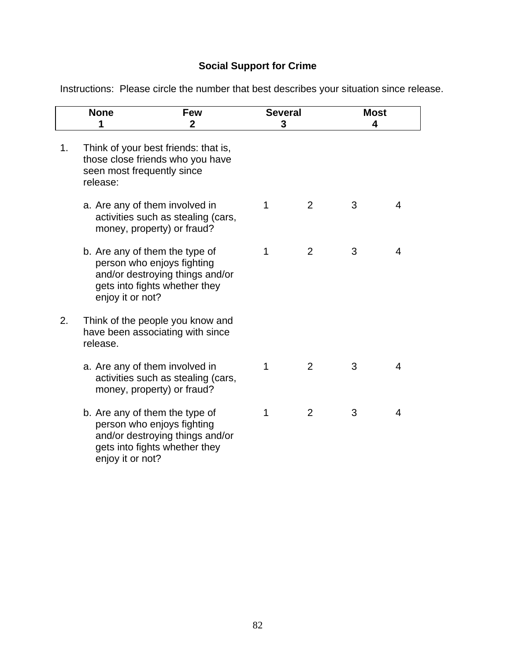# **Social Support for Crime**

Instructions: Please circle the number that best describes your situation since release.

|    | <b>None</b><br>1                       | <b>Few</b><br>$\mathbf 2$                                                                                                        | <b>Several</b><br>3 |                | <b>Most</b><br>4 |   |
|----|----------------------------------------|----------------------------------------------------------------------------------------------------------------------------------|---------------------|----------------|------------------|---|
| 1. | seen most frequently since<br>release: | Think of your best friends: that is,<br>those close friends who you have                                                         |                     |                |                  |   |
|    |                                        | a. Are any of them involved in<br>activities such as stealing (cars,<br>money, property) or fraud?                               | 1                   | 2              | 3                | 4 |
|    | enjoy it or not?                       | b. Are any of them the type of<br>person who enjoys fighting<br>and/or destroying things and/or<br>gets into fights whether they | 1                   | 2              | 3                | 4 |
| 2. | release.                               | Think of the people you know and<br>have been associating with since                                                             |                     |                |                  |   |
|    |                                        | a. Are any of them involved in<br>activities such as stealing (cars,<br>money, property) or fraud?                               | 1                   | $\overline{2}$ | 3                | 4 |
|    | enjoy it or not?                       | b. Are any of them the type of<br>person who enjoys fighting<br>and/or destroying things and/or<br>gets into fights whether they | 1                   | $\overline{2}$ | 3                | 4 |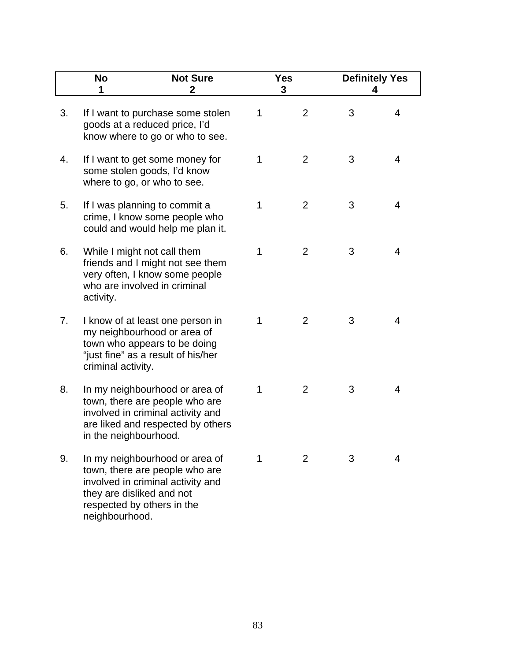|    | <b>No</b><br>1                              | <b>Not Sure</b><br>2                                                                                                                       |   | <b>Yes</b><br>3 |   | <b>Definitely Yes</b><br>4 |
|----|---------------------------------------------|--------------------------------------------------------------------------------------------------------------------------------------------|---|-----------------|---|----------------------------|
| 3. |                                             | If I want to purchase some stolen<br>goods at a reduced price, I'd<br>know where to go or who to see.                                      | 1 | 2               | 3 | 4                          |
| 4. |                                             | If I want to get some money for<br>some stolen goods, I'd know<br>where to go, or who to see.                                              | 1 | 2               | 3 | 4                          |
| 5. |                                             | If I was planning to commit a<br>crime, I know some people who<br>could and would help me plan it.                                         | 1 | 2               | 3 | 4                          |
| 6. | activity.                                   | While I might not call them<br>friends and I might not see them<br>very often, I know some people<br>who are involved in criminal          | 1 | $\overline{2}$  | 3 | 4                          |
| 7. | criminal activity.                          | I know of at least one person in<br>my neighbourhood or area of<br>town who appears to be doing<br>"just fine" as a result of his/her      | 1 | 2               | 3 | 4                          |
| 8. | in the neighbourhood.                       | In my neighbourhood or area of<br>town, there are people who are<br>involved in criminal activity and<br>are liked and respected by others | 1 | 2               | 3 | 4                          |
| 9. | they are disliked and not<br>neighbourhood. | In my neighbourhood or area of<br>town, there are people who are<br>involved in criminal activity and<br>respected by others in the        | 1 | 2               | 3 | 4                          |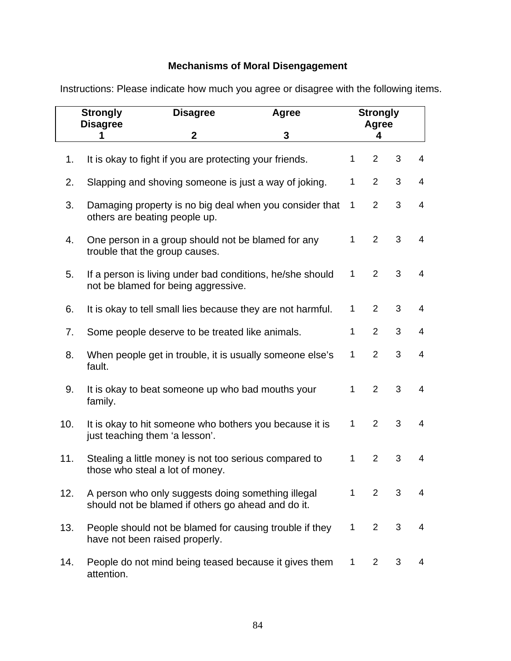# **Mechanisms of Moral Disengagement**

|     | <b>Strongly</b><br><b>Disagree</b> | <b>Disagree</b>                                                                                          | Agree |              | <b>Strongly</b><br>Agree |   |                |
|-----|------------------------------------|----------------------------------------------------------------------------------------------------------|-------|--------------|--------------------------|---|----------------|
|     | 1                                  | $\mathbf{2}$                                                                                             | 3     |              | 4                        |   |                |
| 1.  |                                    | It is okay to fight if you are protecting your friends.                                                  |       | 1            | $\overline{2}$           | 3 | 4              |
| 2.  |                                    | Slapping and shoving someone is just a way of joking.                                                    |       | 1            | $\overline{2}$           | 3 | 4              |
| 3.  |                                    | Damaging property is no big deal when you consider that<br>others are beating people up.                 |       | $\mathbf 1$  | $\overline{2}$           | 3 | 4              |
| 4.  |                                    | One person in a group should not be blamed for any<br>trouble that the group causes.                     |       | 1            | $\overline{2}$           | 3 | $\overline{4}$ |
| 5.  |                                    | If a person is living under bad conditions, he/she should<br>not be blamed for being aggressive.         |       | $\mathbf{1}$ | $\overline{2}$           | 3 | 4              |
| 6.  |                                    | It is okay to tell small lies because they are not harmful.                                              |       | 1            | $\overline{2}$           | 3 | 4              |
| 7.  |                                    | Some people deserve to be treated like animals.                                                          |       | 1            | $\overline{2}$           | 3 | 4              |
| 8.  | fault.                             | When people get in trouble, it is usually someone else's                                                 |       | 1            | $\overline{2}$           | 3 | $\overline{4}$ |
| 9.  | family.                            | It is okay to beat someone up who bad mouths your                                                        |       | 1            | $\overline{2}$           | 3 | $\overline{4}$ |
| 10. |                                    | It is okay to hit someone who bothers you because it is<br>just teaching them 'a lesson'.                |       | 1            | $\overline{2}$           | 3 | 4              |
| 11. |                                    | Stealing a little money is not too serious compared to<br>those who steal a lot of money.                |       | 1            | $\overline{2}$           | 3 | $\overline{4}$ |
| 12. |                                    | A person who only suggests doing something illegal<br>should not be blamed if others go ahead and do it. |       | $\mathbf{1}$ | $\overline{2}$           | 3 | 4              |
| 13. |                                    | People should not be blamed for causing trouble if they<br>have not been raised properly.                |       | $\mathbf{1}$ | $\overline{2}$           | 3 | $\overline{4}$ |
| 14. | attention.                         | People do not mind being teased because it gives them                                                    |       | 1            | $\overline{2}$           | 3 | 4              |

Instructions: Please indicate how much you agree or disagree with the following items.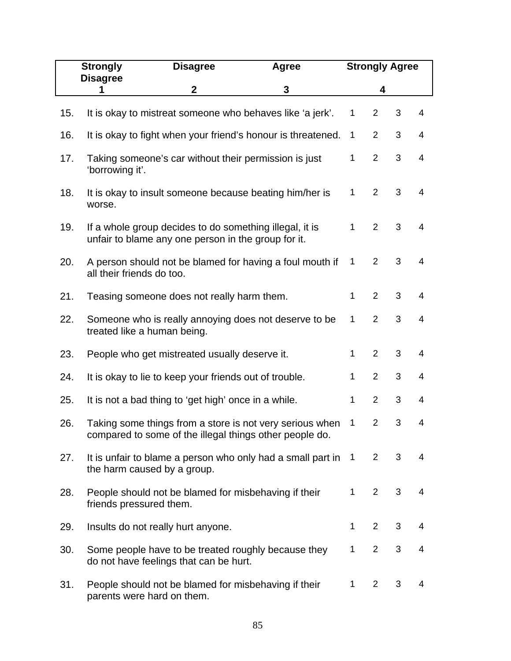|     | <b>Strongly</b>           | <b>Disagree</b>                                                                                                | <b>Agree</b>                                                |                | <b>Strongly Agree</b> |   |                |
|-----|---------------------------|----------------------------------------------------------------------------------------------------------------|-------------------------------------------------------------|----------------|-----------------------|---|----------------|
|     | <b>Disagree</b><br>1      | $\mathbf{2}$                                                                                                   | 3                                                           |                | 4                     |   |                |
| 15. |                           | It is okay to mistreat someone who behaves like 'a jerk'.                                                      |                                                             | 1              | $\overline{2}$        | 3 | $\overline{4}$ |
| 16. |                           | It is okay to fight when your friend's honour is threatened.                                                   |                                                             | 1              | $\overline{2}$        | 3 | $\overline{4}$ |
| 17. | 'borrowing it'.           | Taking someone's car without their permission is just                                                          |                                                             | $\mathbf{1}$   | $\overline{2}$        | 3 | $\overline{4}$ |
| 18. | worse.                    | It is okay to insult someone because beating him/her is                                                        |                                                             | $\mathbf{1}$   | $\overline{2}$        | 3 | $\overline{4}$ |
| 19. |                           | If a whole group decides to do something illegal, it is<br>unfair to blame any one person in the group for it. |                                                             | $\mathbf{1}$   | 2                     | 3 | $\overline{4}$ |
| 20. | all their friends do too. | A person should not be blamed for having a foul mouth if                                                       |                                                             | 1              | $\overline{2}$        | 3 | $\overline{4}$ |
| 21. |                           | Teasing someone does not really harm them.                                                                     |                                                             | 1              | $\overline{2}$        | 3 | 4              |
| 22. |                           | Someone who is really annoying does not deserve to be<br>treated like a human being.                           |                                                             | $\mathbf 1$    | $\overline{2}$        | 3 | $\overline{4}$ |
| 23. |                           | People who get mistreated usually deserve it.                                                                  |                                                             | $\mathbf{1}$   | $\overline{2}$        | 3 | 4              |
| 24. |                           | It is okay to lie to keep your friends out of trouble.                                                         |                                                             | 1              | $\overline{2}$        | 3 | 4              |
| 25. |                           | It is not a bad thing to 'get high' once in a while.                                                           |                                                             | 1              | $\overline{2}$        | 3 | 4              |
| 26. |                           | compared to some of the illegal things other people do.                                                        | Taking some things from a store is not very serious when    | 1              | $\overline{2}$        | 3 | 4              |
| 27. |                           | the harm caused by a group.                                                                                    | It is unfair to blame a person who only had a small part in | $\overline{1}$ | $\overline{2}$        | 3 | 4              |
| 28. | friends pressured them.   | People should not be blamed for misbehaving if their                                                           |                                                             | 1              | $\overline{2}$        | 3 | 4              |
| 29. |                           | Insults do not really hurt anyone.                                                                             |                                                             | 1              | $\overline{2}$        | 3 | 4              |
| 30. |                           | Some people have to be treated roughly because they<br>do not have feelings that can be hurt.                  |                                                             | 1              | 2                     | 3 | 4              |
| 31. |                           | People should not be blamed for misbehaving if their<br>parents were hard on them.                             |                                                             | 1              | $\overline{2}$        | 3 | 4              |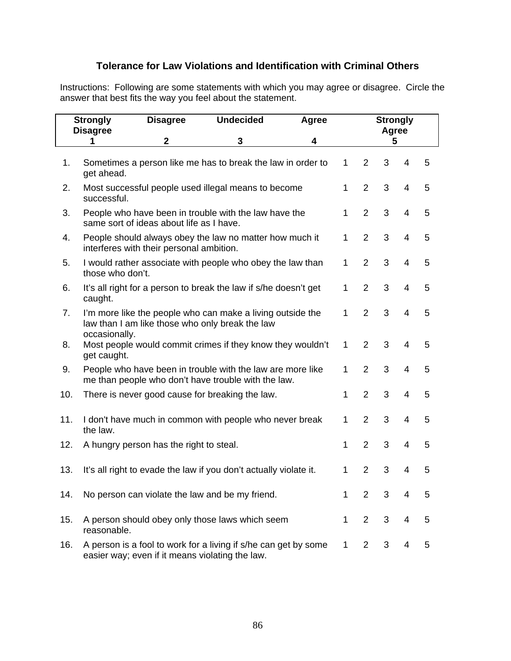## **Tolerance for Law Violations and Identification with Criminal Others**

Instructions: Following are some statements with which you may agree or disagree. Circle the answer that best fits the way you feel about the statement.

|     | <b>Strongly</b><br><b>Disagree</b> | <b>Disagree</b>                                 | <b>Undecided</b>                                                                                                  | Agree |              |                | <b>Strongly</b><br>Agree |                          |   |
|-----|------------------------------------|-------------------------------------------------|-------------------------------------------------------------------------------------------------------------------|-------|--------------|----------------|--------------------------|--------------------------|---|
|     | 1                                  | $\mathbf 2$                                     | 3                                                                                                                 | 4     |              |                | 5                        |                          |   |
| 1.  | get ahead.                         |                                                 | Sometimes a person like me has to break the law in order to                                                       |       | $\mathbf{1}$ | $\overline{2}$ | 3                        | 4                        | 5 |
| 2.  | successful.                        |                                                 | Most successful people used illegal means to become                                                               |       | 1            | $\overline{2}$ | 3                        | $\overline{4}$           | 5 |
| 3.  |                                    | same sort of ideas about life as I have.        | People who have been in trouble with the law have the                                                             |       | 1            | $\overline{2}$ | 3                        | $\overline{4}$           | 5 |
| 4.  |                                    | interferes with their personal ambition.        | People should always obey the law no matter how much it                                                           |       | $\mathbf{1}$ | $\overline{2}$ | 3                        | $\overline{4}$           | 5 |
| 5.  | those who don't.                   |                                                 | I would rather associate with people who obey the law than                                                        |       | $\mathbf{1}$ | $\overline{2}$ | 3                        | $\overline{\mathcal{A}}$ | 5 |
| 6.  | caught.                            |                                                 | It's all right for a person to break the law if s/he doesn't get                                                  |       | $\mathbf{1}$ | $\overline{2}$ | 3                        | $\overline{4}$           | 5 |
| 7.  | occasionally.                      |                                                 | I'm more like the people who can make a living outside the<br>law than I am like those who only break the law     |       | 1            | $\overline{2}$ | 3                        | $\overline{4}$           | 5 |
| 8.  | get caught.                        |                                                 | Most people would commit crimes if they know they wouldn't                                                        |       | $\mathbf{1}$ | $\overline{2}$ | 3                        | $\overline{\mathcal{A}}$ | 5 |
| 9.  |                                    |                                                 | People who have been in trouble with the law are more like<br>me than people who don't have trouble with the law. |       | 1            | $\overline{2}$ | 3                        | $\overline{4}$           | 5 |
| 10. |                                    |                                                 | There is never good cause for breaking the law.                                                                   |       | 1            | $\overline{2}$ | 3                        | $\overline{\mathcal{A}}$ | 5 |
| 11. | the law.                           |                                                 | I don't have much in common with people who never break                                                           |       | 1            | $\overline{2}$ | 3                        | $\overline{\mathcal{A}}$ | 5 |
| 12. |                                    | A hungry person has the right to steal.         |                                                                                                                   |       | 1            | $\overline{2}$ | 3                        | $\overline{\mathcal{A}}$ | 5 |
| 13. |                                    |                                                 | It's all right to evade the law if you don't actually violate it.                                                 |       | 1            | $\overline{2}$ | 3                        | $\overline{4}$           | 5 |
| 14. |                                    |                                                 | No person can violate the law and be my friend.                                                                   |       | 1            | $\overline{2}$ | 3                        | 4                        | 5 |
| 15. | reasonable.                        |                                                 | A person should obey only those laws which seem                                                                   |       | $\mathbf{1}$ | $\overline{2}$ | 3                        | 4                        | 5 |
| 16. |                                    | easier way; even if it means violating the law. | A person is a fool to work for a living if s/he can get by some                                                   |       | $\mathbf{1}$ | $\overline{2}$ | 3                        | 4                        | 5 |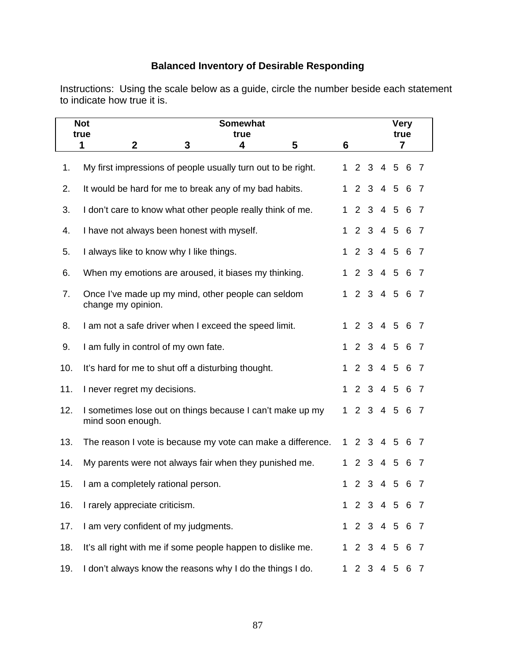# **Balanced Inventory of Desirable Responding**

Instructions: Using the scale below as a guide, circle the number beside each statement to indicate how true it is.

|     | <b>Not</b><br>true                         | <b>Somewhat</b><br>true                  |   |                                                              |                                                             |              |                |                | <b>Very</b><br>true |                 |                |                |
|-----|--------------------------------------------|------------------------------------------|---|--------------------------------------------------------------|-------------------------------------------------------------|--------------|----------------|----------------|---------------------|-----------------|----------------|----------------|
|     | $\mathbf{2}$<br>1                          |                                          | 3 | 4                                                            | 5                                                           | 6            |                |                |                     |                 | $\overline{7}$ |                |
| 1.  |                                            |                                          |   | My first impressions of people usually turn out to be right. |                                                             | $\mathbf 1$  |                | 2 <sub>3</sub> |                     |                 | 4 5 6 7        |                |
| 2.  |                                            |                                          |   | It would be hard for me to break any of my bad habits.       |                                                             | $\mathbf{1}$ |                | 2 <sub>3</sub> |                     | 4 5 6           |                | - 7            |
| 3.  |                                            |                                          |   | I don't care to know what other people really think of me.   |                                                             | $\mathbf{1}$ | 2              |                | $3\quad 4$          | $5\overline{)}$ | 6              | $\overline{7}$ |
| 4.  | I have not always been honest with myself. |                                          |   |                                                              |                                                             | 1            | $\overline{2}$ |                | $3 \quad 4 \quad 5$ |                 | 6              | - 7            |
| 5.  |                                            | I always like to know why I like things. |   |                                                              |                                                             |              |                |                |                     |                 | 2 3 4 5 6 7    |                |
| 6.  |                                            |                                          |   | When my emotions are aroused, it biases my thinking.         |                                                             | $\mathbf{1}$ |                |                |                     |                 | 2 3 4 5 6 7    |                |
| 7.  | change my opinion.                         |                                          |   | Once I've made up my mind, other people can seldom           |                                                             | 1            |                |                |                     |                 | 2 3 4 5 6 7    |                |
| 8.  |                                            |                                          |   | I am not a safe driver when I exceed the speed limit.        |                                                             | $\mathbf 1$  |                |                |                     |                 | 2 3 4 5 6 7    |                |
| 9.  | I am fully in control of my own fate.      |                                          |   |                                                              |                                                             | $\mathbf 1$  |                | 2 3 4 5        |                     |                 | 6              | - 7            |
| 10. |                                            |                                          |   | It's hard for me to shut off a disturbing thought.           |                                                             | $\mathbf 1$  | $2^{\circ}$    |                |                     | 3 4 5 6         |                | $\overline{7}$ |
| 11. | I never regret my decisions.               |                                          |   |                                                              |                                                             | $\mathbf 1$  |                | 2 3 4 5 6      |                     |                 |                | $\overline{7}$ |
| 12. | mind soon enough.                          |                                          |   |                                                              | I sometimes lose out on things because I can't make up my   | 1.           |                | 2 3 4 5        |                     |                 | 6 7            |                |
| 13. |                                            |                                          |   |                                                              | The reason I vote is because my vote can make a difference. | $\mathbf 1$  |                | 2 <sub>3</sub> | 4 5                 |                 | 6              | - 7            |
| 14. |                                            |                                          |   | My parents were not always fair when they punished me.       |                                                             | $\mathbf 1$  |                | 2 3 4 5        |                     |                 | 6              | - 7            |
| 15. | I am a completely rational person.         |                                          |   |                                                              |                                                             | 1            |                | 2 <sub>3</sub> |                     | 4 5             | 6              | 7              |
| 16. | I rarely appreciate criticism.             |                                          |   |                                                              |                                                             | $\mathbf 1$  | 2              | 3              | $\overline{4}$      | 5               | 6              | 7              |
| 17. | I am very confident of my judgments.       |                                          |   |                                                              |                                                             | $\mathbf 1$  |                | 2 3 4 5        |                     |                 | 6              | - 7            |
| 18. |                                            |                                          |   | It's all right with me if some people happen to dislike me.  |                                                             | $\mathbf 1$  |                | 2 <sub>3</sub> |                     | 4 5             | 6              | -7             |
| 19. |                                            |                                          |   | I don't always know the reasons why I do the things I do.    |                                                             | 1            |                | 2 <sub>3</sub> |                     | 4 5             | 6 7            |                |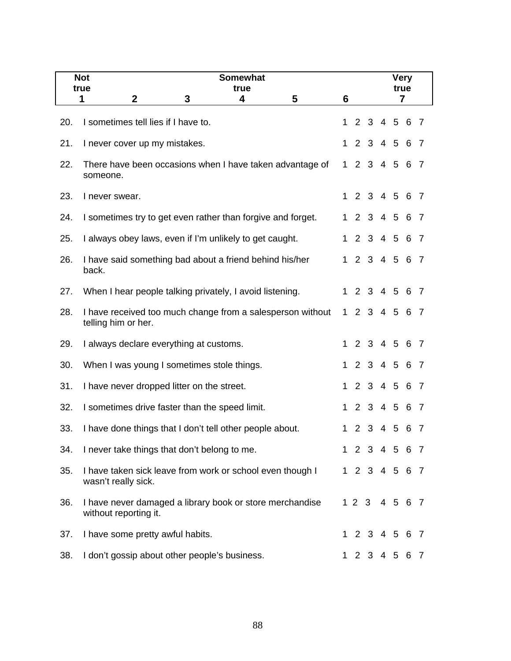|     | <b>Not</b><br><b>Somewhat</b><br>true<br>true                                     |              |                       |               | <b>Very</b><br>true |           |     |                |
|-----|-----------------------------------------------------------------------------------|--------------|-----------------------|---------------|---------------------|-----------|-----|----------------|
|     | 5<br>$\boldsymbol{2}$<br>3<br>4<br>1                                              | 6            |                       |               |                     |           | 7   |                |
| 20. | I sometimes tell lies if I have to.                                               | $\mathbf{1}$ | 2                     | 3             |                     | $4\quad5$ | 6   | -7             |
| 21. | I never cover up my mistakes.                                                     | $\mathbf 1$  | $\overline{2}$        | $\mathbf{3}$  | 4 5                 |           | 6   | -7             |
| 22. | There have been occasions when I have taken advantage of<br>someone.              | 1            |                       | 2 3 4 5       |                     |           | 6   | - 7            |
| 23. | I never swear.                                                                    |              |                       | 1 2 3 4 5 6   |                     |           |     | $\overline{7}$ |
| 24. | I sometimes try to get even rather than forgive and forget.                       | $\mathbf 1$  |                       | 2 3 4 5       |                     |           | 6   | -7             |
| 25. | I always obey laws, even if I'm unlikely to get caught.                           | $\mathbf{1}$ |                       | 2 3 4 5       |                     |           | 6   | -7             |
| 26. | I have said something bad about a friend behind his/her<br>back.                  | $\mathbf 1$  |                       | 2 3 4 5 6     |                     |           |     | $\overline{7}$ |
| 27. | When I hear people talking privately, I avoid listening.                          |              |                       | 1 2 3 4 5 6   |                     |           |     | $\overline{7}$ |
| 28. | I have received too much change from a salesperson without<br>telling him or her. | 1            |                       | 2 3 4 5       |                     |           | - 6 | - 7            |
| 29. | I always declare everything at customs.                                           | $\mathbf 1$  | $\mathbf{2}^{\prime}$ | $\mathbf{3}$  | 4 5                 |           | 6   | $\overline{7}$ |
| 30. | When I was young I sometimes stole things.                                        | 1            |                       | 2 3 4 5       |                     |           | -6  | - 7            |
| 31. | I have never dropped litter on the street.                                        |              |                       | 1 2 3 4 5 6   |                     |           |     | - 7            |
| 32. | I sometimes drive faster than the speed limit.                                    | $\mathbf 1$  | $2^{\circ}$           | 3 4 5         |                     |           | 6   | - 7            |
| 33. | I have done things that I don't tell other people about.                          | 1            | $\overline{2}$        | $\mathbf{3}$  | $\overline{4}$      | 5         | 6   | 7              |
| 34. | I never take things that don't belong to me.                                      |              |                       | 1 2 3 4 5 6 7 |                     |           |     |                |
| 35. | I have taken sick leave from work or school even though I<br>wasn't really sick.  |              |                       | 1 2 3 4 5 6 7 |                     |           |     |                |
| 36. | I have never damaged a library book or store merchandise<br>without reporting it. |              |                       | 1 2 3 4 5 6 7 |                     |           |     |                |
| 37. | I have some pretty awful habits.                                                  |              |                       | 1 2 3 4 5 6 7 |                     |           |     |                |
| 38. | I don't gossip about other people's business.                                     | 1            |                       | 2 3 4 5       |                     |           | 6   | $\overline{7}$ |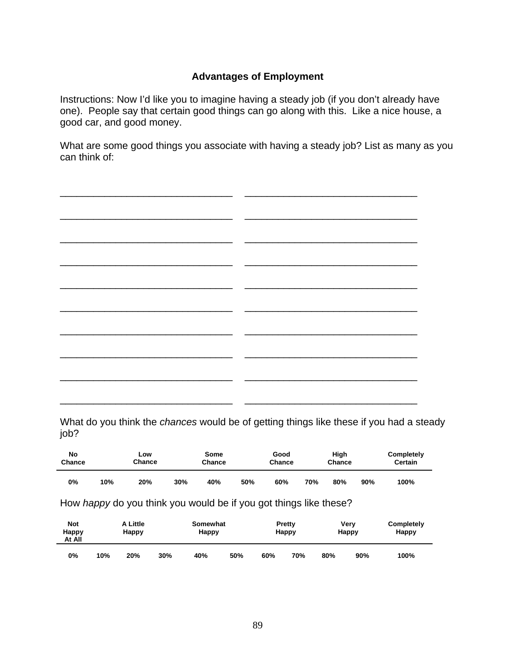## **Advantages of Employment**

Instructions: Now I'd like you to imagine having a steady job (if you don't already have one). People say that certain good things can go along with this. Like a nice house, a good car, and good money.

What are some good things you associate with having a steady job? List as many as you can think of:

What do you think the *chances* would be of getting things like these if you had a steady job?

| No     | Low    |     | Some   | Good   |     |     | High   |     | Completely |      |
|--------|--------|-----|--------|--------|-----|-----|--------|-----|------------|------|
| Chance | Chance |     | Chance | Chance |     |     | Chance |     | Certain    |      |
| 0%     | 10%    | 20% | 30%    | 40%    | 50% | 60% | 70%    | 80% | 90%        | 100% |

How *happy* do you think you would be if you got things like these?

| <b>Not</b><br>Happy<br>At All |     | A Little<br>Happy |     | Somewhat<br>Happy |     |     | Pretty<br>Happy | Very<br>Happy |     | Completely<br><b>Happy</b> |
|-------------------------------|-----|-------------------|-----|-------------------|-----|-----|-----------------|---------------|-----|----------------------------|
| 0%                            | 10% | 20%               | 30% | 40%               | 50% | 60% | 70%             | 80%           | 90% | 100%                       |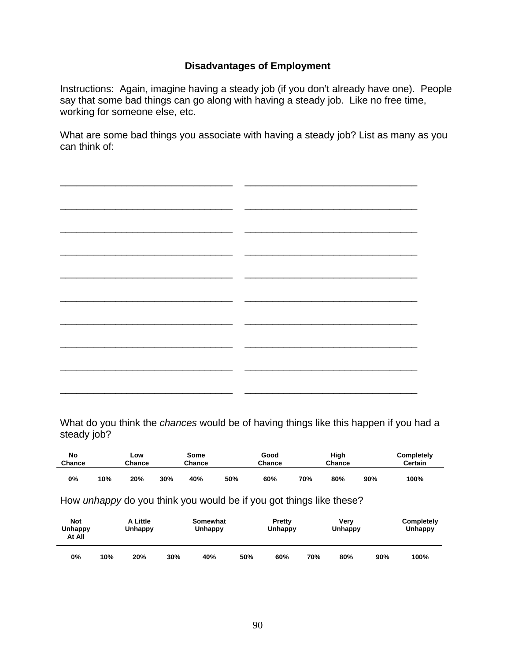## **Disadvantages of Employment**

Instructions: Again, imagine having a steady job (if you don't already have one). People say that some bad things can go along with having a steady job. Like no free time, working for someone else, etc.

What are some bad things you associate with having a steady job? List as many as you can think of:

What do you think the *chances* would be of having things like this happen if you had a steady job?

| No<br>Chance |     | Low<br>Chance | Some<br>Chance |     |     | Good<br>Chance |     | High<br>Chance |     | Completely<br><b>Certain</b> |
|--------------|-----|---------------|----------------|-----|-----|----------------|-----|----------------|-----|------------------------------|
| 0%           | 10% | 20%           | 30%            | 40% | 50% | 60%            | 70% | 80%            | 90% | 100%                         |

How *unhappy* do you think you would be if you got things like these?

| Not<br>Unhappy<br>At All |     | A Little<br>Unhappy |     | Somewhat<br>Unhappy |     | Pretty<br>Unhappy | Verv<br>Unhappy |     |     | Completely<br>Unhappy |
|--------------------------|-----|---------------------|-----|---------------------|-----|-------------------|-----------------|-----|-----|-----------------------|
| О%                       | 10% | 20%                 | 30% | 40%                 | 50% | 60%               | 70%             | 80% | 90% | 100%                  |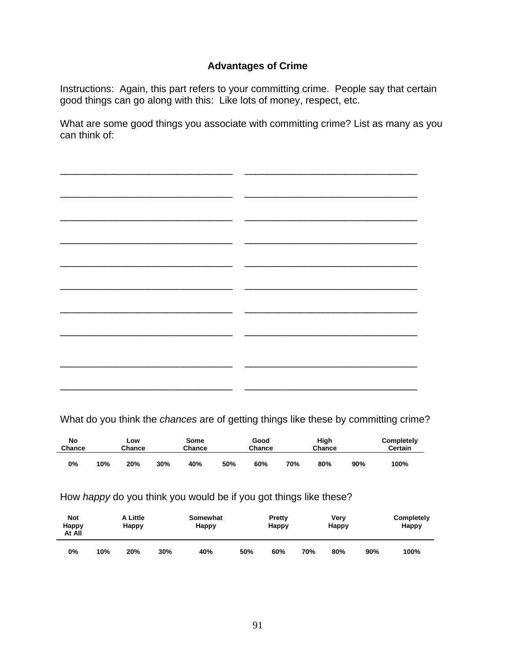## **Advantages of Crime**

Instructions: Again, this part refers to your committing crime. People say that certain good things can go along with this: Like lots of money, respect, etc.

What are some good things you associate with committing crime? List as many as you can think of:

| $\overline{\phantom{0}}$ | ٠. |
|--------------------------|----|
|                          |    |
| $\overline{\phantom{0}}$ |    |
|                          |    |
| $\overline{\phantom{a}}$ |    |
|                          |    |
| <u>.</u>                 |    |
|                          |    |
|                          |    |
|                          |    |
| $\overline{\phantom{0}}$ |    |
|                          |    |
| $\overline{\phantom{0}}$ |    |
|                          |    |
|                          |    |
|                          |    |
|                          |    |

What do you think the *chances* are of getting things like these by committing crime?

| No<br>Chance |     | Low<br>Chance | Some<br>Chance |     |     | Good<br>Chance |     | High<br>Chance |     | Completely<br><b>Certain</b> |
|--------------|-----|---------------|----------------|-----|-----|----------------|-----|----------------|-----|------------------------------|
| 0%           | 10% | 20%           | 30%            | 40% | 50% | 60%            | 70% | 80%            | 90% | 100%                         |

### How *happy* do you think you would be if you got things like these?

| <b>Not</b><br>Happy<br>At All |     | A Little<br>Happy |     | Somewhat<br>Happy |     | Pretty<br>Happy |     | Very<br>Happy |     | Completely<br>Happy |
|-------------------------------|-----|-------------------|-----|-------------------|-----|-----------------|-----|---------------|-----|---------------------|
| 0%                            | 10% | 20%               | 30% | 40%               | 50% | 60%             | 70% | 80%           | 90% | 100%                |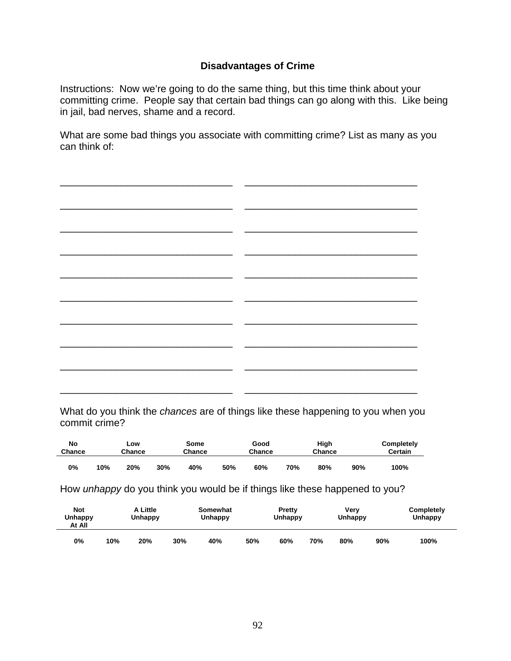## **Disadvantages of Crime**

Instructions: Now we're going to do the same thing, but this time think about your committing crime. People say that certain bad things can go along with this. Like being in jail, bad nerves, shame and a record.

What are some bad things you associate with committing crime? List as many as you can think of:

What do you think the *chances* are of things like these happening to you when you commit crime?

| No     |     | LOW    |     | Some   | Good   |     | High   |     |     | Completely |
|--------|-----|--------|-----|--------|--------|-----|--------|-----|-----|------------|
| Chance |     | Chance |     | Chance | Chance |     | Chance |     |     | Certain    |
| 0%     | 10% | 20%    | 30% | 40%    | 50%    | 60% | 70%    | 80% | 90% | 100%       |

How *unhappy* do you think you would be if things like these happened to you?

| <b>Not</b><br><b>Unhappy</b><br>At All |     | A Little<br>Unhappy |     | Somewhat<br><b>Unhappy</b> |     | Pretty<br><b>Unhappy</b> |     | Verv<br><b>Unhappy</b> |     | Completely<br>Unhappy |
|----------------------------------------|-----|---------------------|-----|----------------------------|-----|--------------------------|-----|------------------------|-----|-----------------------|
| 0%                                     | 10% | 20%                 | 30% | 40%                        | 50% | 60%                      | 70% | 80%                    | 90% | 100%                  |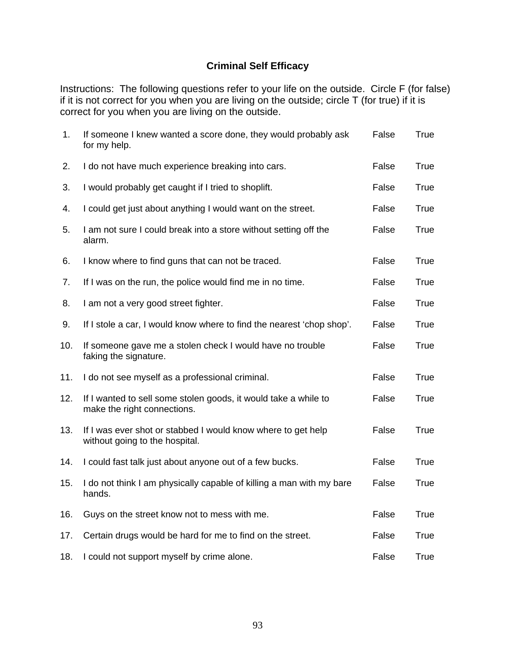# **Criminal Self Efficacy**

Instructions: The following questions refer to your life on the outside. Circle F (for false) if it is not correct for you when you are living on the outside; circle T (for true) if it is correct for you when you are living on the outside.

| 1.  | If someone I knew wanted a score done, they would probably ask<br>for my help.                 | False | True        |
|-----|------------------------------------------------------------------------------------------------|-------|-------------|
| 2.  | I do not have much experience breaking into cars.                                              | False | True        |
| 3.  | I would probably get caught if I tried to shoplift.                                            | False | True        |
| 4.  | I could get just about anything I would want on the street.                                    | False | True        |
| 5.  | I am not sure I could break into a store without setting off the<br>alarm.                     | False | True        |
| 6.  | I know where to find guns that can not be traced.                                              | False | <b>True</b> |
| 7.  | If I was on the run, the police would find me in no time.                                      | False | <b>True</b> |
| 8.  | I am not a very good street fighter.                                                           | False | True        |
| 9.  | If I stole a car, I would know where to find the nearest 'chop shop'.                          | False | <b>True</b> |
| 10. | If someone gave me a stolen check I would have no trouble<br>faking the signature.             | False | <b>True</b> |
| 11. | I do not see myself as a professional criminal.                                                | False | True        |
| 12. | If I wanted to sell some stolen goods, it would take a while to<br>make the right connections. | False | <b>True</b> |
| 13. | If I was ever shot or stabbed I would know where to get help<br>without going to the hospital. | False | True        |
| 14. | I could fast talk just about anyone out of a few bucks.                                        | False | <b>True</b> |
| 15. | I do not think I am physically capable of killing a man with my bare<br>hands.                 | False | True        |
| 16. | Guys on the street know not to mess with me.                                                   | False | True        |
| 17. | Certain drugs would be hard for me to find on the street.                                      | False | <b>True</b> |
| 18. | I could not support myself by crime alone.                                                     | False | True        |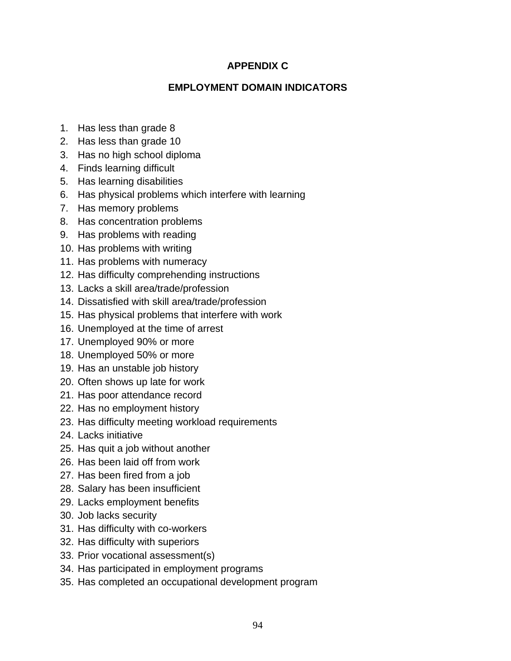## **APPENDIX C**

## **EMPLOYMENT DOMAIN INDICATORS**

- 1. Has less than grade 8
- 2. Has less than grade 10
- 3. Has no high school diploma
- 4. Finds learning difficult
- 5. Has learning disabilities
- 6. Has physical problems which interfere with learning
- 7. Has memory problems
- 8. Has concentration problems
- 9. Has problems with reading
- 10. Has problems with writing
- 11. Has problems with numeracy
- 12. Has difficulty comprehending instructions
- 13. Lacks a skill area/trade/profession
- 14. Dissatisfied with skill area/trade/profession
- 15. Has physical problems that interfere with work
- 16. Unemployed at the time of arrest
- 17. Unemployed 90% or more
- 18. Unemployed 50% or more
- 19. Has an unstable job history
- 20. Often shows up late for work
- 21. Has poor attendance record
- 22. Has no employment history
- 23. Has difficulty meeting workload requirements
- 24. Lacks initiative
- 25. Has quit a job without another
- 26. Has been laid off from work
- 27. Has been fired from a job
- 28. Salary has been insufficient
- 29. Lacks employment benefits
- 30. Job lacks security
- 31. Has difficulty with co-workers
- 32. Has difficulty with superiors
- 33. Prior vocational assessment(s)
- 34. Has participated in employment programs
- 35. Has completed an occupational development program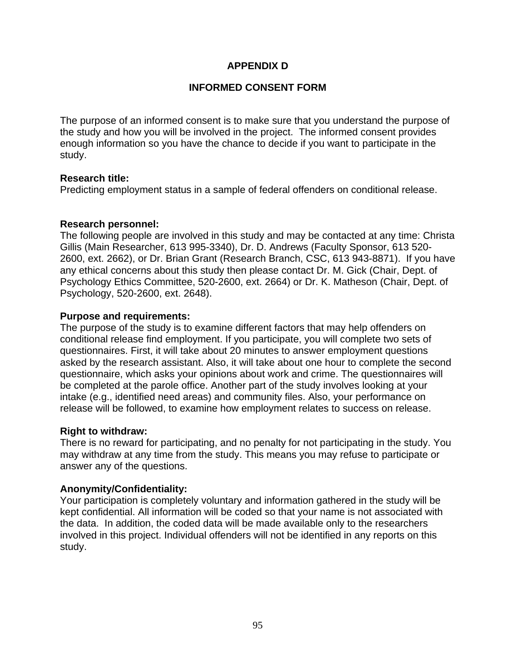## **APPENDIX D**

## **INFORMED CONSENT FORM**

The purpose of an informed consent is to make sure that you understand the purpose of the study and how you will be involved in the project. The informed consent provides enough information so you have the chance to decide if you want to participate in the study.

### **Research title:**

Predicting employment status in a sample of federal offenders on conditional release.

### **Research personnel:**

The following people are involved in this study and may be contacted at any time: Christa Gillis (Main Researcher, 613 995-3340), Dr. D. Andrews (Faculty Sponsor, 613 520- 2600, ext. 2662), or Dr. Brian Grant (Research Branch, CSC, 613 943-8871). If you have any ethical concerns about this study then please contact Dr. M. Gick (Chair, Dept. of Psychology Ethics Committee, 520-2600, ext. 2664) or Dr. K. Matheson (Chair, Dept. of Psychology, 520-2600, ext. 2648).

### **Purpose and requirements:**

The purpose of the study is to examine different factors that may help offenders on conditional release find employment. If you participate, you will complete two sets of questionnaires. First, it will take about 20 minutes to answer employment questions asked by the research assistant. Also, it will take about one hour to complete the second questionnaire, which asks your opinions about work and crime. The questionnaires will be completed at the parole office. Another part of the study involves looking at your intake (e.g., identified need areas) and community files. Also, your performance on release will be followed, to examine how employment relates to success on release.

### **Right to withdraw:**

There is no reward for participating, and no penalty for not participating in the study. You may withdraw at any time from the study. This means you may refuse to participate or answer any of the questions.

### **Anonymity/Confidentiality:**

Your participation is completely voluntary and information gathered in the study will be kept confidential. All information will be coded so that your name is not associated with the data. In addition, the coded data will be made available only to the researchers involved in this project. Individual offenders will not be identified in any reports on this study.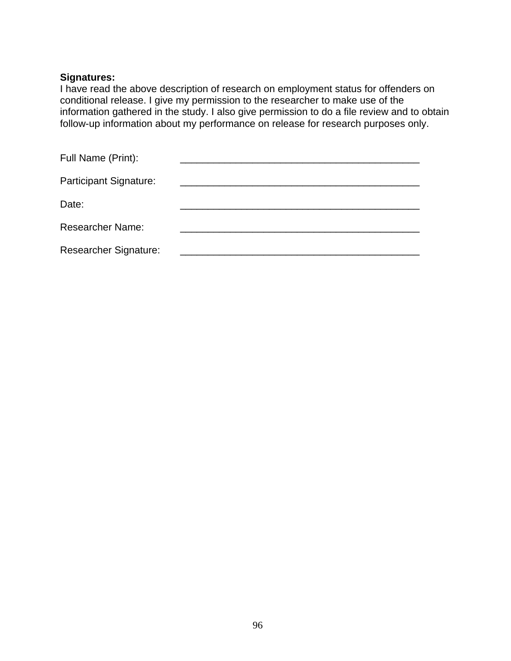### **Signatures:**

I have read the above description of research on employment status for offenders on conditional release. I give my permission to the researcher to make use of the information gathered in the study. I also give permission to do a file review and to obtain follow-up information about my performance on release for research purposes only.

| Full Name (Print):           |  |  |
|------------------------------|--|--|
| Participant Signature:       |  |  |
| Date:                        |  |  |
| <b>Researcher Name:</b>      |  |  |
| <b>Researcher Signature:</b> |  |  |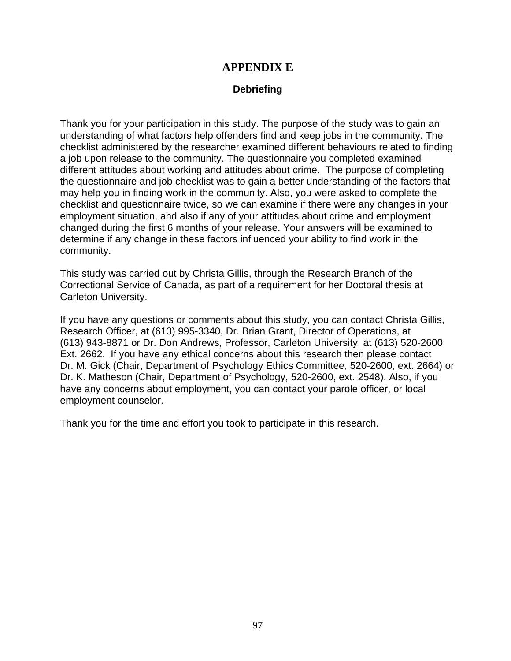## **APPENDIX E**

### **Debriefing**

Thank you for your participation in this study. The purpose of the study was to gain an understanding of what factors help offenders find and keep jobs in the community. The checklist administered by the researcher examined different behaviours related to finding a job upon release to the community. The questionnaire you completed examined different attitudes about working and attitudes about crime. The purpose of completing the questionnaire and job checklist was to gain a better understanding of the factors that may help you in finding work in the community. Also, you were asked to complete the checklist and questionnaire twice, so we can examine if there were any changes in your employment situation, and also if any of your attitudes about crime and employment changed during the first 6 months of your release. Your answers will be examined to determine if any change in these factors influenced your ability to find work in the community.

This study was carried out by Christa Gillis, through the Research Branch of the Correctional Service of Canada, as part of a requirement for her Doctoral thesis at Carleton University.

If you have any questions or comments about this study, you can contact Christa Gillis, Research Officer, at (613) 995-3340, Dr. Brian Grant, Director of Operations, at (613) 943-8871 or Dr. Don Andrews, Professor, Carleton University, at (613) 520-2600 Ext. 2662. If you have any ethical concerns about this research then please contact Dr. M. Gick (Chair, Department of Psychology Ethics Committee, 520-2600, ext. 2664) or Dr. K. Matheson (Chair, Department of Psychology, 520-2600, ext. 2548). Also, if you have any concerns about employment, you can contact your parole officer, or local employment counselor.

Thank you for the time and effort you took to participate in this research.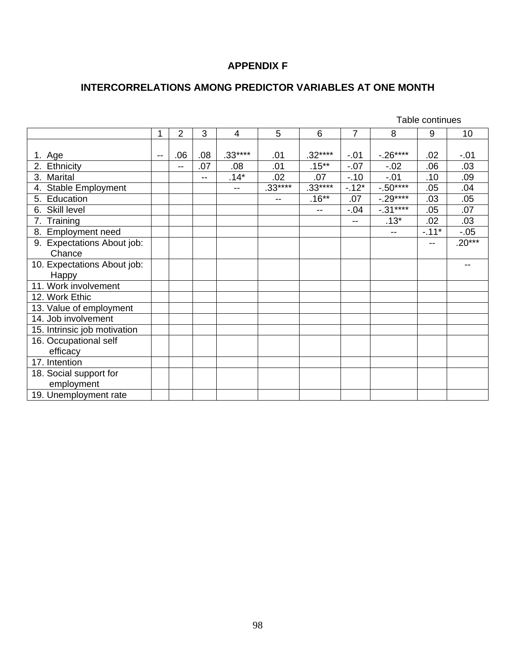## **APPENDIX F**

# **INTERCORRELATIONS AMONG PREDICTOR VARIABLES AT ONE MONTH**

|                                |     |       |     |          |          |                          | Table continues |            |        |          |
|--------------------------------|-----|-------|-----|----------|----------|--------------------------|-----------------|------------|--------|----------|
|                                | 1   | 2     | 3   | 4        | 5        | 6                        | $\overline{7}$  | 8          | 9      | 10       |
|                                |     |       |     |          |          |                          |                 |            |        |          |
| 1. Age                         | $-$ | .06   | .08 | $.33***$ | .01      | $.32***$                 | $-01$           | $-.26***$  | .02    | $-.01$   |
| 2. Ethnicity                   |     | $- -$ | .07 | .08      | .01      | $.15***$                 | $-0.07$         | $-.02$     | .06    | .03      |
| 3. Marital                     |     |       | $-$ | $.14*$   | .02      | .07                      | $-10$           | $-.01$     | .10    | .09      |
| <b>Stable Employment</b><br>4. |     |       |     | --       | $.33***$ | $.33***$                 | $-12*$          | $-0.50***$ | .05    | .04      |
| Education<br>5.                |     |       |     |          | $-$      | $.16***$                 | .07             | $-.29***$  | .03    | .05      |
| Skill level<br>6.              |     |       |     |          |          | $\overline{\phantom{a}}$ | $-.04$          | $-.31***$  | .05    | .07      |
| Training<br>7.                 |     |       |     |          |          |                          | --              | $.13*$     | .02    | .03      |
| 8. Employment need             |     |       |     |          |          |                          |                 | $-$        | $-11*$ | $-.05$   |
| 9. Expectations About job:     |     |       |     |          |          |                          |                 |            | --     | $.20***$ |
| Chance                         |     |       |     |          |          |                          |                 |            |        |          |
| 10. Expectations About job:    |     |       |     |          |          |                          |                 |            |        | --       |
| Happy                          |     |       |     |          |          |                          |                 |            |        |          |
| 11. Work involvement           |     |       |     |          |          |                          |                 |            |        |          |
| 12. Work Ethic                 |     |       |     |          |          |                          |                 |            |        |          |
| 13. Value of employment        |     |       |     |          |          |                          |                 |            |        |          |
| 14. Job involvement            |     |       |     |          |          |                          |                 |            |        |          |
| 15. Intrinsic job motivation   |     |       |     |          |          |                          |                 |            |        |          |
| 16. Occupational self          |     |       |     |          |          |                          |                 |            |        |          |
| efficacy                       |     |       |     |          |          |                          |                 |            |        |          |
| 17. Intention                  |     |       |     |          |          |                          |                 |            |        |          |
| 18. Social support for         |     |       |     |          |          |                          |                 |            |        |          |
| employment                     |     |       |     |          |          |                          |                 |            |        |          |
| 19. Unemployment rate          |     |       |     |          |          |                          |                 |            |        |          |